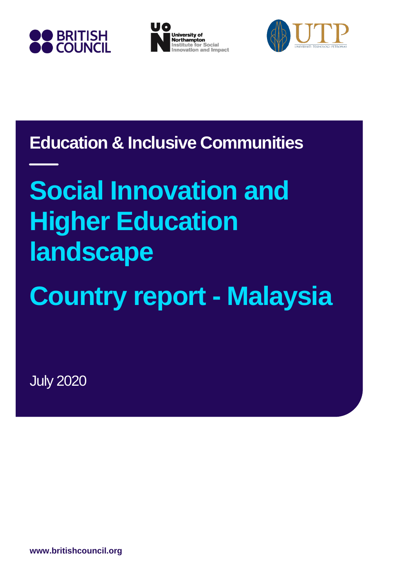





**Education & Inclusive Communities**

# **Social Innovation and Higher Education landscape**

**Country report - Malaysia**

July 2020

**www.britishcouncil.org**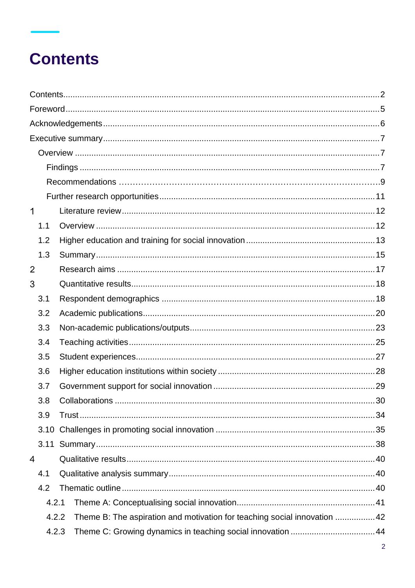# **Contents**

| $\mathbf 1$    |       |                                                                          |    |
|----------------|-------|--------------------------------------------------------------------------|----|
|                | 1.1   |                                                                          |    |
|                | 1.2   |                                                                          |    |
|                | 1.3   |                                                                          |    |
| $\overline{2}$ |       |                                                                          |    |
| 3              |       |                                                                          |    |
|                | 3.1   |                                                                          |    |
|                | 3.2   |                                                                          |    |
|                | 3.3   |                                                                          |    |
|                | 3.4   |                                                                          |    |
|                | 3.5   |                                                                          |    |
|                | 3.6   |                                                                          |    |
|                | 3.7   |                                                                          |    |
|                | 3.8   | <b>Collaborations</b>                                                    | 30 |
|                | 3.9   |                                                                          |    |
|                | 3.10  |                                                                          |    |
|                |       |                                                                          |    |
| 4              |       |                                                                          |    |
|                | 4.1   |                                                                          |    |
|                | 4.2   |                                                                          |    |
|                | 4.2.1 |                                                                          |    |
|                | 4.2.2 | Theme B: The aspiration and motivation for teaching social innovation 42 |    |
|                | 4.2.3 | Theme C: Growing dynamics in teaching social innovation  44              |    |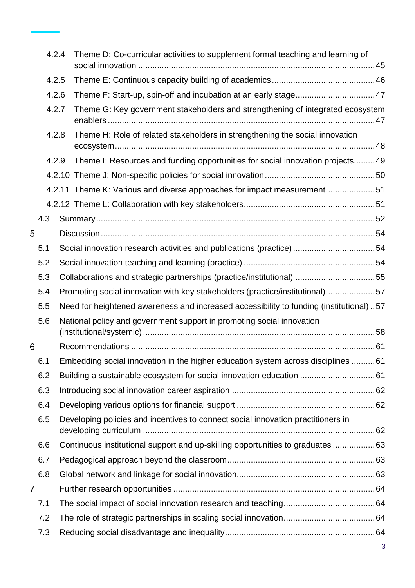|       | 4.2.4 |                                                                       | Theme D: Co-curricular activities to supplement formal teaching and learning of         |  |
|-------|-------|-----------------------------------------------------------------------|-----------------------------------------------------------------------------------------|--|
|       | 4.2.5 |                                                                       |                                                                                         |  |
| 4.2.6 |       |                                                                       | Theme F: Start-up, spin-off and incubation at an early stage47                          |  |
|       | 4.2.7 |                                                                       | Theme G: Key government stakeholders and strengthening of integrated ecosystem          |  |
|       | 4.2.8 |                                                                       | Theme H: Role of related stakeholders in strengthening the social innovation            |  |
|       | 4.2.9 |                                                                       | Theme I: Resources and funding opportunities for social innovation projects 49          |  |
|       |       |                                                                       |                                                                                         |  |
|       |       |                                                                       | 4.2.11 Theme K: Various and diverse approaches for impact measurement51                 |  |
|       |       |                                                                       |                                                                                         |  |
|       | 4.3   |                                                                       |                                                                                         |  |
| 5     |       |                                                                       |                                                                                         |  |
|       | 5.1   |                                                                       | Social innovation research activities and publications (practice)54                     |  |
|       | 5.2   |                                                                       |                                                                                         |  |
|       | 5.3   | Collaborations and strategic partnerships (practice/institutional) 55 |                                                                                         |  |
|       | 5.4   |                                                                       | Promoting social innovation with key stakeholders (practice/institutional)57            |  |
|       | 5.5   |                                                                       | Need for heightened awareness and increased accessibility to funding (institutional) 57 |  |
|       | 5.6   |                                                                       | National policy and government support in promoting social innovation                   |  |
| 6     |       |                                                                       |                                                                                         |  |
|       | 6.1   |                                                                       | Embedding social innovation in the higher education system across disciplines  61       |  |
|       | 6.2   |                                                                       |                                                                                         |  |
|       | 6.3   |                                                                       |                                                                                         |  |
|       | 6.4   |                                                                       |                                                                                         |  |
|       | 6.5   |                                                                       | Developing policies and incentives to connect social innovation practitioners in        |  |
|       | 6.6   |                                                                       | Continuous institutional support and up-skilling opportunities to graduates 63          |  |
|       | 6.7   |                                                                       |                                                                                         |  |
|       | 6.8   |                                                                       |                                                                                         |  |
| 7     |       |                                                                       |                                                                                         |  |
|       | 7.1   |                                                                       |                                                                                         |  |
|       | 7.2   |                                                                       |                                                                                         |  |
|       | 7.3   |                                                                       |                                                                                         |  |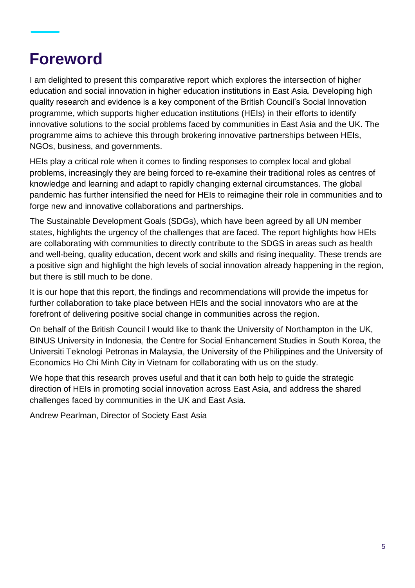# **Foreword**

I am delighted to present this comparative report which explores the intersection of higher education and social innovation in higher education institutions in East Asia. Developing high quality research and evidence is a key component of the British Council's Social Innovation programme, which supports higher education institutions (HEIs) in their efforts to identify innovative solutions to the social problems faced by communities in East Asia and the UK. The programme aims to achieve this through brokering innovative partnerships between HEIs, NGOs, business, and governments.

HEIs play a critical role when it comes to finding responses to complex local and global problems, increasingly they are being forced to re-examine their traditional roles as centres of knowledge and learning and adapt to rapidly changing external circumstances. The global pandemic has further intensified the need for HEIs to reimagine their role in communities and to forge new and innovative collaborations and partnerships.

The Sustainable Development Goals (SDGs), which have been agreed by all UN member states, highlights the urgency of the challenges that are faced. The report highlights how HEIs are collaborating with communities to directly contribute to the SDGS in areas such as health and well-being, quality education, decent work and skills and rising inequality. These trends are a positive sign and highlight the high levels of social innovation already happening in the region, but there is still much to be done.

It is our hope that this report, the findings and recommendations will provide the impetus for further collaboration to take place between HEIs and the social innovators who are at the forefront of delivering positive social change in communities across the region.

On behalf of the British Council I would like to thank the University of Northampton in the UK, BINUS University in Indonesia, the Centre for Social Enhancement Studies in South Korea, the Universiti Teknologi Petronas in Malaysia, the University of the Philippines and the University of Economics Ho Chi Minh City in Vietnam for collaborating with us on the study.

We hope that this research proves useful and that it can both help to guide the strategic direction of HEIs in promoting social innovation across East Asia, and address the shared challenges faced by communities in the UK and East Asia.

Andrew Pearlman, Director of Society East Asia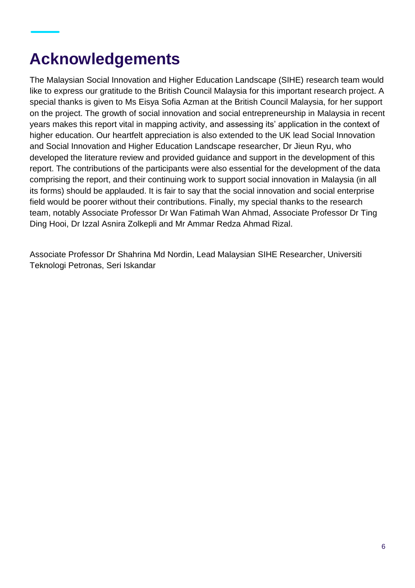# **Acknowledgements**

The Malaysian Social Innovation and Higher Education Landscape (SIHE) research team would like to express our gratitude to the British Council Malaysia for this important research project. A special thanks is given to Ms Eisya Sofia Azman at the British Council Malaysia, for her support on the project. The growth of social innovation and social entrepreneurship in Malaysia in recent years makes this report vital in mapping activity, and assessing its' application in the context of higher education. Our heartfelt appreciation is also extended to the UK lead Social Innovation and Social Innovation and Higher Education Landscape researcher, Dr Jieun Ryu, who developed the literature review and provided guidance and support in the development of this report. The contributions of the participants were also essential for the development of the data comprising the report, and their continuing work to support social innovation in Malaysia (in all its forms) should be applauded. It is fair to say that the social innovation and social enterprise field would be poorer without their contributions. Finally, my special thanks to the research team, notably Associate Professor Dr Wan Fatimah Wan Ahmad, Associate Professor Dr Ting Ding Hooi, Dr Izzal Asnira Zolkepli and Mr Ammar Redza Ahmad Rizal.

Associate Professor Dr Shahrina Md Nordin, Lead Malaysian SIHE Researcher, Universiti Teknologi Petronas, Seri Iskandar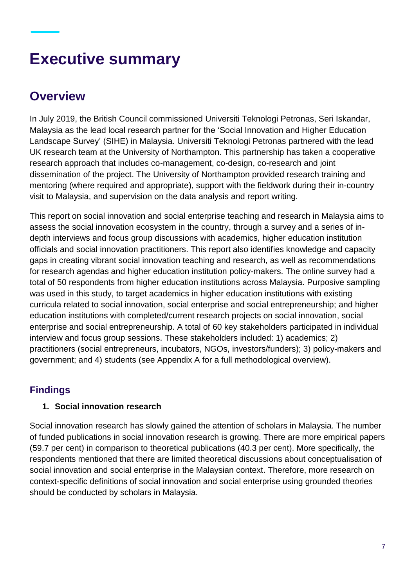# **Executive summary**

### **Overview**

In July 2019, the British Council commissioned Universiti Teknologi Petronas, Seri Iskandar, Malaysia as the lead local research partner for the 'Social Innovation and Higher Education Landscape Survey' (SIHE) in Malaysia. Universiti Teknologi Petronas partnered with the lead UK research team at the University of Northampton. This partnership has taken a cooperative research approach that includes co-management, co-design, co-research and joint dissemination of the project. The University of Northampton provided research training and mentoring (where required and appropriate), support with the fieldwork during their in-country visit to Malaysia, and supervision on the data analysis and report writing.

This report on social innovation and social enterprise teaching and research in Malaysia aims to assess the social innovation ecosystem in the country, through a survey and a series of indepth interviews and focus group discussions with academics, higher education institution officials and social innovation practitioners. This report also identifies knowledge and capacity gaps in creating vibrant social innovation teaching and research, as well as recommendations for research agendas and higher education institution policy-makers. The online survey had a total of 50 respondents from higher education institutions across Malaysia. Purposive sampling was used in this study, to target academics in higher education institutions with existing curricula related to social innovation, social enterprise and social entrepreneurship; and higher education institutions with completed/current research projects on social innovation, social enterprise and social entrepreneurship. A total of 60 key stakeholders participated in individual interview and focus group sessions. These stakeholders included: 1) academics; 2) practitioners (social entrepreneurs, incubators, NGOs, investors/funders); 3) policy-makers and government; and 4) students (see Appendix A for a full methodological overview).

### **Findings**

### **1. Social innovation research**

Social innovation research has slowly gained the attention of scholars in Malaysia. The number of funded publications in social innovation research is growing. There are more empirical papers (59.7 per cent) in comparison to theoretical publications (40.3 per cent). More specifically, the respondents mentioned that there are limited theoretical discussions about conceptualisation of social innovation and social enterprise in the Malaysian context. Therefore, more research on context-specific definitions of social innovation and social enterprise using grounded theories should be conducted by scholars in Malaysia.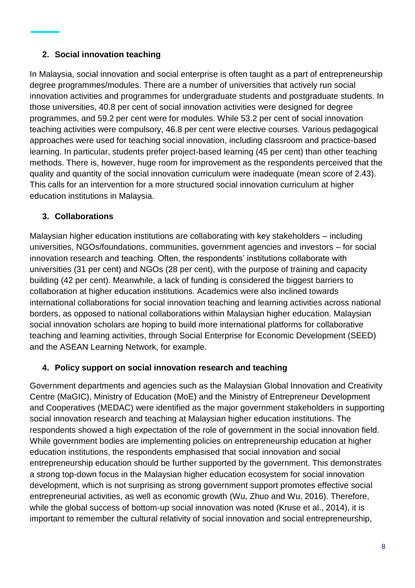#### **2. Social innovation teaching**

In Malaysia, social innovation and social enterprise is often taught as a part of entrepreneurship degree programmes/modules. There are a number of universities that actively run social innovation activities and programmes for undergraduate students and postgraduate students. In those universities, 40.8 per cent of social innovation activities were designed for degree programmes, and 59.2 per cent were for modules. While 53.2 per cent of social innovation teaching activities were compulsory, 46.8 per cent were elective courses. Various pedagogical approaches were used for teaching social innovation, including classroom and practice-based learning. In particular, students prefer project-based learning (45 per cent) than other teaching methods. There is, however, huge room for improvement as the respondents perceived that the quality and quantity of the social innovation curriculum were inadequate (mean score of 2.43). This calls for an intervention for a more structured social innovation curriculum at higher education institutions in Malaysia.

#### **3. Collaborations**

Malaysian higher education institutions are collaborating with key stakeholders – including universities, NGOs/foundations, communities, government agencies and investors – for social innovation research and teaching. Often, the respondents' institutions collaborate with universities (31 per cent) and NGOs (28 per cent), with the purpose of training and capacity building (42 per cent). Meanwhile, a lack of funding is considered the biggest barriers to collaboration at higher education institutions. Academics were also inclined towards international collaborations for social innovation teaching and learning activities across national borders, as opposed to national collaborations within Malaysian higher education. Malaysian social innovation scholars are hoping to build more international platforms for collaborative teaching and learning activities, through Social Enterprise for Economic Development (SEED) and the ASEAN Learning Network, for example.

#### **4. Policy support on social innovation research and teaching**

Government departments and agencies such as the Malaysian Global Innovation and Creativity Centre (MaGIC), Ministry of Education (MoE) and the Ministry of Entrepreneur Development and Cooperatives (MEDAC) were identified as the major government stakeholders in supporting social innovation research and teaching at Malaysian higher education institutions. The respondents showed a high expectation of the role of government in the social innovation field. While government bodies are implementing policies on entrepreneurship education at higher education institutions, the respondents emphasised that social innovation and social entrepreneurship education should be further supported by the government. This demonstrates a strong top-down focus in the Malaysian higher education ecosystem for social innovation development, which is not surprising as strong government support promotes effective social entrepreneurial activities, as well as economic growth (Wu, Zhuo and Wu, 2016). Therefore, while the global success of bottom-up social innovation was noted (Kruse et al., 2014), it is important to remember the cultural relativity of social innovation and social entrepreneurship,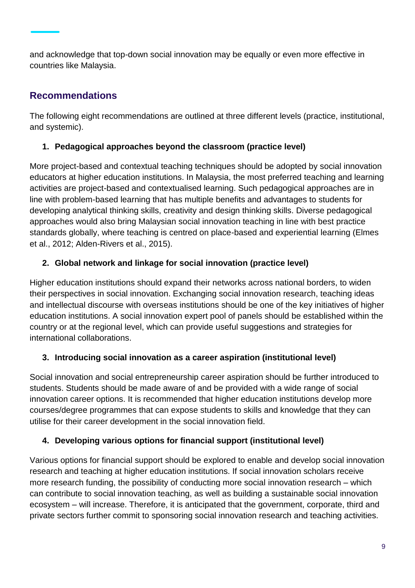and acknowledge that top-down social innovation may be equally or even more effective in countries like Malaysia.

### **Recommendations**

The following eight recommendations are outlined at three different levels (practice, institutional, and systemic).

### **1. Pedagogical approaches beyond the classroom (practice level)**

More project-based and contextual teaching techniques should be adopted by social innovation educators at higher education institutions. In Malaysia, the most preferred teaching and learning activities are project-based and contextualised learning. Such pedagogical approaches are in line with problem-based learning that has multiple benefits and advantages to students for developing analytical thinking skills, creativity and design thinking skills. Diverse pedagogical approaches would also bring Malaysian social innovation teaching in line with best practice standards globally, where teaching is centred on place-based and experiential learning (Elmes et al., 2012; Alden-Rivers et al., 2015).

### **2. Global network and linkage for social innovation (practice level)**

Higher education institutions should expand their networks across national borders, to widen their perspectives in social innovation. Exchanging social innovation research, teaching ideas and intellectual discourse with overseas institutions should be one of the key initiatives of higher education institutions. A social innovation expert pool of panels should be established within the country or at the regional level, which can provide useful suggestions and strategies for international collaborations.

### **3. Introducing social innovation as a career aspiration (institutional level)**

Social innovation and social entrepreneurship career aspiration should be further introduced to students. Students should be made aware of and be provided with a wide range of social innovation career options. It is recommended that higher education institutions develop more courses/degree programmes that can expose students to skills and knowledge that they can utilise for their career development in the social innovation field.

### **4. Developing various options for financial support (institutional level)**

Various options for financial support should be explored to enable and develop social innovation research and teaching at higher education institutions. If social innovation scholars receive more research funding, the possibility of conducting more social innovation research – which can contribute to social innovation teaching, as well as building a sustainable social innovation ecosystem – will increase. Therefore, it is anticipated that the government, corporate, third and private sectors further commit to sponsoring social innovation research and teaching activities.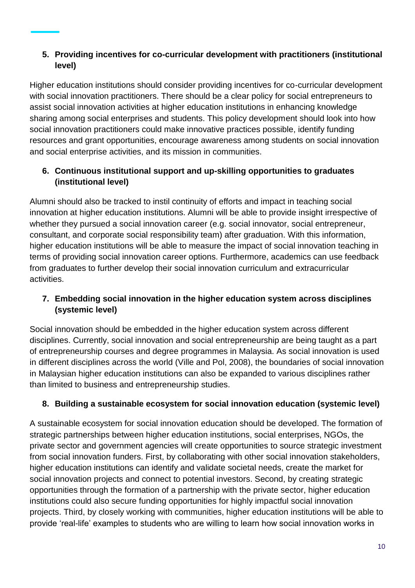#### **5. Providing incentives for co-curricular development with practitioners (institutional level)**

Higher education institutions should consider providing incentives for co-curricular development with social innovation practitioners. There should be a clear policy for social entrepreneurs to assist social innovation activities at higher education institutions in enhancing knowledge sharing among social enterprises and students. This policy development should look into how social innovation practitioners could make innovative practices possible, identify funding resources and grant opportunities, encourage awareness among students on social innovation and social enterprise activities, and its mission in communities.

#### **6. Continuous institutional support and up-skilling opportunities to graduates (institutional level)**

Alumni should also be tracked to instil continuity of efforts and impact in teaching social innovation at higher education institutions. Alumni will be able to provide insight irrespective of whether they pursued a social innovation career (e.g. social innovator, social entrepreneur, consultant, and corporate social responsibility team) after graduation. With this information, higher education institutions will be able to measure the impact of social innovation teaching in terms of providing social innovation career options. Furthermore, academics can use feedback from graduates to further develop their social innovation curriculum and extracurricular activities.

#### **7. Embedding social innovation in the higher education system across disciplines (systemic level)**

Social innovation should be embedded in the higher education system across different disciplines. Currently, social innovation and social entrepreneurship are being taught as a part of entrepreneurship courses and degree programmes in Malaysia. As social innovation is used in different disciplines across the world (Ville and Pol, 2008), the boundaries of social innovation in Malaysian higher education institutions can also be expanded to various disciplines rather than limited to business and entrepreneurship studies.

### **8. Building a sustainable ecosystem for social innovation education (systemic level)**

A sustainable ecosystem for social innovation education should be developed. The formation of strategic partnerships between higher education institutions, social enterprises, NGOs, the private sector and government agencies will create opportunities to source strategic investment from social innovation funders. First, by collaborating with other social innovation stakeholders, higher education institutions can identify and validate societal needs, create the market for social innovation projects and connect to potential investors. Second, by creating strategic opportunities through the formation of a partnership with the private sector, higher education institutions could also secure funding opportunities for highly impactful social innovation projects. Third, by closely working with communities, higher education institutions will be able to provide 'real-life' examples to students who are willing to learn how social innovation works in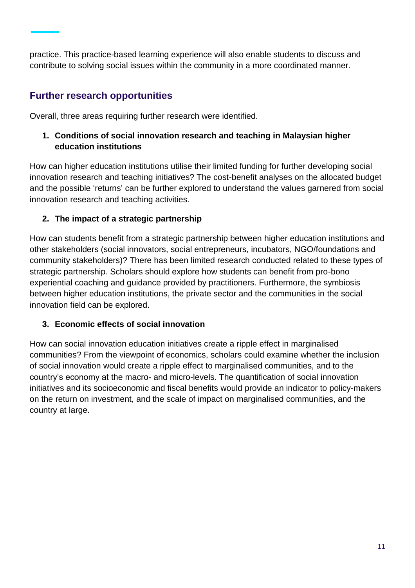practice. This practice-based learning experience will also enable students to discuss and contribute to solving social issues within the community in a more coordinated manner.

### **Further research opportunities**

Overall, three areas requiring further research were identified.

#### **1. Conditions of social innovation research and teaching in Malaysian higher education institutions**

How can higher education institutions utilise their limited funding for further developing social innovation research and teaching initiatives? The cost-benefit analyses on the allocated budget and the possible 'returns' can be further explored to understand the values garnered from social innovation research and teaching activities.

### **2. The impact of a strategic partnership**

How can students benefit from a strategic partnership between higher education institutions and other stakeholders (social innovators, social entrepreneurs, incubators, NGO/foundations and community stakeholders)? There has been limited research conducted related to these types of strategic partnership. Scholars should explore how students can benefit from pro-bono experiential coaching and guidance provided by practitioners. Furthermore, the symbiosis between higher education institutions, the private sector and the communities in the social innovation field can be explored.

### **3. Economic effects of social innovation**

How can social innovation education initiatives create a ripple effect in marginalised communities? From the viewpoint of economics, scholars could examine whether the inclusion of social innovation would create a ripple effect to marginalised communities, and to the country's economy at the macro- and micro-levels. The quantification of social innovation initiatives and its socioeconomic and fiscal benefits would provide an indicator to policy-makers on the return on investment, and the scale of impact on marginalised communities, and the country at large.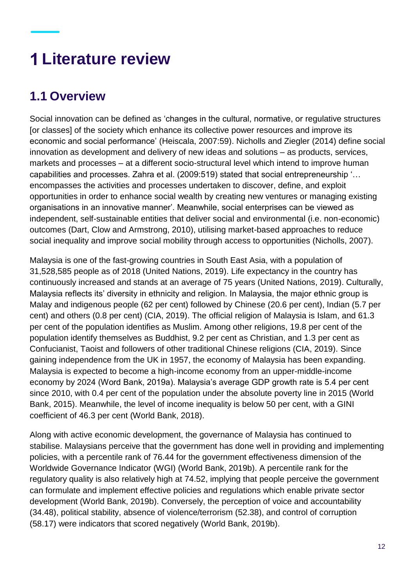# **Literature review**

### **1.1 Overview**

Social innovation can be defined as 'changes in the cultural, normative, or regulative structures [or classes] of the society which enhance its collective power resources and improve its economic and social performance' (Heiscala, 2007:59). Nicholls and Ziegler (2014) define social innovation as development and delivery of new ideas and solutions – as products, services, markets and processes – at a different socio-structural level which intend to improve human capabilities and processes. Zahra et al. (2009:519) stated that social entrepreneurship '… encompasses the activities and processes undertaken to discover, define, and exploit opportunities in order to enhance social wealth by creating new ventures or managing existing organisations in an innovative manner'. Meanwhile, social enterprises can be viewed as independent, self-sustainable entities that deliver social and environmental (i.e. non-economic) outcomes (Dart, Clow and Armstrong, 2010), utilising market-based approaches to reduce social inequality and improve social mobility through access to opportunities (Nicholls, 2007).

Malaysia is one of the fast-growing countries in South East Asia, with a population of 31,528,585 people as of 2018 (United Nations, 2019). Life expectancy in the country has continuously increased and stands at an average of 75 years (United Nations, 2019). Culturally, Malaysia reflects its' diversity in ethnicity and religion. In Malaysia, the major ethnic group is Malay and indigenous people (62 per cent) followed by Chinese (20.6 per cent), Indian (5.7 per cent) and others (0.8 per cent) (CIA, 2019). The official religion of Malaysia is Islam, and 61.3 per cent of the population identifies as Muslim. Among other religions, 19.8 per cent of the population identify themselves as Buddhist, 9.2 per cent as Christian, and 1.3 per cent as Confucianist, Taoist and followers of other traditional Chinese religions (CIA, 2019). Since gaining independence from the UK in 1957, the economy of Malaysia has been expanding. Malaysia is expected to become a high-income economy from an upper-middle-income economy by 2024 (Word Bank, 2019a). Malaysia's average GDP growth rate is 5.4 per cent since 2010, with 0.4 per cent of the population under the absolute poverty line in 2015 (World Bank, 2015). Meanwhile, the level of income inequality is below 50 per cent, with a GINI coefficient of 46.3 per cent (World Bank, 2018).

Along with active economic development, the governance of Malaysia has continued to stabilise. Malaysians perceive that the government has done well in providing and implementing policies, with a percentile rank of 76.44 for the government effectiveness dimension of the Worldwide Governance Indicator (WGI) (World Bank, 2019b). A percentile rank for the regulatory quality is also relatively high at 74.52, implying that people perceive the government can formulate and implement effective policies and regulations which enable private sector development (World Bank, 2019b). Conversely, the perception of voice and accountability (34.48), political stability, absence of violence/terrorism (52.38), and control of corruption (58.17) were indicators that scored negatively (World Bank, 2019b).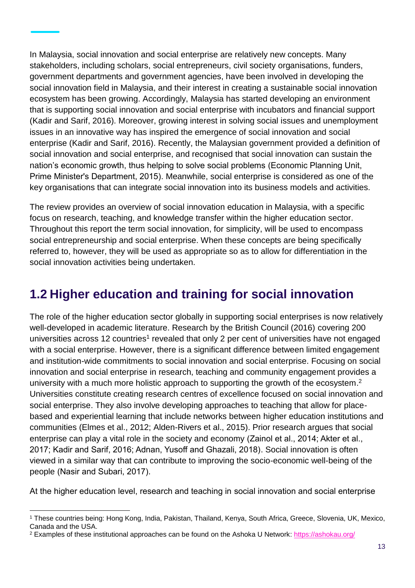In Malaysia, social innovation and social enterprise are relatively new concepts. Many stakeholders, including scholars, social entrepreneurs, civil society organisations, funders, government departments and government agencies, have been involved in developing the social innovation field in Malaysia, and their interest in creating a sustainable social innovation ecosystem has been growing. Accordingly, Malaysia has started developing an environment that is supporting social innovation and social enterprise with incubators and financial support (Kadir and Sarif, 2016). Moreover, growing interest in solving social issues and unemployment issues in an innovative way has inspired the emergence of social innovation and social enterprise (Kadir and Sarif, 2016). Recently, the Malaysian government provided a definition of social innovation and social enterprise, and recognised that social innovation can sustain the nation's economic growth, thus helping to solve social problems (Economic Planning Unit, Prime Minister's Department, 2015). Meanwhile, social enterprise is considered as one of the key organisations that can integrate social innovation into its business models and activities.

The review provides an overview of social innovation education in Malaysia, with a specific focus on research, teaching, and knowledge transfer within the higher education sector. Throughout this report the term social innovation, for simplicity, will be used to encompass social entrepreneurship and social enterprise. When these concepts are being specifically referred to, however, they will be used as appropriate so as to allow for differentiation in the social innovation activities being undertaken.

### **1.2 Higher education and training for social innovation**

The role of the higher education sector globally in supporting social enterprises is now relatively well-developed in academic literature. Research by the British Council (2016) covering 200 universities across 12 countries<sup>1</sup> revealed that only 2 per cent of universities have not engaged with a social enterprise. However, there is a significant difference between limited engagement and institution-wide commitments to social innovation and social enterprise. Focusing on social innovation and social enterprise in research, teaching and community engagement provides a university with a much more holistic approach to supporting the growth of the ecosystem.<sup>2</sup> Universities constitute creating research centres of excellence focused on social innovation and social enterprise. They also involve developing approaches to teaching that allow for placebased and experiential learning that include networks between higher education institutions and communities (Elmes et al., 2012; Alden-Rivers et al., 2015). Prior research argues that social enterprise can play a vital role in the society and economy (Zainol et al., 2014; Akter et al., 2017; Kadir and Sarif, 2016; Adnan, Yusoff and Ghazali, 2018). Social innovation is often viewed in a similar way that can contribute to improving the socio-economic well-being of the people (Nasir and Subari, 2017).

At the higher education level, research and teaching in social innovation and social enterprise

l

<sup>1</sup> These countries being: Hong Kong, India, Pakistan, Thailand, Kenya, South Africa, Greece, Slovenia, UK, Mexico, Canada and the USA.

<sup>&</sup>lt;sup>2</sup> Examples of these institutional approaches can be found on the Ashoka U Network: <https://ashokau.org/>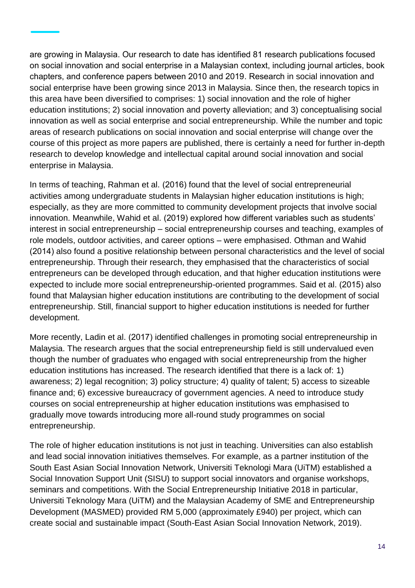are growing in Malaysia. Our research to date has identified 81 research publications focused on social innovation and social enterprise in a Malaysian context, including journal articles, book chapters, and conference papers between 2010 and 2019. Research in social innovation and social enterprise have been growing since 2013 in Malaysia. Since then, the research topics in this area have been diversified to comprises: 1) social innovation and the role of higher education institutions; 2) social innovation and poverty alleviation; and 3) conceptualising social innovation as well as social enterprise and social entrepreneurship. While the number and topic areas of research publications on social innovation and social enterprise will change over the course of this project as more papers are published, there is certainly a need for further in-depth research to develop knowledge and intellectual capital around social innovation and social enterprise in Malaysia.

In terms of teaching, Rahman et al. (2016) found that the level of social entrepreneurial activities among undergraduate students in Malaysian higher education institutions is high; especially, as they are more committed to community development projects that involve social innovation. Meanwhile, Wahid et al. (2019) explored how different variables such as students' interest in social entrepreneurship – social entrepreneurship courses and teaching, examples of role models, outdoor activities, and career options – were emphasised. Othman and Wahid (2014) also found a positive relationship between personal characteristics and the level of social entrepreneurship. Through their research, they emphasised that the characteristics of social entrepreneurs can be developed through education, and that higher education institutions were expected to include more social entrepreneurship-oriented programmes. Said et al. (2015) also found that Malaysian higher education institutions are contributing to the development of social entrepreneurship. Still, financial support to higher education institutions is needed for further development.

More recently, Ladin et al. (2017) identified challenges in promoting social entrepreneurship in Malaysia. The research argues that the social entrepreneurship field is still undervalued even though the number of graduates who engaged with social entrepreneurship from the higher education institutions has increased. The research identified that there is a lack of: 1) awareness; 2) legal recognition; 3) policy structure; 4) quality of talent; 5) access to sizeable finance and; 6) excessive bureaucracy of government agencies. A need to introduce study courses on social entrepreneurship at higher education institutions was emphasised to gradually move towards introducing more all-round study programmes on social entrepreneurship.

The role of higher education institutions is not just in teaching. Universities can also establish and lead social innovation initiatives themselves. For example, as a partner institution of the South East Asian Social Innovation Network, Universiti Teknologi Mara (UiTM) established a Social Innovation Support Unit (SISU) to support social innovators and organise workshops, seminars and competitions. With the Social Entrepreneurship Initiative 2018 in particular, Universiti Teknology Mara (UiTM) and the Malaysian Academy of SME and Entrepreneurship Development (MASMED) provided RM 5,000 (approximately £940) per project, which can create social and sustainable impact (South-East Asian Social Innovation Network, 2019).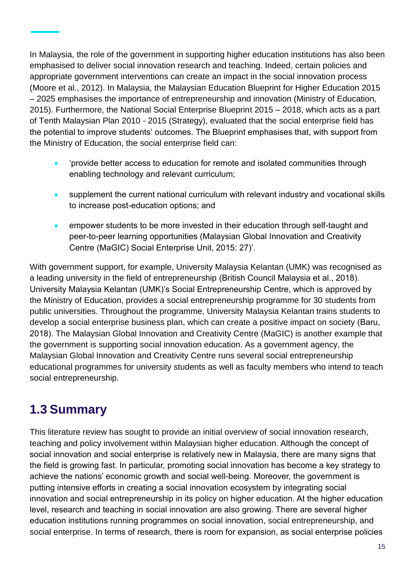In Malaysia, the role of the government in supporting higher education institutions has also been emphasised to deliver social innovation research and teaching. Indeed, certain policies and appropriate government interventions can create an impact in the social innovation process (Moore et al., 2012). In Malaysia, the Malaysian Education Blueprint for Higher Education 2015 – 2025 emphasises the importance of entrepreneurship and innovation (Ministry of Education, 2015). Furthermore, the National Social Enterprise Blueprint 2015 – 2018, which acts as a part of Tenth Malaysian Plan 2010 - 2015 (Strategy), evaluated that the social enterprise field has the potential to improve students' outcomes. The Blueprint emphasises that, with support from the Ministry of Education, the social enterprise field can:

- 'provide better access to education for remote and isolated communities through enabling technology and relevant curriculum;
- supplement the current national curriculum with relevant industry and vocational skills to increase post-education options; and
- empower students to be more invested in their education through self-taught and peer-to-peer learning opportunities (Malaysian Global Innovation and Creativity Centre (MaGIC) Social Enterprise Unit, 2015: 27)'.

With government support, for example, University Malaysia Kelantan (UMK) was recognised as a leading university in the field of entrepreneurship (British Council Malaysia et al., 2018). University Malaysia Kelantan (UMK)'s Social Entrepreneurship Centre, which is approved by the Ministry of Education, provides a social entrepreneurship programme for 30 students from public universities. Throughout the programme, University Malaysia Kelantan trains students to develop a social enterprise business plan, which can create a positive impact on society (Baru, 2018). The Malaysian Global Innovation and Creativity Centre (MaGIC) is another example that the government is supporting social innovation education. As a government agency, the Malaysian Global Innovation and Creativity Centre runs several social entrepreneurship educational programmes for university students as well as faculty members who intend to teach social entrepreneurship.

### **1.3 Summary**

This literature review has sought to provide an initial overview of social innovation research, teaching and policy involvement within Malaysian higher education. Although the concept of social innovation and social enterprise is relatively new in Malaysia, there are many signs that the field is growing fast. In particular, promoting social innovation has become a key strategy to achieve the nations' economic growth and social well-being. Moreover, the government is putting intensive efforts in creating a social innovation ecosystem by integrating social innovation and social entrepreneurship in its policy on higher education. At the higher education level, research and teaching in social innovation are also growing. There are several higher education institutions running programmes on social innovation, social entrepreneurship, and social enterprise. In terms of research, there is room for expansion, as social enterprise policies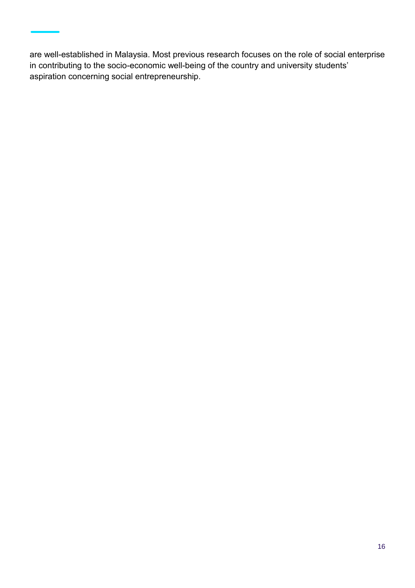are well-established in Malaysia. Most previous research focuses on the role of social enterprise in contributing to the socio-economic well-being of the country and university students' aspiration concerning social entrepreneurship.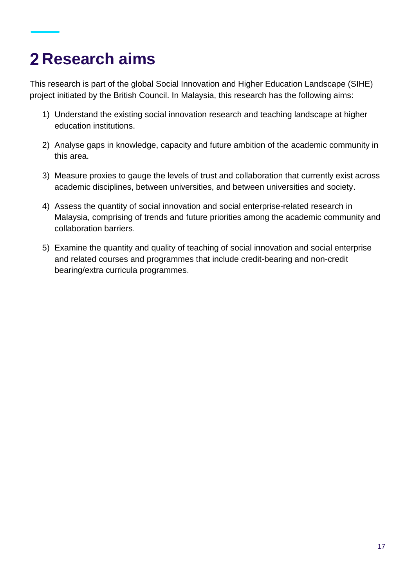# **Research aims**

This research is part of the global Social Innovation and Higher Education Landscape (SIHE) project initiated by the British Council. In Malaysia, this research has the following aims:

- 1) Understand the existing social innovation research and teaching landscape at higher education institutions.
- 2) Analyse gaps in knowledge, capacity and future ambition of the academic community in this area.
- 3) Measure proxies to gauge the levels of trust and collaboration that currently exist across academic disciplines, between universities, and between universities and society.
- 4) Assess the quantity of social innovation and social enterprise-related research in Malaysia, comprising of trends and future priorities among the academic community and collaboration barriers.
- 5) Examine the quantity and quality of teaching of social innovation and social enterprise and related courses and programmes that include credit-bearing and non-credit bearing/extra curricula programmes.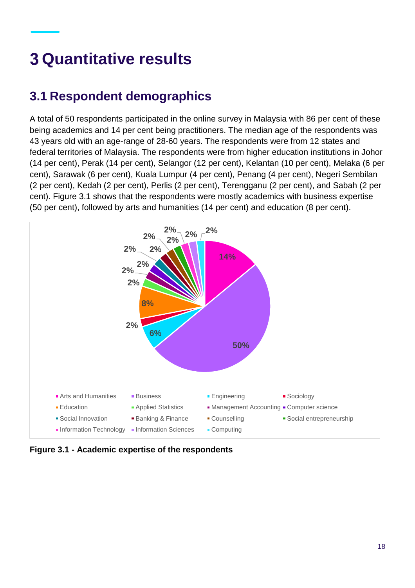# **Quantitative results**

### **3.1 Respondent demographics**

A total of 50 respondents participated in the online survey in Malaysia with 86 per cent of these being academics and 14 per cent being practitioners. The median age of the respondents was 43 years old with an age-range of 28-60 years. The respondents were from 12 states and federal territories of Malaysia. The respondents were from higher education institutions in Johor (14 per cent), Perak (14 per cent), Selangor (12 per cent), Kelantan (10 per cent), Melaka (6 per cent), Sarawak (6 per cent), Kuala Lumpur (4 per cent), Penang (4 per cent), Negeri Sembilan (2 per cent), Kedah (2 per cent), Perlis (2 per cent), Terengganu (2 per cent), and Sabah (2 per cent). Figure 3.1 shows that the respondents were mostly academics with business expertise (50 per cent), followed by arts and humanities (14 per cent) and education (8 per cent).



**Figure 3.1 - Academic expertise of the respondents**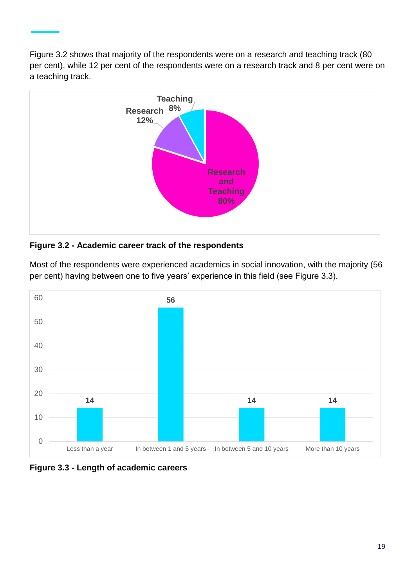Figure 3.2 shows that majority of the respondents were on a research and teaching track (80 per cent), while 12 per cent of the respondents were on a research track and 8 per cent were on a teaching track.



#### **Figure 3.2 - Academic career track of the respondents**

**14 56 14 14** 0 10 20 30 40 50 60 Less than a year In between 1 and 5 years In between 5 and 10 years More than 10 years

Most of the respondents were experienced academics in social innovation, with the majority (56 per cent) having between one to five years' experience in this field (see Figure 3.3).

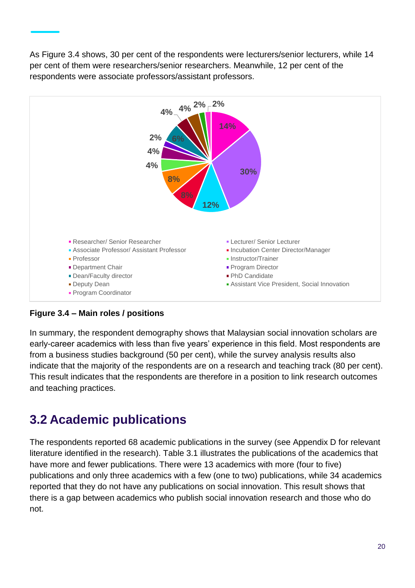As Figure 3.4 shows, 30 per cent of the respondents were lecturers/senior lecturers, while 14 per cent of them were researchers/senior researchers. Meanwhile, 12 per cent of the respondents were associate professors/assistant professors.



**Figure 3.4 – Main roles / positions**

In summary, the respondent demography shows that Malaysian social innovation scholars are early-career academics with less than five years' experience in this field. Most respondents are from a business studies background (50 per cent), while the survey analysis results also indicate that the majority of the respondents are on a research and teaching track (80 per cent). This result indicates that the respondents are therefore in a position to link research outcomes and teaching practices.

### **3.2 Academic publications**

The respondents reported 68 academic publications in the survey (see Appendix D for relevant literature identified in the research). Table 3.1 illustrates the publications of the academics that have more and fewer publications. There were 13 academics with more (four to five) publications and only three academics with a few (one to two) publications, while 34 academics reported that they do not have any publications on social innovation. This result shows that there is a gap between academics who publish social innovation research and those who do not.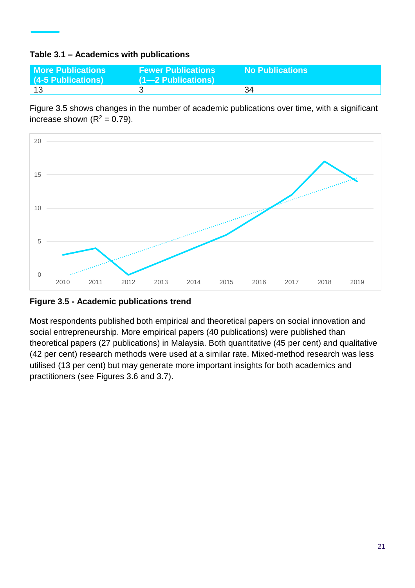#### **Table 3.1 – Academics with publications**

| <b>More Publications</b><br>(4-5 Publications) | <b>Fewer Publications</b><br>$(1 - 2$ Publications) | <b>No Publications</b> |
|------------------------------------------------|-----------------------------------------------------|------------------------|
| 13                                             |                                                     | 34                     |

Figure 3.5 shows changes in the number of academic publications over time, with a significant increase shown  $(R^2 = 0.79)$ .



**Figure 3.5 - Academic publications trend**

Most respondents published both empirical and theoretical papers on social innovation and social entrepreneurship. More empirical papers (40 publications) were published than theoretical papers (27 publications) in Malaysia. Both quantitative (45 per cent) and qualitative (42 per cent) research methods were used at a similar rate. Mixed-method research was less utilised (13 per cent) but may generate more important insights for both academics and practitioners (see Figures 3.6 and 3.7).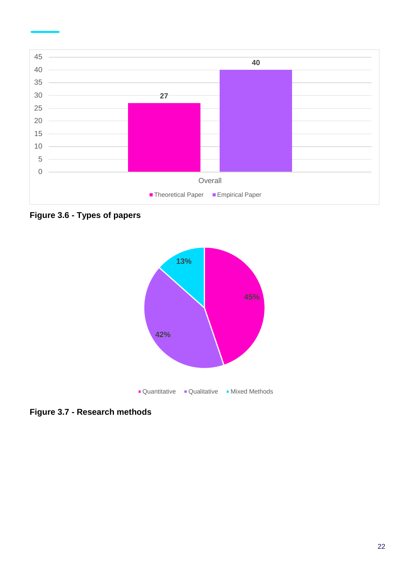

**Figure 3.6 - Types of papers**



**Figure 3.7 - Research methods**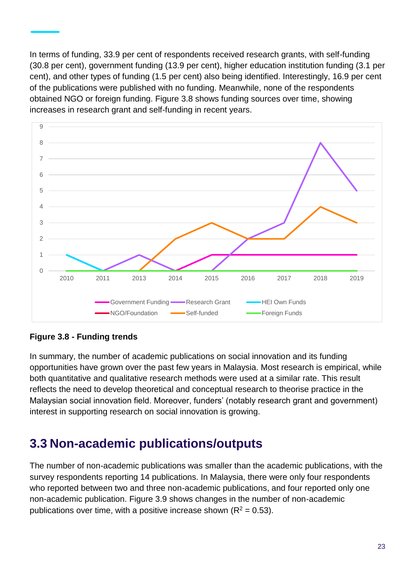In terms of funding, 33.9 per cent of respondents received research grants, with self-funding (30.8 per cent), government funding (13.9 per cent), higher education institution funding (3.1 per cent), and other types of funding (1.5 per cent) also being identified. Interestingly, 16.9 per cent of the publications were published with no funding. Meanwhile, none of the respondents obtained NGO or foreign funding. Figure 3.8 shows funding sources over time, showing increases in research grant and self-funding in recent years.



#### **Figure 3.8 - Funding trends**

In summary, the number of academic publications on social innovation and its funding opportunities have grown over the past few years in Malaysia. Most research is empirical, while both quantitative and qualitative research methods were used at a similar rate. This result reflects the need to develop theoretical and conceptual research to theorise practice in the Malaysian social innovation field. Moreover, funders' (notably research grant and government) interest in supporting research on social innovation is growing.

### **3.3 Non-academic publications/outputs**

The number of non-academic publications was smaller than the academic publications, with the survey respondents reporting 14 publications. In Malaysia, there were only four respondents who reported between two and three non-academic publications, and four reported only one non-academic publication. Figure 3.9 shows changes in the number of non-academic publications over time, with a positive increase shown ( $R^2 = 0.53$ ).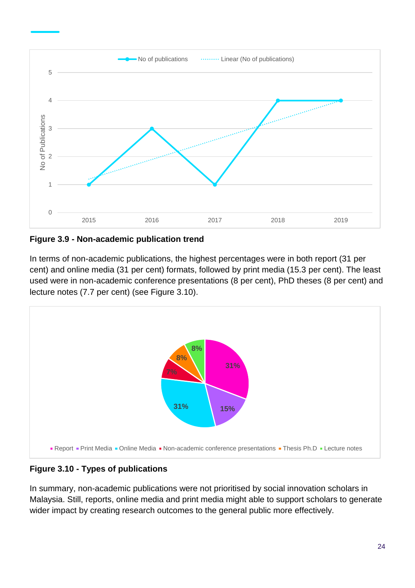

**Figure 3.9 - Non-academic publication trend**

In terms of non-academic publications, the highest percentages were in both report (31 per cent) and online media (31 per cent) formats, followed by print media (15.3 per cent). The least used were in non-academic conference presentations (8 per cent), PhD theses (8 per cent) and lecture notes (7.7 per cent) (see Figure 3.10).



### **Figure 3.10 - Types of publications**

In summary, non-academic publications were not prioritised by social innovation scholars in Malaysia. Still, reports, online media and print media might able to support scholars to generate wider impact by creating research outcomes to the general public more effectively.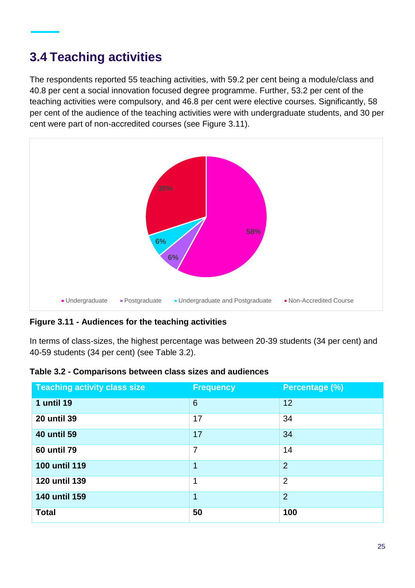### **3.4 Teaching activities**

The respondents reported 55 teaching activities, with 59.2 per cent being a module/class and 40.8 per cent a social innovation focused degree programme. Further, 53.2 per cent of the teaching activities were compulsory, and 46.8 per cent were elective courses. Significantly, 58 per cent of the audience of the teaching activities were with undergraduate students, and 30 per cent were part of non-accredited courses (see Figure 3.11).



**Figure 3.11 - Audiences for the teaching activities**

In terms of class-sizes, the highest percentage was between 20-39 students (34 per cent) and 40-59 students (34 per cent) (see Table 3.2).

| Table 3.2 - Comparisons between class sizes and audiences |  |  |  |
|-----------------------------------------------------------|--|--|--|
|-----------------------------------------------------------|--|--|--|

| <b>Teaching activity class size</b> | <b>Frequency</b> | Percentage (%) |
|-------------------------------------|------------------|----------------|
| <b>1 until 19</b>                   | $6\phantom{1}6$  | 12             |
| <b>20 until 39</b>                  | 17               | 34             |
| <b>40 until 59</b>                  | 17               | 34             |
| <b>60 until 79</b>                  | $\overline{7}$   | 14             |
| <b>100 until 119</b>                | 1                | $\overline{2}$ |
| 120 until 139                       | 1                | $\overline{2}$ |
| <b>140 until 159</b>                | 1                | $\overline{2}$ |
| <b>Total</b>                        | 50               | 100            |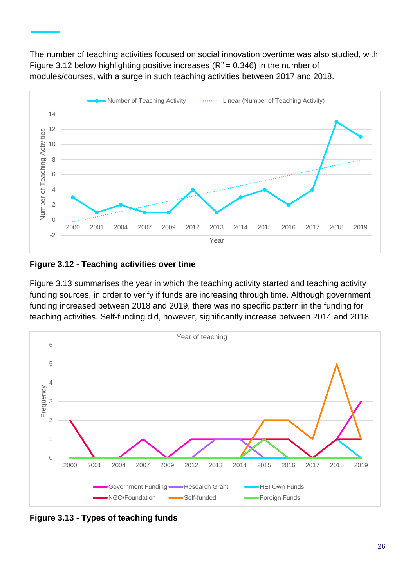The number of teaching activities focused on social innovation overtime was also studied, with Figure 3.12 below highlighting positive increases ( $R^2$  = 0.346) in the number of modules/courses, with a surge in such teaching activities between 2017 and 2018.



#### **Figure 3.12 - Teaching activities over time**

Figure 3.13 summarises the year in which the teaching activity started and teaching activity funding sources, in order to verify if funds are increasing through time. Although government funding increased between 2018 and 2019, there was no specific pattern in the funding for teaching activities. Self-funding did, however, significantly increase between 2014 and 2018.



**Figure 3.13 - Types of teaching funds**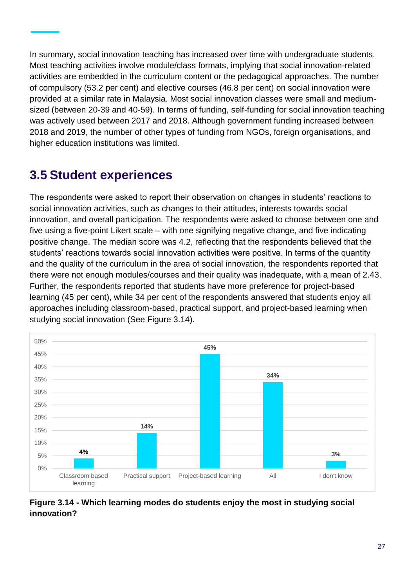In summary, social innovation teaching has increased over time with undergraduate students. Most teaching activities involve module/class formats, implying that social innovation-related activities are embedded in the curriculum content or the pedagogical approaches. The number of compulsory (53.2 per cent) and elective courses (46.8 per cent) on social innovation were provided at a similar rate in Malaysia. Most social innovation classes were small and mediumsized (between 20-39 and 40-59). In terms of funding, self-funding for social innovation teaching was actively used between 2017 and 2018. Although government funding increased between 2018 and 2019, the number of other types of funding from NGOs, foreign organisations, and higher education institutions was limited.

### **3.5 Student experiences**

The respondents were asked to report their observation on changes in students' reactions to social innovation activities, such as changes to their attitudes, interests towards social innovation, and overall participation. The respondents were asked to choose between one and five using a five-point Likert scale – with one signifying negative change, and five indicating positive change. The median score was 4.2, reflecting that the respondents believed that the students' reactions towards social innovation activities were positive. In terms of the quantity and the quality of the curriculum in the area of social innovation, the respondents reported that there were not enough modules/courses and their quality was inadequate, with a mean of 2.43. Further, the respondents reported that students have more preference for project-based learning (45 per cent), while 34 per cent of the respondents answered that students enjoy all approaches including classroom-based, practical support, and project-based learning when studying social innovation (See Figure 3.14).



**Figure 3.14 - Which learning modes do students enjoy the most in studying social innovation?**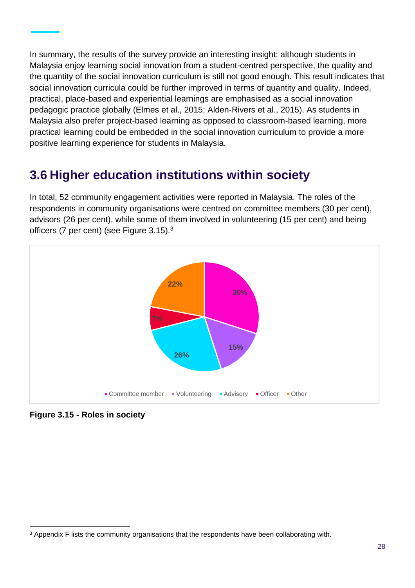In summary, the results of the survey provide an interesting insight: although students in Malaysia enjoy learning social innovation from a student-centred perspective, the quality and the quantity of the social innovation curriculum is still not good enough. This result indicates that social innovation curricula could be further improved in terms of quantity and quality. Indeed, practical, place-based and experiential learnings are emphasised as a social innovation pedagogic practice globally (Elmes et al., 2015; Alden-Rivers et al., 2015). As students in Malaysia also prefer project-based learning as opposed to classroom-based learning, more practical learning could be embedded in the social innovation curriculum to provide a more positive learning experience for students in Malaysia.

### **3.6 Higher education institutions within society**

In total, 52 community engagement activities were reported in Malaysia. The roles of the respondents in community organisations were centred on committee members (30 per cent), advisors (26 per cent), while some of them involved in volunteering (15 per cent) and being officers (7 per cent) (see Figure 3.15).<sup>3</sup>



**Figure 3.15 - Roles in society**

l <sup>3</sup> Appendix F lists the community organisations that the respondents have been collaborating with.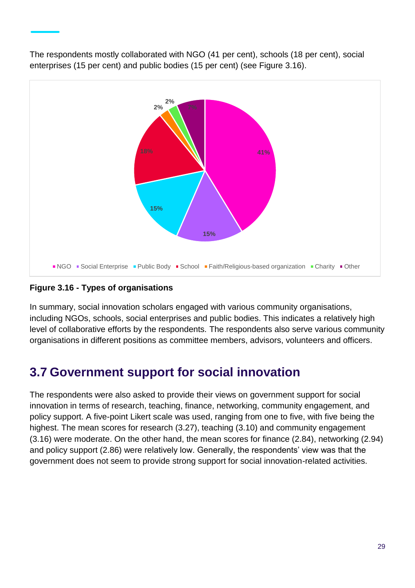

The respondents mostly collaborated with NGO (41 per cent), schools (18 per cent), social enterprises (15 per cent) and public bodies (15 per cent) (see Figure 3.16).

#### **Figure 3.16 - Types of organisations**

In summary, social innovation scholars engaged with various community organisations, including NGOs, schools, social enterprises and public bodies. This indicates a relatively high level of collaborative efforts by the respondents. The respondents also serve various community organisations in different positions as committee members, advisors, volunteers and officers.

### **3.7 Government support for social innovation**

The respondents were also asked to provide their views on government support for social innovation in terms of research, teaching, finance, networking, community engagement, and policy support. A five-point Likert scale was used, ranging from one to five, with five being the highest. The mean scores for research (3.27), teaching (3.10) and community engagement (3.16) were moderate. On the other hand, the mean scores for finance (2.84), networking (2.94) and policy support (2.86) were relatively low. Generally, the respondents' view was that the government does not seem to provide strong support for social innovation-related activities.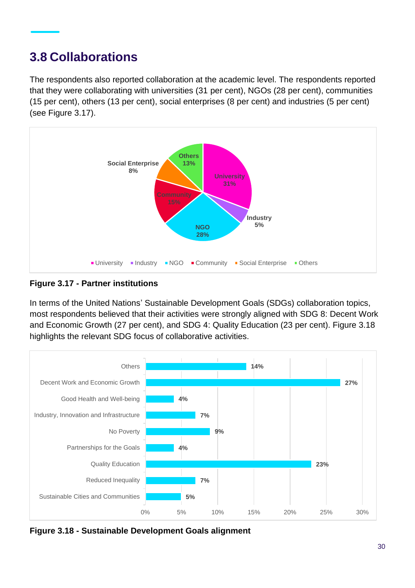### **3.8 Collaborations**

The respondents also reported collaboration at the academic level. The respondents reported that they were collaborating with universities (31 per cent), NGOs (28 per cent), communities (15 per cent), others (13 per cent), social enterprises (8 per cent) and industries (5 per cent) (see Figure 3.17).



**Figure 3.17 - Partner institutions**

In terms of the United Nations' Sustainable Development Goals (SDGs) collaboration topics, most respondents believed that their activities were strongly aligned with SDG 8: Decent Work and Economic Growth (27 per cent), and SDG 4: Quality Education (23 per cent). Figure 3.18 highlights the relevant SDG focus of collaborative activities.



**Figure 3.18 - Sustainable Development Goals alignment**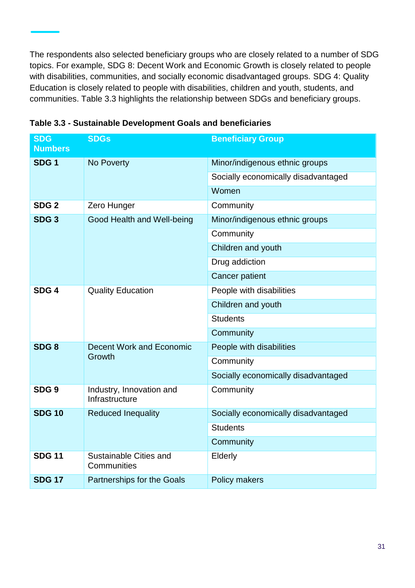The respondents also selected beneficiary groups who are closely related to a number of SDG topics. For example, SDG 8: Decent Work and Economic Growth is closely related to people with disabilities, communities, and socially economic disadvantaged groups. SDG 4: Quality Education is closely related to people with disabilities, children and youth, students, and communities. Table 3.3 highlights the relationship between SDGs and beneficiary groups.

| <b>SDG</b><br><b>Numbers</b> | <b>SDGs</b>                                | <b>Beneficiary Group</b>            |  |  |
|------------------------------|--------------------------------------------|-------------------------------------|--|--|
| SDG <sub>1</sub>             | No Poverty                                 | Minor/indigenous ethnic groups      |  |  |
|                              |                                            | Socially economically disadvantaged |  |  |
|                              |                                            | Women                               |  |  |
| SDG <sub>2</sub>             | Zero Hunger                                | Community                           |  |  |
| SDG <sub>3</sub>             | Good Health and Well-being                 | Minor/indigenous ethnic groups      |  |  |
|                              |                                            | Community                           |  |  |
|                              |                                            | Children and youth                  |  |  |
|                              |                                            | Drug addiction                      |  |  |
|                              |                                            | <b>Cancer patient</b>               |  |  |
| SDG <sub>4</sub>             | <b>Quality Education</b>                   | People with disabilities            |  |  |
|                              |                                            | Children and youth                  |  |  |
|                              |                                            | <b>Students</b>                     |  |  |
|                              |                                            | Community                           |  |  |
| SDG <sub>8</sub>             | Decent Work and Economic<br>Growth         | People with disabilities            |  |  |
|                              |                                            | Community                           |  |  |
|                              |                                            | Socially economically disadvantaged |  |  |
| SDG <sub>9</sub>             | Industry, Innovation and<br>Infrastructure | Community                           |  |  |
| <b>SDG 10</b>                | <b>Reduced Inequality</b>                  | Socially economically disadvantaged |  |  |
|                              |                                            | <b>Students</b>                     |  |  |
|                              |                                            | Community                           |  |  |
| <b>SDG 11</b>                | Sustainable Cities and<br>Communities      | Elderly                             |  |  |
| <b>SDG 17</b>                | Partnerships for the Goals                 | Policy makers                       |  |  |

**Table 3.3 - Sustainable Development Goals and beneficiaries**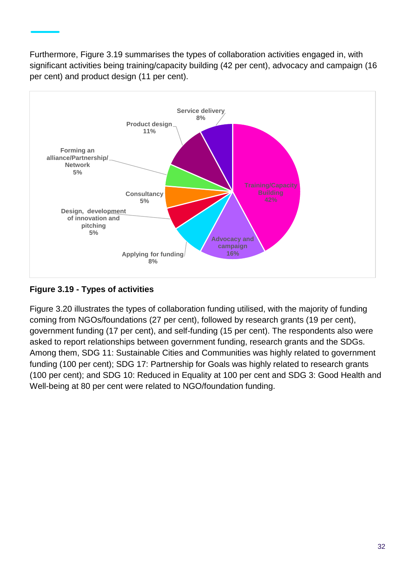Furthermore, Figure 3.19 summarises the types of collaboration activities engaged in, with significant activities being training/capacity building (42 per cent), advocacy and campaign (16 per cent) and product design (11 per cent).



**Figure 3.19 - Types of activities**

Figure 3.20 illustrates the types of collaboration funding utilised, with the majority of funding coming from NGOs/foundations (27 per cent), followed by research grants (19 per cent), government funding (17 per cent), and self-funding (15 per cent). The respondents also were asked to report relationships between government funding, research grants and the SDGs. Among them, SDG 11: Sustainable Cities and Communities was highly related to government funding (100 per cent); SDG 17: Partnership for Goals was highly related to research grants (100 per cent); and SDG 10: Reduced in Equality at 100 per cent and SDG 3: Good Health and Well-being at 80 per cent were related to NGO/foundation funding.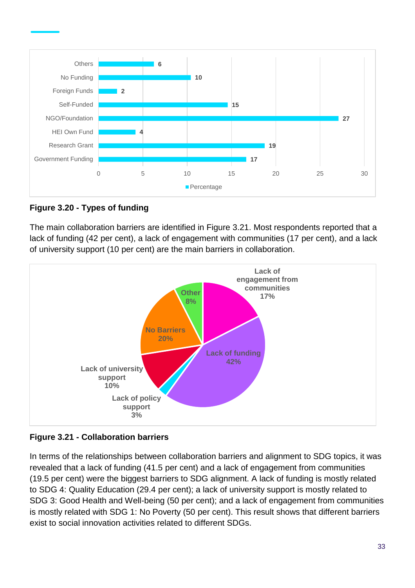



The main collaboration barriers are identified in Figure 3.21. Most respondents reported that a lack of funding (42 per cent), a lack of engagement with communities (17 per cent), and a lack of university support (10 per cent) are the main barriers in collaboration.



**Figure 3.21 - Collaboration barriers**

In terms of the relationships between collaboration barriers and alignment to SDG topics, it was revealed that a lack of funding (41.5 per cent) and a lack of engagement from communities (19.5 per cent) were the biggest barriers to SDG alignment. A lack of funding is mostly related to SDG 4: Quality Education (29.4 per cent); a lack of university support is mostly related to SDG 3: Good Health and Well-being (50 per cent); and a lack of engagement from communities is mostly related with SDG 1: No Poverty (50 per cent). This result shows that different barriers exist to social innovation activities related to different SDGs.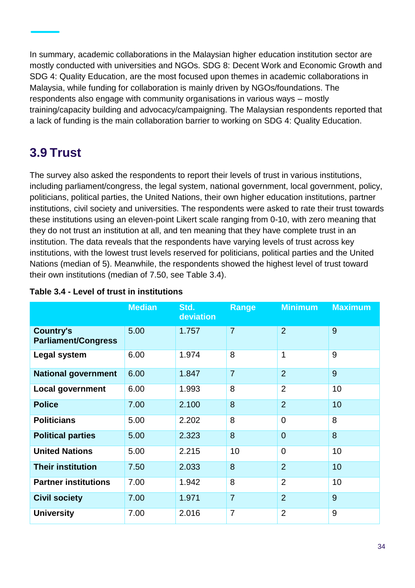In summary, academic collaborations in the Malaysian higher education institution sector are mostly conducted with universities and NGOs. SDG 8: Decent Work and Economic Growth and SDG 4: Quality Education, are the most focused upon themes in academic collaborations in Malaysia, while funding for collaboration is mainly driven by NGOs/foundations. The respondents also engage with community organisations in various ways – mostly training/capacity building and advocacy/campaigning. The Malaysian respondents reported that a lack of funding is the main collaboration barrier to working on SDG 4: Quality Education.

### **3.9 Trust**

The survey also asked the respondents to report their levels of trust in various institutions, including parliament/congress, the legal system, national government, local government, policy, politicians, political parties, the United Nations, their own higher education institutions, partner institutions, civil society and universities. The respondents were asked to rate their trust towards these institutions using an eleven-point Likert scale ranging from 0-10, with zero meaning that they do not trust an institution at all, and ten meaning that they have complete trust in an institution. The data reveals that the respondents have varying levels of trust across key institutions, with the lowest trust levels reserved for politicians, political parties and the United Nations (median of 5). Meanwhile, the respondents showed the highest level of trust toward their own institutions (median of 7.50, see Table 3.4).

|                                                | <b>Median</b> | Std.<br>deviation | <b>Range</b>   | <b>Minimum</b> | <b>Maximum</b> |
|------------------------------------------------|---------------|-------------------|----------------|----------------|----------------|
| <b>Country's</b><br><b>Parliament/Congress</b> | 5.00          | 1.757             | $\overline{7}$ | $\overline{2}$ | 9              |
| Legal system                                   | 6.00          | 1.974             | 8              | 1              | 9              |
| <b>National government</b>                     | 6.00          | 1.847             | $\overline{7}$ | $\overline{2}$ | 9              |
| <b>Local government</b>                        | 6.00          | 1.993             | 8              | $\overline{2}$ | 10             |
| <b>Police</b>                                  | 7.00          | 2.100             | 8              | $\overline{2}$ | 10             |
| <b>Politicians</b>                             | 5.00          | 2.202             | 8              | $\mathbf 0$    | 8              |
| <b>Political parties</b>                       | 5.00          | 2.323             | 8              | $\overline{0}$ | 8              |
| <b>United Nations</b>                          | 5.00          | 2.215             | 10             | $\overline{0}$ | 10             |
| <b>Their institution</b>                       | 7.50          | 2.033             | 8              | $\overline{2}$ | 10             |
| <b>Partner institutions</b>                    | 7.00          | 1.942             | 8              | $\overline{2}$ | 10             |
| <b>Civil society</b>                           | 7.00          | 1.971             | $\overline{7}$ | $\overline{2}$ | 9              |
| <b>University</b>                              | 7.00          | 2.016             | $\overline{7}$ | $\overline{2}$ | 9              |

#### **Table 3.4 - Level of trust in institutions**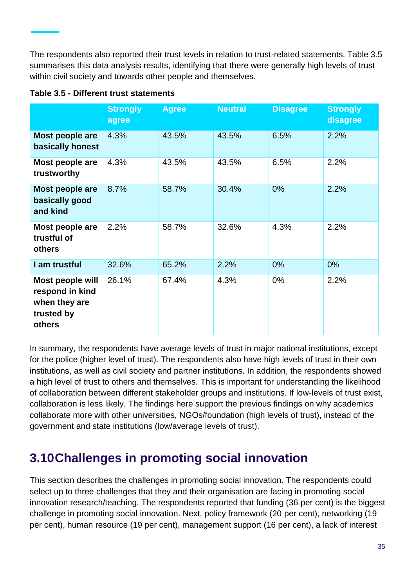The respondents also reported their trust levels in relation to trust-related statements. Table 3.5 summarises this data analysis results, identifying that there were generally high levels of trust within civil society and towards other people and themselves.

|                                                                              | <b>Strongly</b><br>agree | <b>Agree</b> | <b>Neutral</b> | <b>Disagree</b> | <b>Strongly</b><br>disagree |
|------------------------------------------------------------------------------|--------------------------|--------------|----------------|-----------------|-----------------------------|
| Most people are<br>basically honest                                          | 4.3%                     | 43.5%        | 43.5%          | 6.5%            | 2.2%                        |
| Most people are<br>trustworthy                                               | 4.3%                     | 43.5%        | 43.5%          | 6.5%            | 2.2%                        |
| Most people are<br>basically good<br>and kind                                | 8.7%                     | 58.7%        | 30.4%          | 0%              | 2.2%                        |
| Most people are<br>trustful of<br>others                                     | 2.2%                     | 58.7%        | 32.6%          | 4.3%            | 2.2%                        |
| I am trustful                                                                | 32.6%                    | 65.2%        | 2.2%           | 0%              | $0\%$                       |
| Most people will<br>respond in kind<br>when they are<br>trusted by<br>others | 26.1%                    | 67.4%        | 4.3%           | $0\%$           | 2.2%                        |

**Table 3.5 - Different trust statements** 

In summary, the respondents have average levels of trust in major national institutions, except for the police (higher level of trust). The respondents also have high levels of trust in their own institutions, as well as civil society and partner institutions. In addition, the respondents showed a high level of trust to others and themselves. This is important for understanding the likelihood of collaboration between different stakeholder groups and institutions. If low-levels of trust exist, collaboration is less likely. The findings here support the previous findings on why academics collaborate more with other universities, NGOs/foundation (high levels of trust), instead of the government and state institutions (low/average levels of trust).

### **3.10Challenges in promoting social innovation**

This section describes the challenges in promoting social innovation. The respondents could select up to three challenges that they and their organisation are facing in promoting social innovation research/teaching. The respondents reported that funding (36 per cent) is the biggest challenge in promoting social innovation. Next, policy framework (20 per cent), networking (19 per cent), human resource (19 per cent), management support (16 per cent), a lack of interest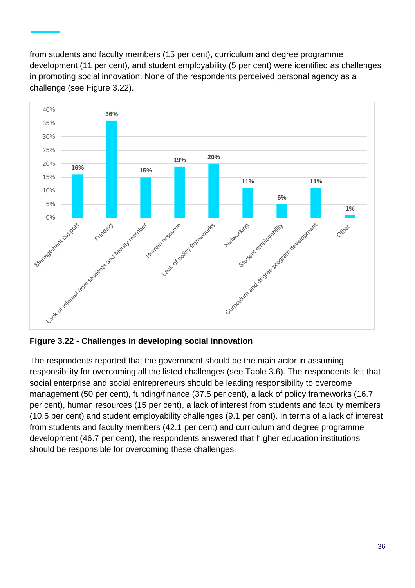from students and faculty members (15 per cent), curriculum and degree programme development (11 per cent), and student employability (5 per cent) were identified as challenges in promoting social innovation. None of the respondents perceived personal agency as a challenge (see Figure 3.22).



**Figure 3.22 - Challenges in developing social innovation**

The respondents reported that the government should be the main actor in assuming responsibility for overcoming all the listed challenges (see Table 3.6). The respondents felt that social enterprise and social entrepreneurs should be leading responsibility to overcome management (50 per cent), funding/finance (37.5 per cent), a lack of policy frameworks (16.7 per cent), human resources (15 per cent), a lack of interest from students and faculty members (10.5 per cent) and student employability challenges (9.1 per cent). In terms of a lack of interest from students and faculty members (42.1 per cent) and curriculum and degree programme development (46.7 per cent), the respondents answered that higher education institutions should be responsible for overcoming these challenges.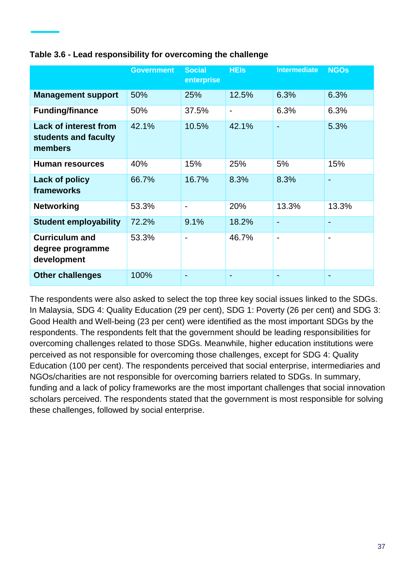|                                                                 | <b>Government</b> | <b>Social</b><br>enterprise | <b>HEIS</b>              | <b>Intermediate</b>      | <b>NGOs</b> |
|-----------------------------------------------------------------|-------------------|-----------------------------|--------------------------|--------------------------|-------------|
| <b>Management support</b>                                       | 50%               | 25%                         | 12.5%                    | 6.3%                     | 6.3%        |
| <b>Funding/finance</b>                                          | 50%               | 37.5%                       | $\overline{\phantom{0}}$ | 6.3%                     | 6.3%        |
| <b>Lack of interest from</b><br>students and faculty<br>members | 42.1%             | 10.5%                       | 42.1%                    | $\blacksquare$           | 5.3%        |
| <b>Human resources</b>                                          | 40%               | 15%                         | 25%                      | 5%                       | 15%         |
| Lack of policy<br>frameworks                                    | 66.7%             | 16.7%                       | 8.3%                     | 8.3%                     |             |
| <b>Networking</b>                                               | 53.3%             |                             | 20%                      | 13.3%                    | 13.3%       |
| <b>Student employability</b>                                    | 72.2%             | 9.1%                        | 18.2%                    |                          |             |
| <b>Curriculum and</b><br>degree programme<br>development        | 53.3%             |                             | 46.7%                    | $\overline{\phantom{0}}$ |             |
| <b>Other challenges</b>                                         | 100%              |                             |                          |                          |             |

#### **Table 3.6 - Lead responsibility for overcoming the challenge**

The respondents were also asked to select the top three key social issues linked to the SDGs. In Malaysia, SDG 4: Quality Education (29 per cent), SDG 1: Poverty (26 per cent) and SDG 3: Good Health and Well-being (23 per cent) were identified as the most important SDGs by the respondents. The respondents felt that the government should be leading responsibilities for overcoming challenges related to those SDGs. Meanwhile, higher education institutions were perceived as not responsible for overcoming those challenges, except for SDG 4: Quality Education (100 per cent). The respondents perceived that social enterprise, intermediaries and NGOs/charities are not responsible for overcoming barriers related to SDGs. In summary, funding and a lack of policy frameworks are the most important challenges that social innovation scholars perceived. The respondents stated that the government is most responsible for solving these challenges, followed by social enterprise.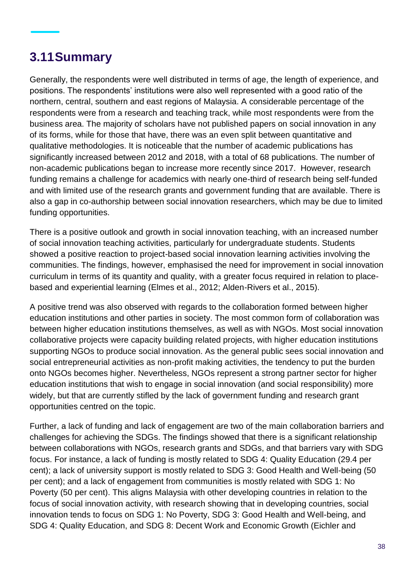### **3.11Summary**

Generally, the respondents were well distributed in terms of age, the length of experience, and positions. The respondents' institutions were also well represented with a good ratio of the northern, central, southern and east regions of Malaysia. A considerable percentage of the respondents were from a research and teaching track, while most respondents were from the business area. The majority of scholars have not published papers on social innovation in any of its forms, while for those that have, there was an even split between quantitative and qualitative methodologies. It is noticeable that the number of academic publications has significantly increased between 2012 and 2018, with a total of 68 publications. The number of non-academic publications began to increase more recently since 2017. However, research funding remains a challenge for academics with nearly one-third of research being self-funded and with limited use of the research grants and government funding that are available. There is also a gap in co-authorship between social innovation researchers, which may be due to limited funding opportunities.

There is a positive outlook and growth in social innovation teaching, with an increased number of social innovation teaching activities, particularly for undergraduate students. Students showed a positive reaction to project-based social innovation learning activities involving the communities. The findings, however, emphasised the need for improvement in social innovation curriculum in terms of its quantity and quality, with a greater focus required in relation to placebased and experiential learning (Elmes et al., 2012; Alden-Rivers et al., 2015).

A positive trend was also observed with regards to the collaboration formed between higher education institutions and other parties in society. The most common form of collaboration was between higher education institutions themselves, as well as with NGOs. Most social innovation collaborative projects were capacity building related projects, with higher education institutions supporting NGOs to produce social innovation. As the general public sees social innovation and social entrepreneurial activities as non-profit making activities, the tendency to put the burden onto NGOs becomes higher. Nevertheless, NGOs represent a strong partner sector for higher education institutions that wish to engage in social innovation (and social responsibility) more widely, but that are currently stifled by the lack of government funding and research grant opportunities centred on the topic.

Further, a lack of funding and lack of engagement are two of the main collaboration barriers and challenges for achieving the SDGs. The findings showed that there is a significant relationship between collaborations with NGOs, research grants and SDGs, and that barriers vary with SDG focus. For instance, a lack of funding is mostly related to SDG 4: Quality Education (29.4 per cent); a lack of university support is mostly related to SDG 3: Good Health and Well-being (50 per cent); and a lack of engagement from communities is mostly related with SDG 1: No Poverty (50 per cent). This aligns Malaysia with other developing countries in relation to the focus of social innovation activity, with research showing that in developing countries, social innovation tends to focus on SDG 1: No Poverty, SDG 3: Good Health and Well-being, and SDG 4: Quality Education, and SDG 8: Decent Work and Economic Growth (Eichler and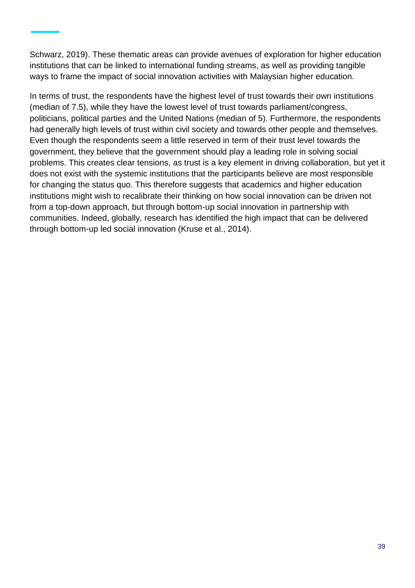Schwarz, 2019). These thematic areas can provide avenues of exploration for higher education institutions that can be linked to international funding streams, as well as providing tangible ways to frame the impact of social innovation activities with Malaysian higher education.

In terms of trust, the respondents have the highest level of trust towards their own institutions (median of 7.5), while they have the lowest level of trust towards parliament/congress, politicians, political parties and the United Nations (median of 5). Furthermore, the respondents had generally high levels of trust within civil society and towards other people and themselves. Even though the respondents seem a little reserved in term of their trust level towards the government, they believe that the government should play a leading role in solving social problems. This creates clear tensions, as trust is a key element in driving collaboration, but yet it does not exist with the systemic institutions that the participants believe are most responsible for changing the status quo. This therefore suggests that academics and higher education institutions might wish to recalibrate their thinking on how social innovation can be driven not from a top-down approach, but through bottom-up social innovation in partnership with communities. Indeed, globally, research has identified the high impact that can be delivered through bottom-up led social innovation (Kruse et al., 2014).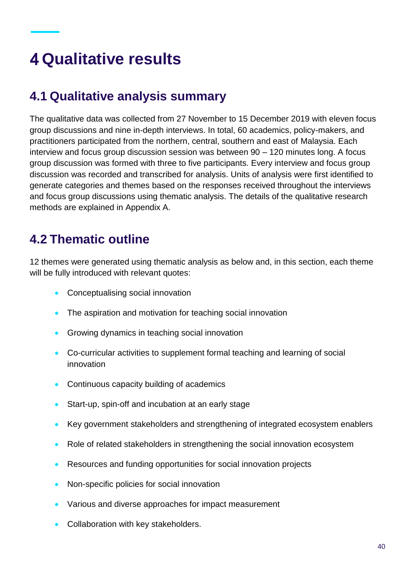# **Qualitative results**

### **4.1 Qualitative analysis summary**

The qualitative data was collected from 27 November to 15 December 2019 with eleven focus group discussions and nine in-depth interviews. In total, 60 academics, policy-makers, and practitioners participated from the northern, central, southern and east of Malaysia. Each interview and focus group discussion session was between 90 – 120 minutes long. A focus group discussion was formed with three to five participants. Every interview and focus group discussion was recorded and transcribed for analysis. Units of analysis were first identified to generate categories and themes based on the responses received throughout the interviews and focus group discussions using thematic analysis. The details of the qualitative research methods are explained in Appendix A.

### **4.2 Thematic outline**

12 themes were generated using thematic analysis as below and, in this section, each theme will be fully introduced with relevant quotes:

- Conceptualising social innovation
- The aspiration and motivation for teaching social innovation
- Growing dynamics in teaching social innovation
- Co-curricular activities to supplement formal teaching and learning of social innovation
- Continuous capacity building of academics
- Start-up, spin-off and incubation at an early stage
- Key government stakeholders and strengthening of integrated ecosystem enablers
- Role of related stakeholders in strengthening the social innovation ecosystem
- Resources and funding opportunities for social innovation projects
- Non-specific policies for social innovation
- Various and diverse approaches for impact measurement
- Collaboration with key stakeholders.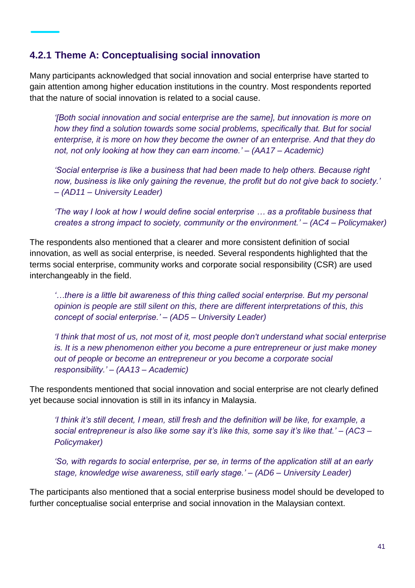#### **4.2.1 Theme A: Conceptualising social innovation**

Many participants acknowledged that social innovation and social enterprise have started to gain attention among higher education institutions in the country. Most respondents reported that the nature of social innovation is related to a social cause.

*'[Both social innovation and social enterprise are the same], but innovation is more on how they find a solution towards some social problems, specifically that. But for social enterprise, it is more on how they become the owner of an enterprise. And that they do not, not only looking at how they can earn income.' – (AA17 – Academic)*

*'Social enterprise is like a business that had been made to help others. Because right now, business is like only gaining the revenue, the profit but do not give back to society.' – (AD11 – University Leader)*

*'The way I look at how I would define social enterprise … as a profitable business that creates a strong impact to society, community or the environment.' – (AC4 – Policymaker)*

The respondents also mentioned that a clearer and more consistent definition of social innovation, as well as social enterprise, is needed. Several respondents highlighted that the terms social enterprise, community works and corporate social responsibility (CSR) are used interchangeably in the field.

*'…there is a little bit awareness of this thing called social enterprise. But my personal opinion is people are still silent on this, there are different interpretations of this, this concept of social enterprise.' – (AD5 – University Leader)*

*'I think that most of us, not most of it, most people don't understand what social enterprise is. It is a new phenomenon either you become a pure entrepreneur or just make money out of people or become an entrepreneur or you become a corporate social responsibility.' – (AA13 – Academic)*

The respondents mentioned that social innovation and social enterprise are not clearly defined yet because social innovation is still in its infancy in Malaysia.

*'I think it's still decent, I mean, still fresh and the definition will be like, for example, a social entrepreneur is also like some say it's like this, some say it's like that.' – (AC3 – Policymaker)*

*'So, with regards to social enterprise, per se, in terms of the application still at an early stage, knowledge wise awareness, still early stage.' – (AD6 – University Leader)*

The participants also mentioned that a social enterprise business model should be developed to further conceptualise social enterprise and social innovation in the Malaysian context.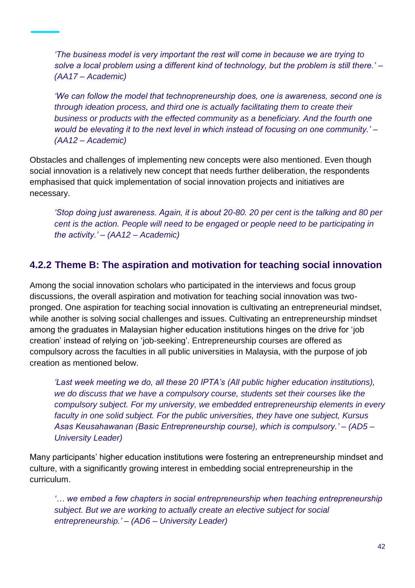*'The business model is very important the rest will come in because we are trying to solve a local problem using a different kind of technology, but the problem is still there.' – (AA17 – Academic)*

*'We can follow the model that technopreneurship does, one is awareness, second one is through ideation process, and third one is actually facilitating them to create their business or products with the effected community as a beneficiary. And the fourth one would be elevating it to the next level in which instead of focusing on one community.' – (AA12 – Academic)*

Obstacles and challenges of implementing new concepts were also mentioned. Even though social innovation is a relatively new concept that needs further deliberation, the respondents emphasised that quick implementation of social innovation projects and initiatives are necessary.

*'Stop doing just awareness. Again, it is about 20-80. 20 per cent is the talking and 80 per cent is the action. People will need to be engaged or people need to be participating in the activity.' – (AA12 – Academic)*

### **4.2.2 Theme B: The aspiration and motivation for teaching social innovation**

Among the social innovation scholars who participated in the interviews and focus group discussions, the overall aspiration and motivation for teaching social innovation was twopronged. One aspiration for teaching social innovation is cultivating an entrepreneurial mindset, while another is solving social challenges and issues. Cultivating an entrepreneurship mindset among the graduates in Malaysian higher education institutions hinges on the drive for 'job creation' instead of relying on 'job-seeking'. Entrepreneurship courses are offered as compulsory across the faculties in all public universities in Malaysia, with the purpose of job creation as mentioned below.

*'Last week meeting we do, all these 20 IPTA's (All public higher education institutions), we do discuss that we have a compulsory course, students set their courses like the compulsory subject. For my university, we embedded entrepreneurship elements in every faculty in one solid subject. For the public universities, they have one subject, Kursus Asas Keusahawanan (Basic Entrepreneurship course), which is compulsory.' – (AD5 – University Leader)*

Many participants' higher education institutions were fostering an entrepreneurship mindset and culture, with a significantly growing interest in embedding social entrepreneurship in the curriculum.

*'… we embed a few chapters in social entrepreneurship when teaching entrepreneurship subject. But we are working to actually create an elective subject for social entrepreneurship.' – (AD6 – University Leader)*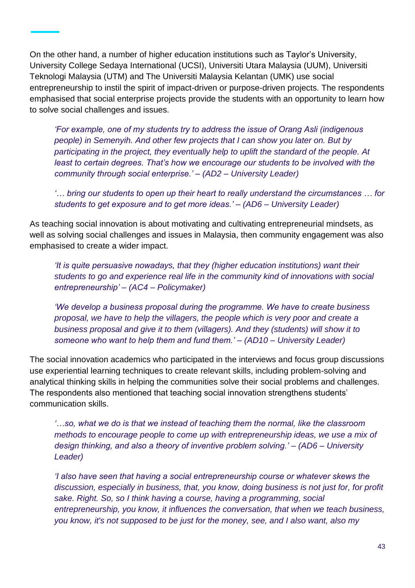On the other hand, a number of higher education institutions such as Taylor's University, University College Sedaya International (UCSI), Universiti Utara Malaysia (UUM), Universiti Teknologi Malaysia (UTM) and The Universiti Malaysia Kelantan (UMK) use social entrepreneurship to instil the spirit of impact-driven or purpose-driven projects. The respondents emphasised that social enterprise projects provide the students with an opportunity to learn how to solve social challenges and issues.

*'For example, one of my students try to address the issue of Orang Asli (indigenous people) in Semenyih. And other few projects that I can show you later on. But by participating in the project, they eventually help to uplift the standard of the people. At least to certain degrees. That's how we encourage our students to be involved with the community through social enterprise.' – (AD2 – University Leader)*

*'… bring our students to open up their heart to really understand the circumstances … for students to get exposure and to get more ideas.' – (AD6 – University Leader)*

As teaching social innovation is about motivating and cultivating entrepreneurial mindsets, as well as solving social challenges and issues in Malaysia, then community engagement was also emphasised to create a wider impact.

*'It is quite persuasive nowadays, that they (higher education institutions) want their students to go and experience real life in the community kind of innovations with social entrepreneurship' – (AC4 – Policymaker)*

*'We develop a business proposal during the programme. We have to create business proposal, we have to help the villagers, the people which is very poor and create a business proposal and give it to them (villagers). And they (students) will show it to someone who want to help them and fund them.' – (AD10 – University Leader)*

The social innovation academics who participated in the interviews and focus group discussions use experiential learning techniques to create relevant skills, including problem-solving and analytical thinking skills in helping the communities solve their social problems and challenges. The respondents also mentioned that teaching social innovation strengthens students' communication skills.

*'…so, what we do is that we instead of teaching them the normal, like the classroom methods to encourage people to come up with entrepreneurship ideas, we use a mix of design thinking, and also a theory of inventive problem solving.' – (AD6 – University Leader)*

*'I also have seen that having a social entrepreneurship course or whatever skews the discussion, especially in business, that, you know, doing business is not just for, for profit sake. Right. So, so I think having a course, having a programming, social entrepreneurship, you know, it influences the conversation, that when we teach business, you know, it's not supposed to be just for the money, see, and I also want, also my*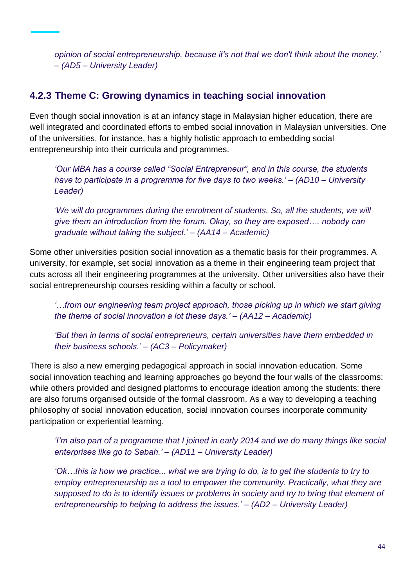*opinion of social entrepreneurship, because it's not that we don't think about the money.' – (AD5 – University Leader)*

#### **4.2.3 Theme C: Growing dynamics in teaching social innovation**

Even though social innovation is at an infancy stage in Malaysian higher education, there are well integrated and coordinated efforts to embed social innovation in Malaysian universities. One of the universities, for instance, has a highly holistic approach to embedding social entrepreneurship into their curricula and programmes.

*'Our MBA has a course called "Social Entrepreneur", and in this course, the students have to participate in a programme for five days to two weeks.' – (AD10 – University Leader)*

*'We will do programmes during the enrolment of students. So, all the students, we will give them an introduction from the forum. Okay, so they are exposed…. nobody can graduate without taking the subject.' – (AA14 – Academic)*

Some other universities position social innovation as a thematic basis for their programmes. A university, for example, set social innovation as a theme in their engineering team project that cuts across all their engineering programmes at the university. Other universities also have their social entrepreneurship courses residing within a faculty or school.

*'…from our engineering team project approach, those picking up in which we start giving the theme of social innovation a lot these days.' – (AA12 – Academic)*

*'But then in terms of social entrepreneurs, certain universities have them embedded in their business schools.' – (AC3 – Policymaker)*

There is also a new emerging pedagogical approach in social innovation education. Some social innovation teaching and learning approaches go beyond the four walls of the classrooms; while others provided and designed platforms to encourage ideation among the students; there are also forums organised outside of the formal classroom. As a way to developing a teaching philosophy of social innovation education, social innovation courses incorporate community participation or experiential learning.

*'I'm also part of a programme that I joined in early 2014 and we do many things like social enterprises like go to Sabah.' – (AD11 – University Leader)*

*'Ok…this is how we practice... what we are trying to do, is to get the students to try to employ entrepreneurship as a tool to empower the community. Practically, what they are supposed to do is to identify issues or problems in society and try to bring that element of entrepreneurship to helping to address the issues.' – (AD2 – University Leader)*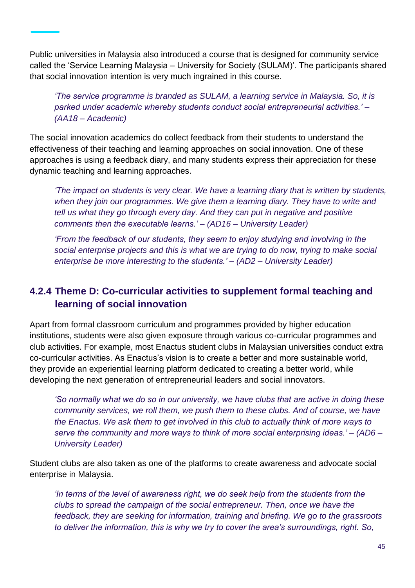Public universities in Malaysia also introduced a course that is designed for community service called the 'Service Learning Malaysia – University for Society (SULAM)'. The participants shared that social innovation intention is very much ingrained in this course.

*'The service programme is branded as SULAM, a learning service in Malaysia. So, it is parked under academic whereby students conduct social entrepreneurial activities.' – (AA18 – Academic)*

The social innovation academics do collect feedback from their students to understand the effectiveness of their teaching and learning approaches on social innovation. One of these approaches is using a feedback diary, and many students express their appreciation for these dynamic teaching and learning approaches.

*'The impact on students is very clear. We have a learning diary that is written by students, when they join our programmes. We give them a learning diary. They have to write and tell us what they go through every day. And they can put in negative and positive comments then the executable learns.' – (AD16 – University Leader)*

*'From the feedback of our students, they seem to enjoy studying and involving in the social enterprise projects and this is what we are trying to do now, trying to make social enterprise be more interesting to the students.' – (AD2 – University Leader)*

### **4.2.4 Theme D: Co-curricular activities to supplement formal teaching and learning of social innovation**

Apart from formal classroom curriculum and programmes provided by higher education institutions, students were also given exposure through various co-curricular programmes and club activities. For example, most Enactus student clubs in Malaysian universities conduct extra co-curricular activities. As Enactus's vision is to create a better and more sustainable world, they provide an experiential learning platform dedicated to creating a better world, while developing the next generation of entrepreneurial leaders and social innovators.

*'So normally what we do so in our university, we have clubs that are active in doing these community services, we roll them, we push them to these clubs. And of course, we have the Enactus. We ask them to get involved in this club to actually think of more ways to serve the community and more ways to think of more social enterprising ideas.' – (AD6 – University Leader)*

Student clubs are also taken as one of the platforms to create awareness and advocate social enterprise in Malaysia.

*'In terms of the level of awareness right, we do seek help from the students from the clubs to spread the campaign of the social entrepreneur. Then, once we have the feedback, they are seeking for information, training and briefing. We go to the grassroots to deliver the information, this is why we try to cover the area's surroundings, right. So,*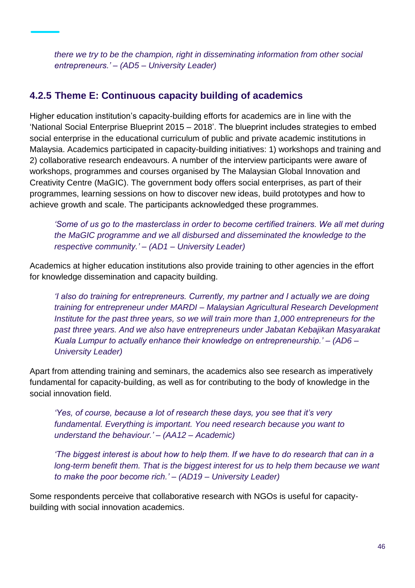*there we try to be the champion, right in disseminating information from other social entrepreneurs.' – (AD5 – University Leader)*

### **4.2.5 Theme E: Continuous capacity building of academics**

Higher education institution's capacity-building efforts for academics are in line with the 'National Social Enterprise Blueprint 2015 – 2018'. The blueprint includes strategies to embed social enterprise in the educational curriculum of public and private academic institutions in Malaysia. Academics participated in capacity-building initiatives: 1) workshops and training and 2) collaborative research endeavours. A number of the interview participants were aware of workshops, programmes and courses organised by The Malaysian Global Innovation and Creativity Centre (MaGIC). The government body offers social enterprises, as part of their programmes, learning sessions on how to discover new ideas, build prototypes and how to achieve growth and scale. The participants acknowledged these programmes.

*'Some of us go to the masterclass in order to become certified trainers. We all met during the MaGIC programme and we all disbursed and disseminated the knowledge to the respective community.' – (AD1 – University Leader)*

Academics at higher education institutions also provide training to other agencies in the effort for knowledge dissemination and capacity building.

*'I also do training for entrepreneurs. Currently, my partner and I actually we are doing training for entrepreneur under MARDI – Malaysian Agricultural Research Development Institute for the past three years, so we will train more than 1,000 entrepreneurs for the past three years. And we also have entrepreneurs under Jabatan Kebajikan Masyarakat Kuala Lumpur to actually enhance their knowledge on entrepreneurship.' – (AD6 – University Leader)*

Apart from attending training and seminars, the academics also see research as imperatively fundamental for capacity-building, as well as for contributing to the body of knowledge in the social innovation field.

*'Yes, of course, because a lot of research these days, you see that it's very fundamental. Everything is important. You need research because you want to understand the behaviour.' – (AA12 – Academic)*

*'The biggest interest is about how to help them. If we have to do research that can in a long-term benefit them. That is the biggest interest for us to help them because we want to make the poor become rich.' – (AD19 – University Leader)*

Some respondents perceive that collaborative research with NGOs is useful for capacitybuilding with social innovation academics.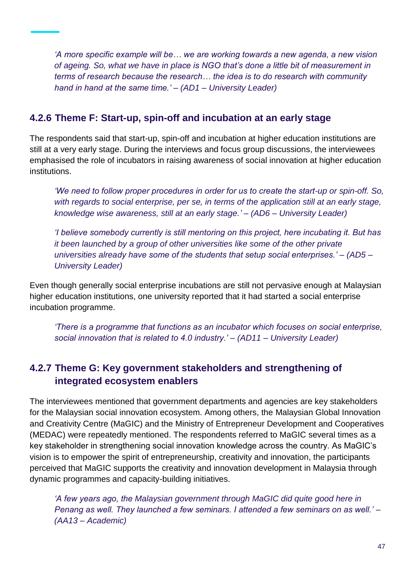*'A more specific example will be… we are working towards a new agenda, a new vision of ageing. So, what we have in place is NGO that's done a little bit of measurement in terms of research because the research… the idea is to do research with community hand in hand at the same time.' – (AD1 – University Leader)*

#### **4.2.6 Theme F: Start-up, spin-off and incubation at an early stage**

The respondents said that start-up, spin-off and incubation at higher education institutions are still at a very early stage. During the interviews and focus group discussions, the interviewees emphasised the role of incubators in raising awareness of social innovation at higher education institutions.

*'We need to follow proper procedures in order for us to create the start-up or spin-off. So, with regards to social enterprise, per se, in terms of the application still at an early stage, knowledge wise awareness, still at an early stage.' – (AD6 – University Leader)*

*'I believe somebody currently is still mentoring on this project, here incubating it. But has it been launched by a group of other universities like some of the other private universities already have some of the students that setup social enterprises.' – (AD5 – University Leader)*

Even though generally social enterprise incubations are still not pervasive enough at Malaysian higher education institutions, one university reported that it had started a social enterprise incubation programme.

*'There is a programme that functions as an incubator which focuses on social enterprise, social innovation that is related to 4.0 industry.' – (AD11 – University Leader)*

### **4.2.7 Theme G: Key government stakeholders and strengthening of integrated ecosystem enablers**

The interviewees mentioned that government departments and agencies are key stakeholders for the Malaysian social innovation ecosystem. Among others, the Malaysian Global Innovation and Creativity Centre (MaGIC) and the Ministry of Entrepreneur Development and Cooperatives (MEDAC) were repeatedly mentioned. The respondents referred to MaGIC several times as a key stakeholder in strengthening social innovation knowledge across the country. As MaGIC's vision is to empower the spirit of entrepreneurship, creativity and innovation, the participants perceived that MaGIC supports the creativity and innovation development in Malaysia through dynamic programmes and capacity-building initiatives.

*'A few years ago, the Malaysian government through MaGIC did quite good here in Penang as well. They launched a few seminars. I attended a few seminars on as well.' – (AA13 – Academic)*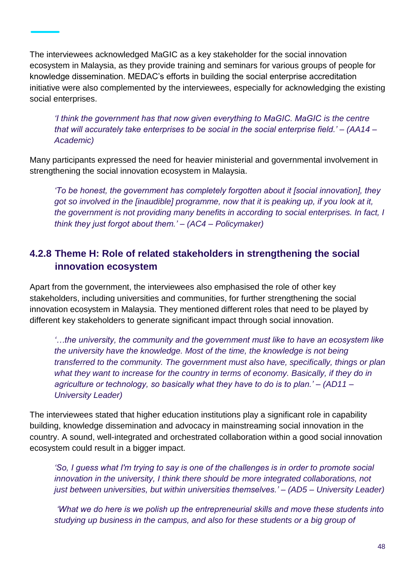The interviewees acknowledged MaGIC as a key stakeholder for the social innovation ecosystem in Malaysia, as they provide training and seminars for various groups of people for knowledge dissemination. MEDAC's efforts in building the social enterprise accreditation initiative were also complemented by the interviewees, especially for acknowledging the existing social enterprises.

*'I think the government has that now given everything to MaGIC. MaGIC is the centre that will accurately take enterprises to be social in the social enterprise field.' – (AA14 – Academic)*

Many participants expressed the need for heavier ministerial and governmental involvement in strengthening the social innovation ecosystem in Malaysia.

*'To be honest, the government has completely forgotten about it [social innovation], they got so involved in the [inaudible] programme, now that it is peaking up, if you look at it, the government is not providing many benefits in according to social enterprises. In fact, I think they just forgot about them.' – (AC4 – Policymaker)*

### **4.2.8 Theme H: Role of related stakeholders in strengthening the social innovation ecosystem**

Apart from the government, the interviewees also emphasised the role of other key stakeholders, including universities and communities, for further strengthening the social innovation ecosystem in Malaysia. They mentioned different roles that need to be played by different key stakeholders to generate significant impact through social innovation.

*'…the university, the community and the government must like to have an ecosystem like the university have the knowledge. Most of the time, the knowledge is not being transferred to the community. The government must also have, specifically, things or plan what they want to increase for the country in terms of economy. Basically, if they do in agriculture or technology, so basically what they have to do is to plan.' – (AD11 – University Leader)*

The interviewees stated that higher education institutions play a significant role in capability building, knowledge dissemination and advocacy in mainstreaming social innovation in the country. A sound, well-integrated and orchestrated collaboration within a good social innovation ecosystem could result in a bigger impact.

*'So, I guess what I'm trying to say is one of the challenges is in order to promote social innovation in the university, I think there should be more integrated collaborations, not just between universities, but within universities themselves.' – (AD5 – University Leader)*

*'What we do here is we polish up the entrepreneurial skills and move these students into studying up business in the campus, and also for these students or a big group of*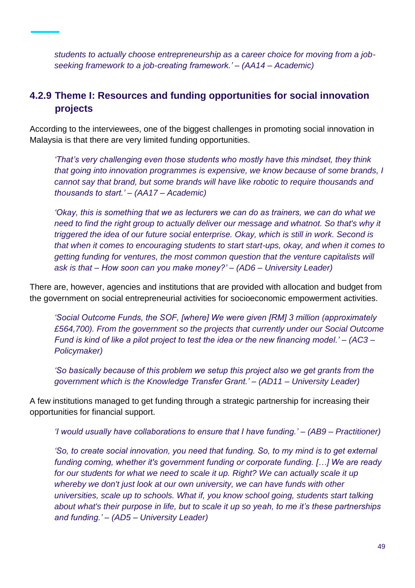*students to actually choose entrepreneurship as a career choice for moving from a jobseeking framework to a job-creating framework.' – (AA14 – Academic)*

### **4.2.9 Theme I: Resources and funding opportunities for social innovation projects**

According to the interviewees, one of the biggest challenges in promoting social innovation in Malaysia is that there are very limited funding opportunities.

*'That's very challenging even those students who mostly have this mindset, they think that going into innovation programmes is expensive, we know because of some brands, I cannot say that brand, but some brands will have like robotic to require thousands and thousands to start.' – (AA17 – Academic)*

*'Okay, this is something that we as lecturers we can do as trainers, we can do what we need to find the right group to actually deliver our message and whatnot. So that's why it triggered the idea of our future social enterprise. Okay, which is still in work. Second is that when it comes to encouraging students to start start-ups, okay, and when it comes to getting funding for ventures, the most common question that the venture capitalists will ask is that – How soon can you make money?' – (AD6 – University Leader)*

There are, however, agencies and institutions that are provided with allocation and budget from the government on social entrepreneurial activities for socioeconomic empowerment activities.

*'Social Outcome Funds, the SOF, [where] We were given [RM] 3 million (approximately £564,700). From the government so the projects that currently under our Social Outcome Fund is kind of like a pilot project to test the idea or the new financing model.' – (AC3 – Policymaker)*

*'So basically because of this problem we setup this project also we get grants from the government which is the Knowledge Transfer Grant.' – (AD11 – University Leader)*

A few institutions managed to get funding through a strategic partnership for increasing their opportunities for financial support.

*'I would usually have collaborations to ensure that I have funding.' – (AB9 – Practitioner)*

*'So, to create social innovation, you need that funding. So, to my mind is to get external funding coming, whether it's government funding or corporate funding. […] We are ready for our students for what we need to scale it up. Right? We can actually scale it up whereby we don't just look at our own university, we can have funds with other universities, scale up to schools. What if, you know school going, students start talking about what's their purpose in life, but to scale it up so yeah, to me it's these partnerships and funding.' – (AD5 – University Leader)*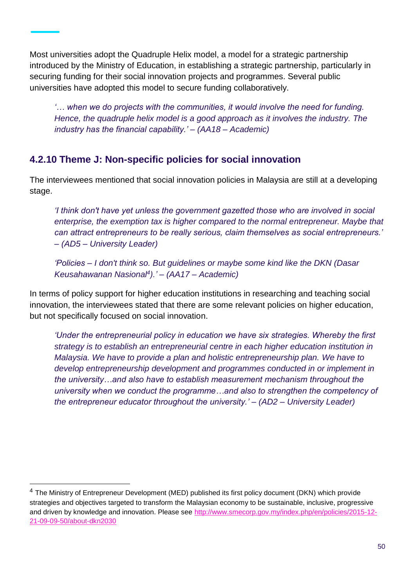Most universities adopt the Quadruple Helix model, a model for a strategic partnership introduced by the Ministry of Education, in establishing a strategic partnership, particularly in securing funding for their social innovation projects and programmes. Several public universities have adopted this model to secure funding collaboratively.

*'… when we do projects with the communities, it would involve the need for funding. Hence, the quadruple helix model is a good approach as it involves the industry. The industry has the financial capability.' – (AA18 – Academic)*

### **4.2.10 Theme J: Non-specific policies for social innovation**

The interviewees mentioned that social innovation policies in Malaysia are still at a developing stage.

*'I think don't have yet unless the government gazetted those who are involved in social enterprise, the exemption tax is higher compared to the normal entrepreneur. Maybe that can attract entrepreneurs to be really serious, claim themselves as social entrepreneurs.' – (AD5 – University Leader)*

*'Policies – I don't think so. But guidelines or maybe some kind like the DKN (Dasar Keusahawanan Nasional<sup>4</sup> ).' – (AA17 – Academic)*

In terms of policy support for higher education institutions in researching and teaching social innovation, the interviewees stated that there are some relevant policies on higher education, but not specifically focused on social innovation.

*'Under the entrepreneurial policy in education we have six strategies. Whereby the first strategy is to establish an entrepreneurial centre in each higher education institution in Malaysia. We have to provide a plan and holistic entrepreneurship plan. We have to develop entrepreneurship development and programmes conducted in or implement in the university…and also have to establish measurement mechanism throughout the university when we conduct the programme…and also to strengthen the competency of the entrepreneur educator throughout the university.' – (AD2 – University Leader)*

l

<sup>&</sup>lt;sup>4</sup> The Ministry of Entrepreneur Development (MED) published its first policy document (DKN) which provide strategies and objectives targeted to transform the Malaysian economy to be sustainable, inclusive, progressive and driven by knowledge and innovation. Please see [http://www.smecorp.gov.my/index.php/en/policies/2015-12-](http://www.smecorp.gov.my/index.php/en/policies/2015-12-21-09-09-50/about-dkn2030) [21-09-09-50/about-dkn2030](http://www.smecorp.gov.my/index.php/en/policies/2015-12-21-09-09-50/about-dkn2030)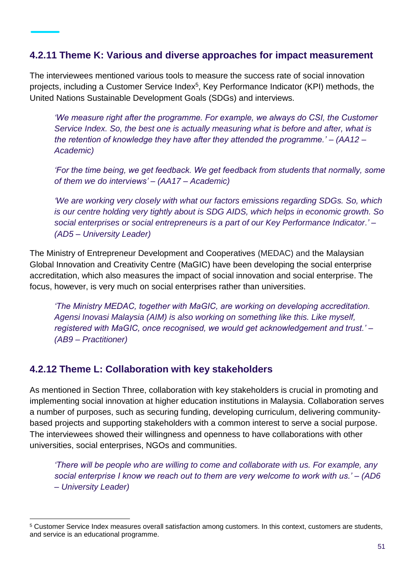#### **4.2.11 Theme K: Various and diverse approaches for impact measurement**

The interviewees mentioned various tools to measure the success rate of social innovation projects, including a Customer Service Index<sup>5</sup>, Key Performance Indicator (KPI) methods, the United Nations Sustainable Development Goals (SDGs) and interviews.

*'We measure right after the programme. For example, we always do CSI, the Customer Service Index. So, the best one is actually measuring what is before and after, what is the retention of knowledge they have after they attended the programme.' – (AA12 – Academic)*

*'For the time being, we get feedback. We get feedback from students that normally, some of them we do interviews' – (AA17 – Academic)*

*'We are working very closely with what our factors emissions regarding SDGs. So, which is our centre holding very tightly about is SDG AIDS, which helps in economic growth. So social enterprises or social entrepreneurs is a part of our Key Performance Indicator.' – (AD5 – University Leader)*

The Ministry of Entrepreneur Development and Cooperatives (MEDAC) and the Malaysian Global Innovation and Creativity Centre (MaGIC) have been developing the social enterprise accreditation, which also measures the impact of social innovation and social enterprise. The focus, however, is very much on social enterprises rather than universities.

*'The Ministry MEDAC, together with MaGIC, are working on developing accreditation. Agensi Inovasi Malaysia (AIM) is also working on something like this. Like myself, registered with MaGIC, once recognised, we would get acknowledgement and trust.' – (AB9 – Practitioner)* 

#### **4.2.12 Theme L: Collaboration with key stakeholders**

 $\overline{a}$ 

As mentioned in Section Three, collaboration with key stakeholders is crucial in promoting and implementing social innovation at higher education institutions in Malaysia. Collaboration serves a number of purposes, such as securing funding, developing curriculum, delivering communitybased projects and supporting stakeholders with a common interest to serve a social purpose. The interviewees showed their willingness and openness to have collaborations with other universities, social enterprises, NGOs and communities.

*'There will be people who are willing to come and collaborate with us. For example, any social enterprise I know we reach out to them are very welcome to work with us.' – (AD6 – University Leader)*

<sup>5</sup> Customer Service Index measures overall satisfaction among customers. In this context, customers are students, and service is an educational programme.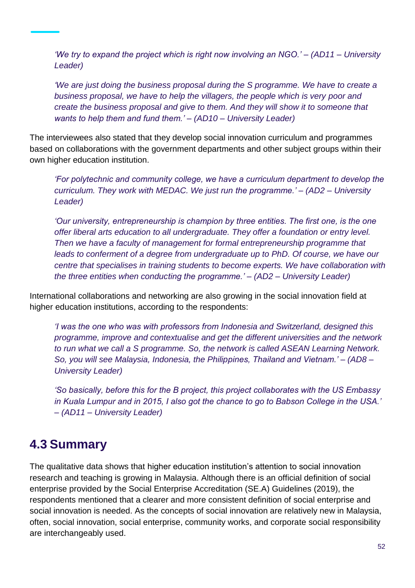*'We try to expand the project which is right now involving an NGO.' – (AD11 – University Leader)*

*'We are just doing the business proposal during the S programme. We have to create a business proposal, we have to help the villagers, the people which is very poor and create the business proposal and give to them. And they will show it to someone that wants to help them and fund them.' – (AD10 – University Leader)*

The interviewees also stated that they develop social innovation curriculum and programmes based on collaborations with the government departments and other subject groups within their own higher education institution.

*'For polytechnic and community college, we have a curriculum department to develop the curriculum. They work with MEDAC. We just run the programme.' – (AD2 – University Leader)*

*'Our university, entrepreneurship is champion by three entities. The first one, is the one offer liberal arts education to all undergraduate. They offer a foundation or entry level. Then we have a faculty of management for formal entrepreneurship programme that leads to conferment of a degree from undergraduate up to PhD. Of course, we have our centre that specialises in training students to become experts. We have collaboration with the three entities when conducting the programme.' – (AD2 – University Leader)*

International collaborations and networking are also growing in the social innovation field at higher education institutions, according to the respondents:

*'I was the one who was with professors from Indonesia and Switzerland, designed this programme, improve and contextualise and get the different universities and the network to run what we call a S programme. So, the network is called ASEAN Learning Network. So, you will see Malaysia, Indonesia, the Philippines, Thailand and Vietnam.' – (AD8 – University Leader)*

*'So basically, before this for the B project, this project collaborates with the US Embassy in Kuala Lumpur and in 2015, I also got the chance to go to Babson College in the USA.' – (AD11 – University Leader)*

### **4.3 Summary**

The qualitative data shows that higher education institution's attention to social innovation research and teaching is growing in Malaysia. Although there is an official definition of social enterprise provided by the Social Enterprise Accreditation (SE.A) Guidelines (2019), the respondents mentioned that a clearer and more consistent definition of social enterprise and social innovation is needed. As the concepts of social innovation are relatively new in Malaysia, often, social innovation, social enterprise, community works, and corporate social responsibility are interchangeably used.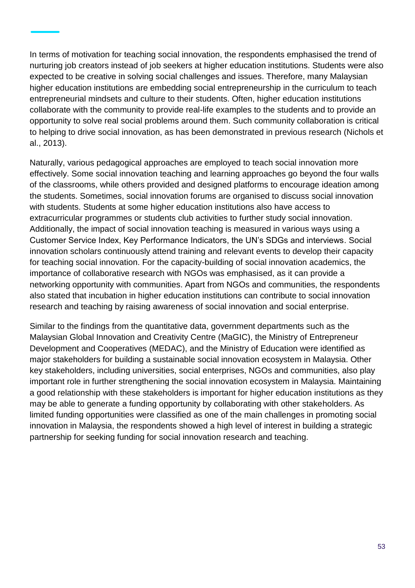In terms of motivation for teaching social innovation, the respondents emphasised the trend of nurturing job creators instead of job seekers at higher education institutions. Students were also expected to be creative in solving social challenges and issues. Therefore, many Malaysian higher education institutions are embedding social entrepreneurship in the curriculum to teach entrepreneurial mindsets and culture to their students. Often, higher education institutions collaborate with the community to provide real-life examples to the students and to provide an opportunity to solve real social problems around them. Such community collaboration is critical to helping to drive social innovation, as has been demonstrated in previous research (Nichols et al., 2013).

Naturally, various pedagogical approaches are employed to teach social innovation more effectively. Some social innovation teaching and learning approaches go beyond the four walls of the classrooms, while others provided and designed platforms to encourage ideation among the students. Sometimes, social innovation forums are organised to discuss social innovation with students. Students at some higher education institutions also have access to extracurricular programmes or students club activities to further study social innovation. Additionally, the impact of social innovation teaching is measured in various ways using a Customer Service Index, Key Performance Indicators, the UN's SDGs and interviews. Social innovation scholars continuously attend training and relevant events to develop their capacity for teaching social innovation. For the capacity-building of social innovation academics, the importance of collaborative research with NGOs was emphasised, as it can provide a networking opportunity with communities. Apart from NGOs and communities, the respondents also stated that incubation in higher education institutions can contribute to social innovation research and teaching by raising awareness of social innovation and social enterprise.

Similar to the findings from the quantitative data, government departments such as the Malaysian Global Innovation and Creativity Centre (MaGIC), the Ministry of Entrepreneur Development and Cooperatives (MEDAC), and the Ministry of Education were identified as major stakeholders for building a sustainable social innovation ecosystem in Malaysia. Other key stakeholders, including universities, social enterprises, NGOs and communities, also play important role in further strengthening the social innovation ecosystem in Malaysia. Maintaining a good relationship with these stakeholders is important for higher education institutions as they may be able to generate a funding opportunity by collaborating with other stakeholders. As limited funding opportunities were classified as one of the main challenges in promoting social innovation in Malaysia, the respondents showed a high level of interest in building a strategic partnership for seeking funding for social innovation research and teaching.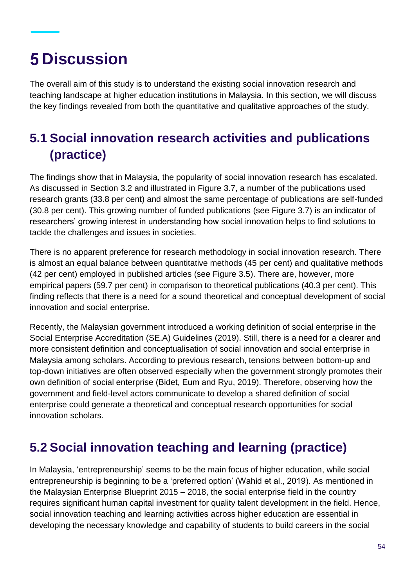# **5 Discussion**

The overall aim of this study is to understand the existing social innovation research and teaching landscape at higher education institutions in Malaysia. In this section, we will discuss the key findings revealed from both the quantitative and qualitative approaches of the study.

# **5.1 Social innovation research activities and publications (practice)**

The findings show that in Malaysia, the popularity of social innovation research has escalated. As discussed in Section 3.2 and illustrated in Figure 3.7, a number of the publications used research grants (33.8 per cent) and almost the same percentage of publications are self-funded (30.8 per cent). This growing number of funded publications (see Figure 3.7) is an indicator of researchers' growing interest in understanding how social innovation helps to find solutions to tackle the challenges and issues in societies.

There is no apparent preference for research methodology in social innovation research. There is almost an equal balance between quantitative methods (45 per cent) and qualitative methods (42 per cent) employed in published articles (see Figure 3.5). There are, however, more empirical papers (59.7 per cent) in comparison to theoretical publications (40.3 per cent). This finding reflects that there is a need for a sound theoretical and conceptual development of social innovation and social enterprise.

Recently, the Malaysian government introduced a working definition of social enterprise in the Social Enterprise Accreditation (SE.A) Guidelines (2019). Still, there is a need for a clearer and more consistent definition and conceptualisation of social innovation and social enterprise in Malaysia among scholars. According to previous research, tensions between bottom-up and top-down initiatives are often observed especially when the government strongly promotes their own definition of social enterprise (Bidet, Eum and Ryu, 2019). Therefore, observing how the government and field-level actors communicate to develop a shared definition of social enterprise could generate a theoretical and conceptual research opportunities for social innovation scholars.

## **5.2 Social innovation teaching and learning (practice)**

In Malaysia, 'entrepreneurship' seems to be the main focus of higher education, while social entrepreneurship is beginning to be a 'preferred option' (Wahid et al., 2019). As mentioned in the Malaysian Enterprise Blueprint 2015 – 2018, the social enterprise field in the country requires significant human capital investment for quality talent development in the field. Hence, social innovation teaching and learning activities across higher education are essential in developing the necessary knowledge and capability of students to build careers in the social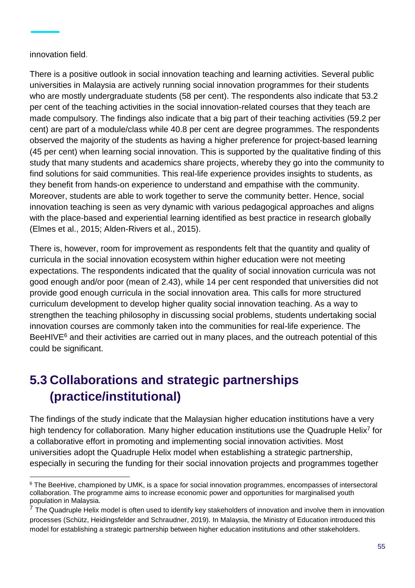#### innovation field.

 $\overline{a}$ 

There is a positive outlook in social innovation teaching and learning activities. Several public universities in Malaysia are actively running social innovation programmes for their students who are mostly undergraduate students (58 per cent). The respondents also indicate that 53.2 per cent of the teaching activities in the social innovation-related courses that they teach are made compulsory. The findings also indicate that a big part of their teaching activities (59.2 per cent) are part of a module/class while 40.8 per cent are degree programmes. The respondents observed the majority of the students as having a higher preference for project-based learning (45 per cent) when learning social innovation. This is supported by the qualitative finding of this study that many students and academics share projects, whereby they go into the community to find solutions for said communities. This real-life experience provides insights to students, as they benefit from hands-on experience to understand and empathise with the community. Moreover, students are able to work together to serve the community better. Hence, social innovation teaching is seen as very dynamic with various pedagogical approaches and aligns with the place-based and experiential learning identified as best practice in research globally (Elmes et al., 2015; Alden-Rivers et al., 2015).

There is, however, room for improvement as respondents felt that the quantity and quality of curricula in the social innovation ecosystem within higher education were not meeting expectations. The respondents indicated that the quality of social innovation curricula was not good enough and/or poor (mean of 2.43), while 14 per cent responded that universities did not provide good enough curricula in the social innovation area. This calls for more structured curriculum development to develop higher quality social innovation teaching. As a way to strengthen the teaching philosophy in discussing social problems, students undertaking social innovation courses are commonly taken into the communities for real-life experience. The BeeHIVE<sup>6</sup> and their activities are carried out in many places, and the outreach potential of this could be significant.

# **5.3 Collaborations and strategic partnerships (practice/institutional)**

The findings of the study indicate that the Malaysian higher education institutions have a very high tendency for collaboration. Many higher education institutions use the Quadruple Helix<sup>7</sup> for a collaborative effort in promoting and implementing social innovation activities. Most universities adopt the Quadruple Helix model when establishing a strategic partnership, especially in securing the funding for their social innovation projects and programmes together

<sup>&</sup>lt;sup>6</sup> The BeeHive, championed by UMK, is a space for social innovation programmes, encompasses of intersectoral collaboration. The programme aims to increase economic power and opportunities for marginalised youth population in Malaysia.

 $<sup>7</sup>$  The Quadruple Helix model is often used to identify key stakeholders of innovation and involve them in innovation</sup> processes (Schütz, Heidingsfelder and Schraudner, 2019). In Malaysia, the Ministry of Education introduced this model for establishing a strategic partnership between higher education institutions and other stakeholders.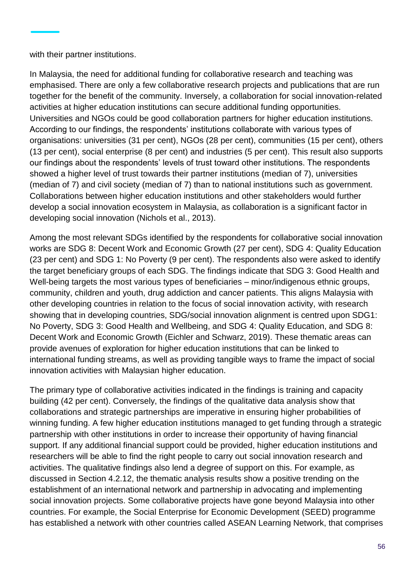with their partner institutions.

In Malaysia, the need for additional funding for collaborative research and teaching was emphasised. There are only a few collaborative research projects and publications that are run together for the benefit of the community. Inversely, a collaboration for social innovation-related activities at higher education institutions can secure additional funding opportunities. Universities and NGOs could be good collaboration partners for higher education institutions. According to our findings, the respondents' institutions collaborate with various types of organisations: universities (31 per cent), NGOs (28 per cent), communities (15 per cent), others (13 per cent), social enterprise (8 per cent) and industries (5 per cent). This result also supports our findings about the respondents' levels of trust toward other institutions. The respondents showed a higher level of trust towards their partner institutions (median of 7), universities (median of 7) and civil society (median of 7) than to national institutions such as government. Collaborations between higher education institutions and other stakeholders would further develop a social innovation ecosystem in Malaysia, as collaboration is a significant factor in developing social innovation (Nichols et al., 2013).

Among the most relevant SDGs identified by the respondents for collaborative social innovation works are SDG 8: Decent Work and Economic Growth (27 per cent), SDG 4: Quality Education (23 per cent) and SDG 1: No Poverty (9 per cent). The respondents also were asked to identify the target beneficiary groups of each SDG. The findings indicate that SDG 3: Good Health and Well-being targets the most various types of beneficiaries – minor/indigenous ethnic groups, community, children and youth, drug addiction and cancer patients. This aligns Malaysia with other developing countries in relation to the focus of social innovation activity, with research showing that in developing countries, SDG/social innovation alignment is centred upon SDG1: No Poverty, SDG 3: Good Health and Wellbeing, and SDG 4: Quality Education, and SDG 8: Decent Work and Economic Growth (Eichler and Schwarz, 2019). These thematic areas can provide avenues of exploration for higher education institutions that can be linked to international funding streams, as well as providing tangible ways to frame the impact of social innovation activities with Malaysian higher education.

The primary type of collaborative activities indicated in the findings is training and capacity building (42 per cent). Conversely, the findings of the qualitative data analysis show that collaborations and strategic partnerships are imperative in ensuring higher probabilities of winning funding. A few higher education institutions managed to get funding through a strategic partnership with other institutions in order to increase their opportunity of having financial support. If any additional financial support could be provided, higher education institutions and researchers will be able to find the right people to carry out social innovation research and activities. The qualitative findings also lend a degree of support on this. For example, as discussed in Section 4.2.12, the thematic analysis results show a positive trending on the establishment of an international network and partnership in advocating and implementing social innovation projects. Some collaborative projects have gone beyond Malaysia into other countries. For example, the Social Enterprise for Economic Development (SEED) programme has established a network with other countries called ASEAN Learning Network, that comprises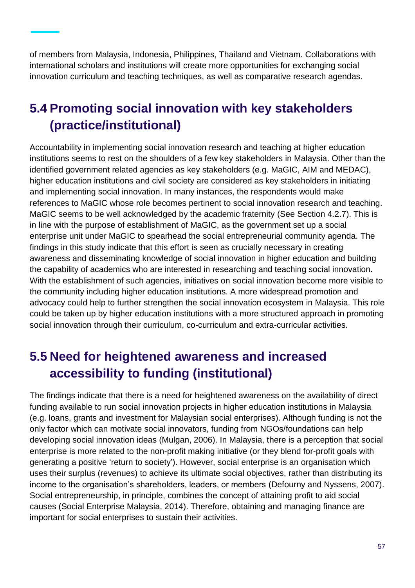of members from Malaysia, Indonesia, Philippines, Thailand and Vietnam. Collaborations with international scholars and institutions will create more opportunities for exchanging social innovation curriculum and teaching techniques, as well as comparative research agendas.

# **5.4 Promoting social innovation with key stakeholders (practice/institutional)**

Accountability in implementing social innovation research and teaching at higher education institutions seems to rest on the shoulders of a few key stakeholders in Malaysia. Other than the identified government related agencies as key stakeholders (e.g. MaGIC, AIM and MEDAC), higher education institutions and civil society are considered as key stakeholders in initiating and implementing social innovation. In many instances, the respondents would make references to MaGIC whose role becomes pertinent to social innovation research and teaching. MaGIC seems to be well acknowledged by the academic fraternity (See Section 4.2.7). This is in line with the purpose of establishment of MaGIC, as the government set up a social enterprise unit under MaGIC to spearhead the social entrepreneurial community agenda. The findings in this study indicate that this effort is seen as crucially necessary in creating awareness and disseminating knowledge of social innovation in higher education and building the capability of academics who are interested in researching and teaching social innovation. With the establishment of such agencies, initiatives on social innovation become more visible to the community including higher education institutions. A more widespread promotion and advocacy could help to further strengthen the social innovation ecosystem in Malaysia. This role could be taken up by higher education institutions with a more structured approach in promoting social innovation through their curriculum, co-curriculum and extra-curricular activities.

## **5.5 Need for heightened awareness and increased accessibility to funding (institutional)**

The findings indicate that there is a need for heightened awareness on the availability of direct funding available to run social innovation projects in higher education institutions in Malaysia (e.g. loans, grants and investment for Malaysian social enterprises). Although funding is not the only factor which can motivate social innovators, funding from NGOs/foundations can help developing social innovation ideas (Mulgan, 2006). In Malaysia, there is a perception that social enterprise is more related to the non-profit making initiative (or they blend for-profit goals with generating a positive 'return to society'). However, social enterprise is an organisation which uses their surplus (revenues) to achieve its ultimate social objectives, rather than distributing its income to the organisation's shareholders, leaders, or members (Defourny and Nyssens, 2007). Social entrepreneurship, in principle, combines the concept of attaining profit to aid social causes (Social Enterprise Malaysia, 2014). Therefore, obtaining and managing finance are important for social enterprises to sustain their activities.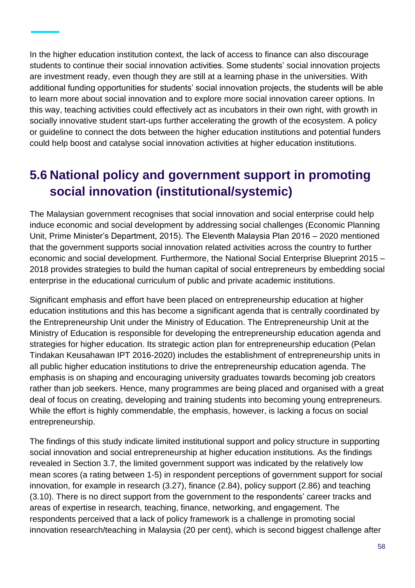In the higher education institution context, the lack of access to finance can also discourage students to continue their social innovation activities. Some students' social innovation projects are investment ready, even though they are still at a learning phase in the universities. With additional funding opportunities for students' social innovation projects, the students will be able to learn more about social innovation and to explore more social innovation career options. In this way, teaching activities could effectively act as incubators in their own right, with growth in socially innovative student start-ups further accelerating the growth of the ecosystem. A policy or guideline to connect the dots between the higher education institutions and potential funders could help boost and catalyse social innovation activities at higher education institutions.

## **5.6 National policy and government support in promoting social innovation (institutional/systemic)**

The Malaysian government recognises that social innovation and social enterprise could help induce economic and social development by addressing social challenges (Economic Planning Unit, Prime Minister's Department, 2015). The Eleventh Malaysia Plan 2016 – 2020 mentioned that the government supports social innovation related activities across the country to further economic and social development. Furthermore, the National Social Enterprise Blueprint 2015 – 2018 provides strategies to build the human capital of social entrepreneurs by embedding social enterprise in the educational curriculum of public and private academic institutions.

Significant emphasis and effort have been placed on entrepreneurship education at higher education institutions and this has become a significant agenda that is centrally coordinated by the Entrepreneurship Unit under the Ministry of Education. The Entrepreneurship Unit at the Ministry of Education is responsible for developing the entrepreneurship education agenda and strategies for higher education. Its strategic action plan for entrepreneurship education (Pelan Tindakan Keusahawan IPT 2016-2020) includes the establishment of entrepreneurship units in all public higher education institutions to drive the entrepreneurship education agenda. The emphasis is on shaping and encouraging university graduates towards becoming job creators rather than job seekers. Hence, many programmes are being placed and organised with a great deal of focus on creating, developing and training students into becoming young entrepreneurs. While the effort is highly commendable, the emphasis, however, is lacking a focus on social entrepreneurship.

The findings of this study indicate limited institutional support and policy structure in supporting social innovation and social entrepreneurship at higher education institutions. As the findings revealed in Section 3.7, the limited government support was indicated by the relatively low mean scores (a rating between 1-5) in respondent perceptions of government support for social innovation, for example in research (3.27), finance (2.84), policy support (2.86) and teaching (3.10). There is no direct support from the government to the respondents' career tracks and areas of expertise in research, teaching, finance, networking, and engagement. The respondents perceived that a lack of policy framework is a challenge in promoting social innovation research/teaching in Malaysia (20 per cent), which is second biggest challenge after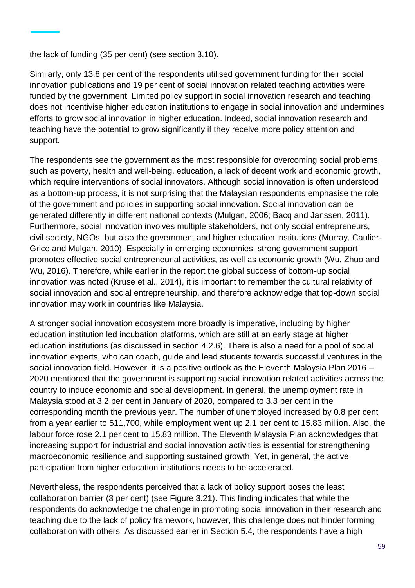the lack of funding (35 per cent) (see section 3.10).

Similarly, only 13.8 per cent of the respondents utilised government funding for their social innovation publications and 19 per cent of social innovation related teaching activities were funded by the government. Limited policy support in social innovation research and teaching does not incentivise higher education institutions to engage in social innovation and undermines efforts to grow social innovation in higher education. Indeed, social innovation research and teaching have the potential to grow significantly if they receive more policy attention and support.

The respondents see the government as the most responsible for overcoming social problems, such as poverty, health and well-being, education, a lack of decent work and economic growth, which require interventions of social innovators. Although social innovation is often understood as a bottom-up process, it is not surprising that the Malaysian respondents emphasise the role of the government and policies in supporting social innovation. Social innovation can be generated differently in different national contexts (Mulgan, 2006; Bacq and Janssen, 2011). Furthermore, social innovation involves multiple stakeholders, not only social entrepreneurs, civil society, NGOs, but also the government and higher education institutions (Murray, Caulier-Grice and Mulgan, 2010). Especially in emerging economies, strong government support promotes effective social entrepreneurial activities, as well as economic growth (Wu, Zhuo and Wu, 2016). Therefore, while earlier in the report the global success of bottom-up social innovation was noted (Kruse et al., 2014), it is important to remember the cultural relativity of social innovation and social entrepreneurship, and therefore acknowledge that top-down social innovation may work in countries like Malaysia.

A stronger social innovation ecosystem more broadly is imperative, including by higher education institution led incubation platforms, which are still at an early stage at higher education institutions (as discussed in section 4.2.6). There is also a need for a pool of social innovation experts, who can coach, guide and lead students towards successful ventures in the social innovation field. However, it is a positive outlook as the Eleventh Malaysia Plan 2016 – 2020 mentioned that the government is supporting social innovation related activities across the country to induce economic and social development. In general, the unemployment rate in Malaysia stood at 3.2 per cent in January of 2020, compared to 3.3 per cent in the corresponding month the previous year. The number of unemployed increased by 0.8 per cent from a year earlier to 511,700, while employment went up 2.1 per cent to 15.83 million. Also, the labour force rose 2.1 per cent to 15.83 million. The Eleventh Malaysia Plan acknowledges that increasing support for industrial and social innovation activities is essential for strengthening macroeconomic resilience and supporting sustained growth. Yet, in general, the active participation from higher education institutions needs to be accelerated.

Nevertheless, the respondents perceived that a lack of policy support poses the least collaboration barrier (3 per cent) (see Figure 3.21). This finding indicates that while the respondents do acknowledge the challenge in promoting social innovation in their research and teaching due to the lack of policy framework, however, this challenge does not hinder forming collaboration with others. As discussed earlier in Section 5.4, the respondents have a high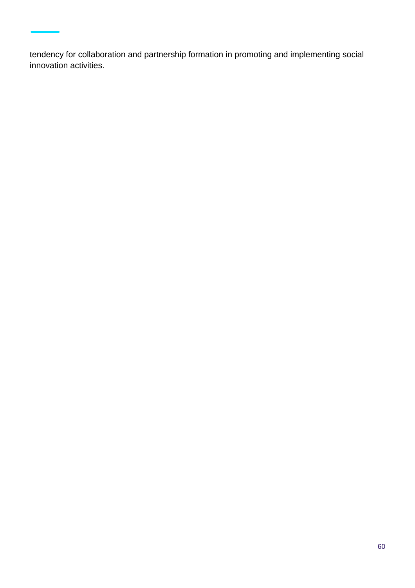tendency for collaboration and partnership formation in promoting and implementing social innovation activities.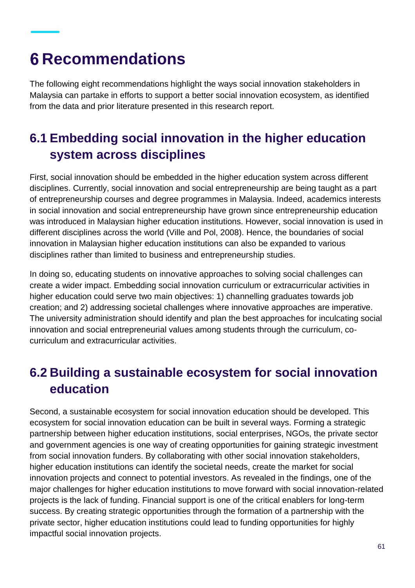# **Recommendations**

The following eight recommendations highlight the ways social innovation stakeholders in Malaysia can partake in efforts to support a better social innovation ecosystem, as identified from the data and prior literature presented in this research report.

# **6.1 Embedding social innovation in the higher education system across disciplines**

First, social innovation should be embedded in the higher education system across different disciplines. Currently, social innovation and social entrepreneurship are being taught as a part of entrepreneurship courses and degree programmes in Malaysia. Indeed, academics interests in social innovation and social entrepreneurship have grown since entrepreneurship education was introduced in Malaysian higher education institutions. However, social innovation is used in different disciplines across the world (Ville and Pol, 2008). Hence, the boundaries of social innovation in Malaysian higher education institutions can also be expanded to various disciplines rather than limited to business and entrepreneurship studies.

In doing so, educating students on innovative approaches to solving social challenges can create a wider impact. Embedding social innovation curriculum or extracurricular activities in higher education could serve two main objectives: 1) channelling graduates towards job creation; and 2) addressing societal challenges where innovative approaches are imperative. The university administration should identify and plan the best approaches for inculcating social innovation and social entrepreneurial values among students through the curriculum, cocurriculum and extracurricular activities.

## **6.2 Building a sustainable ecosystem for social innovation education**

Second, a sustainable ecosystem for social innovation education should be developed. This ecosystem for social innovation education can be built in several ways. Forming a strategic partnership between higher education institutions, social enterprises, NGOs, the private sector and government agencies is one way of creating opportunities for gaining strategic investment from social innovation funders. By collaborating with other social innovation stakeholders, higher education institutions can identify the societal needs, create the market for social innovation projects and connect to potential investors. As revealed in the findings, one of the major challenges for higher education institutions to move forward with social innovation-related projects is the lack of funding. Financial support is one of the critical enablers for long-term success. By creating strategic opportunities through the formation of a partnership with the private sector, higher education institutions could lead to funding opportunities for highly impactful social innovation projects.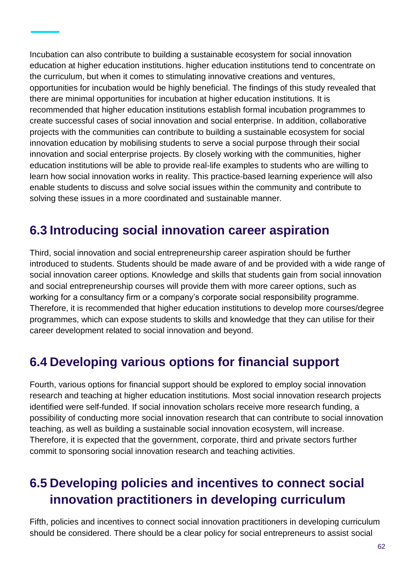Incubation can also contribute to building a sustainable ecosystem for social innovation education at higher education institutions. higher education institutions tend to concentrate on the curriculum, but when it comes to stimulating innovative creations and ventures, opportunities for incubation would be highly beneficial. The findings of this study revealed that there are minimal opportunities for incubation at higher education institutions. It is recommended that higher education institutions establish formal incubation programmes to create successful cases of social innovation and social enterprise. In addition, collaborative projects with the communities can contribute to building a sustainable ecosystem for social innovation education by mobilising students to serve a social purpose through their social innovation and social enterprise projects. By closely working with the communities, higher education institutions will be able to provide real-life examples to students who are willing to learn how social innovation works in reality. This practice-based learning experience will also enable students to discuss and solve social issues within the community and contribute to solving these issues in a more coordinated and sustainable manner.

### **6.3 Introducing social innovation career aspiration**

Third, social innovation and social entrepreneurship career aspiration should be further introduced to students. Students should be made aware of and be provided with a wide range of social innovation career options. Knowledge and skills that students gain from social innovation and social entrepreneurship courses will provide them with more career options, such as working for a consultancy firm or a company's corporate social responsibility programme. Therefore, it is recommended that higher education institutions to develop more courses/degree programmes, which can expose students to skills and knowledge that they can utilise for their career development related to social innovation and beyond.

### **6.4 Developing various options for financial support**

Fourth, various options for financial support should be explored to employ social innovation research and teaching at higher education institutions. Most social innovation research projects identified were self-funded. If social innovation scholars receive more research funding, a possibility of conducting more social innovation research that can contribute to social innovation teaching, as well as building a sustainable social innovation ecosystem, will increase. Therefore, it is expected that the government, corporate, third and private sectors further commit to sponsoring social innovation research and teaching activities.

### **6.5 Developing policies and incentives to connect social innovation practitioners in developing curriculum**

Fifth, policies and incentives to connect social innovation practitioners in developing curriculum should be considered. There should be a clear policy for social entrepreneurs to assist social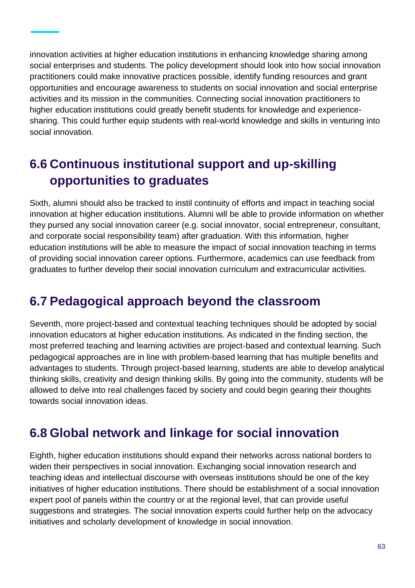innovation activities at higher education institutions in enhancing knowledge sharing among social enterprises and students. The policy development should look into how social innovation practitioners could make innovative practices possible, identify funding resources and grant opportunities and encourage awareness to students on social innovation and social enterprise activities and its mission in the communities. Connecting social innovation practitioners to higher education institutions could greatly benefit students for knowledge and experiencesharing. This could further equip students with real-world knowledge and skills in venturing into social innovation.

## **6.6 Continuous institutional support and up-skilling opportunities to graduates**

Sixth, alumni should also be tracked to instil continuity of efforts and impact in teaching social innovation at higher education institutions. Alumni will be able to provide information on whether they pursed any social innovation career (e.g. social innovator, social entrepreneur, consultant, and corporate social responsibility team) after graduation. With this information, higher education institutions will be able to measure the impact of social innovation teaching in terms of providing social innovation career options. Furthermore, academics can use feedback from graduates to further develop their social innovation curriculum and extracurricular activities.

### **6.7 Pedagogical approach beyond the classroom**

Seventh, more project-based and contextual teaching techniques should be adopted by social innovation educators at higher education institutions. As indicated in the finding section, the most preferred teaching and learning activities are project-based and contextual learning. Such pedagogical approaches are in line with problem-based learning that has multiple benefits and advantages to students. Through project-based learning, students are able to develop analytical thinking skills, creativity and design thinking skills. By going into the community, students will be allowed to delve into real challenges faced by society and could begin gearing their thoughts towards social innovation ideas.

### **6.8 Global network and linkage for social innovation**

Eighth, higher education institutions should expand their networks across national borders to widen their perspectives in social innovation. Exchanging social innovation research and teaching ideas and intellectual discourse with overseas institutions should be one of the key initiatives of higher education institutions. There should be establishment of a social innovation expert pool of panels within the country or at the regional level, that can provide useful suggestions and strategies. The social innovation experts could further help on the advocacy initiatives and scholarly development of knowledge in social innovation.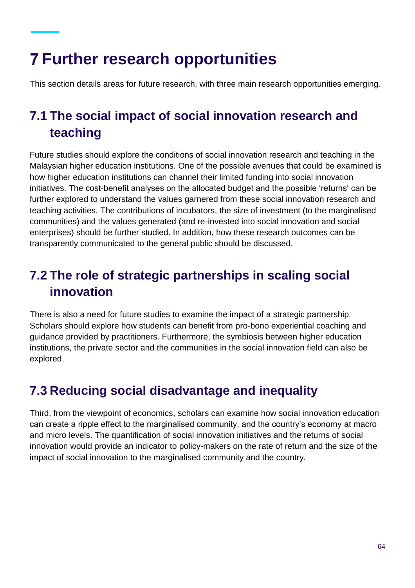# **Further research opportunities**

This section details areas for future research, with three main research opportunities emerging.

# **7.1 The social impact of social innovation research and teaching**

Future studies should explore the conditions of social innovation research and teaching in the Malaysian higher education institutions. One of the possible avenues that could be examined is how higher education institutions can channel their limited funding into social innovation initiatives. The cost-benefit analyses on the allocated budget and the possible 'returns' can be further explored to understand the values garnered from these social innovation research and teaching activities. The contributions of incubators, the size of investment (to the marginalised communities) and the values generated (and re-invested into social innovation and social enterprises) should be further studied. In addition, how these research outcomes can be transparently communicated to the general public should be discussed.

# **7.2 The role of strategic partnerships in scaling social innovation**

There is also a need for future studies to examine the impact of a strategic partnership. Scholars should explore how students can benefit from pro-bono experiential coaching and guidance provided by practitioners. Furthermore, the symbiosis between higher education institutions, the private sector and the communities in the social innovation field can also be explored.

# **7.3 Reducing social disadvantage and inequality**

Third, from the viewpoint of economics, scholars can examine how social innovation education can create a ripple effect to the marginalised community, and the country's economy at macro and micro levels. The quantification of social innovation initiatives and the returns of social innovation would provide an indicator to policy-makers on the rate of return and the size of the impact of social innovation to the marginalised community and the country.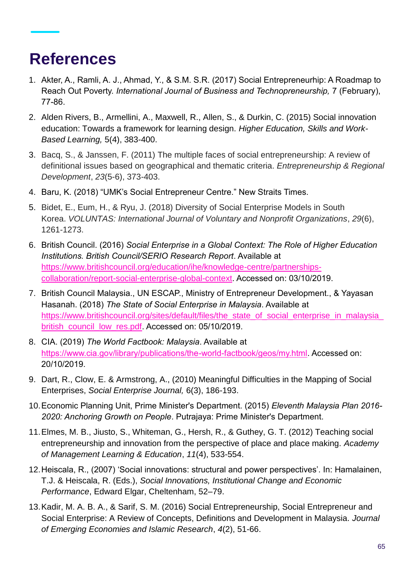# **References**

- 1. Akter, A., Ramli, A. J., Ahmad, Y., & S.M. S.R. (2017) Social Entrepreneurhip: A Roadmap to Reach Out Poverty. *International Journal of Business and Technopreneurship,* 7 (February), 77-86.
- 2. Alden Rivers, B., Armellini, A., Maxwell, R., Allen, S., & Durkin, C. (2015) Social innovation education: Towards a framework for learning design. *Higher Education, Skills and Work-Based Learning,* 5(4), 383-400.
- 3. Bacq, S., & Janssen, F. (2011) The multiple faces of social entrepreneurship: A review of definitional issues based on geographical and thematic criteria. *Entrepreneurship & Regional Development*, *23*(5-6), 373-403.
- 4. Baru, K. (2018) "UMK's Social Entrepreneur Centre." New Straits Times.
- 5. Bidet, E., Eum, H., & Ryu, J. (2018) Diversity of Social Enterprise Models in South Korea. *VOLUNTAS: International Journal of Voluntary and Nonprofit Organizations*, *29*(6), 1261-1273.
- 6. British Council. (2016) *Social Enterprise in a Global Context: The Role of Higher Education Institutions. British Council/SERIO Research Report*. Available at [https://www.britishcouncil.org/education/ihe/knowledge-centre/partnerships](https://www.britishcouncil.org/education/ihe/knowledge-centre/partnerships-collaboration/report-social-enterprise-global-context)[collaboration/report-social-enterprise-global-context.](https://www.britishcouncil.org/education/ihe/knowledge-centre/partnerships-collaboration/report-social-enterprise-global-context) Accessed on: 03/10/2019.
- 7. British Council Malaysia., UN ESCAP., Ministry of Entrepreneur Development., & Yayasan Hasanah. (2018) *The State of Social Enterprise in Malaysia*. Available at [https://www.britishcouncil.org/sites/default/files/the\\_state\\_of\\_social\\_enterprise\\_in\\_malaysia\\_](https://www.britishcouncil.org/sites/default/files/the_state_of_social_enterprise_in_malaysia_british_council_low_res.pdf) [british\\_council\\_low\\_res.pdf.](https://www.britishcouncil.org/sites/default/files/the_state_of_social_enterprise_in_malaysia_british_council_low_res.pdf) Accessed on: 05/10/2019.
- 8. CIA. (2019) *The World Factbook: Malaysia*. Available at [https://www.cia.gov/library/publications/the-world-factbook/geos/my.html.](https://www.cia.gov/library/publications/the-world-factbook/geos/my.html) Accessed on: 20/10/2019.
- 9. Dart, R., Clow, E. & Armstrong, A., (2010) Meaningful Difficulties in the Mapping of Social Enterprises, *Social Enterprise Journal,* 6(3), 186-193.
- 10.Economic Planning Unit, Prime Minister's Department. (2015) *Eleventh Malaysia Plan 2016- 2020: Anchoring Growth on People*. Putrajaya: Prime Minister's Department.
- 11.Elmes, M. B., Jiusto, S., Whiteman, G., Hersh, R., & Guthey, G. T. (2012) Teaching social entrepreneurship and innovation from the perspective of place and place making. *Academy of Management Learning & Education*, *11*(4), 533-554.
- 12.Heiscala, R., (2007) 'Social innovations: structural and power perspectives'. In: Hamalainen, T.J. & Heiscala, R. (Eds.), *Social Innovations, Institutional Change and Economic Performance*, Edward Elgar, Cheltenham, 52–79.
- 13.Kadir, M. A. B. A., & Sarif, S. M. (2016) Social Entrepreneurship, Social Entrepreneur and Social Enterprise: A Review of Concepts, Definitions and Development in Malaysia. *Journal of Emerging Economies and Islamic Research*, *4*(2), 51-66.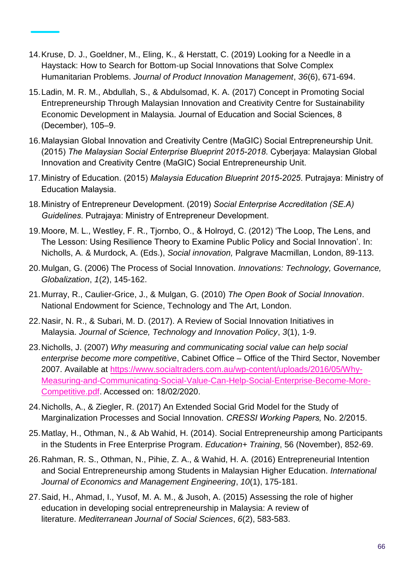- 14.Kruse, D. J., Goeldner, M., Eling, K., & Herstatt, C. (2019) Looking for a Needle in a Haystack: How to Search for Bottom‐up Social Innovations that Solve Complex Humanitarian Problems. *Journal of Product Innovation Management*, *36*(6), 671-694.
- 15.Ladin, M. R. M., Abdullah, S., & Abdulsomad, K. A. (2017) Concept in Promoting Social Entrepreneurship Through Malaysian Innovation and Creativity Centre for Sustainability Economic Development in Malaysia. Journal of Education and Social Sciences, 8 (December), 105–9.
- 16.Malaysian Global Innovation and Creativity Centre (MaGIC) Social Entrepreneurship Unit. (2015) *The Malaysian Social Enterprise Blueprint 2015-2018*. Cyberjaya: Malaysian Global Innovation and Creativity Centre (MaGIC) Social Entrepreneurship Unit.
- 17.Ministry of Education. (2015) *Malaysia Education Blueprint 2015-2025*. Putrajaya: Ministry of Education Malaysia.
- 18.Ministry of Entrepreneur Development. (2019) *Social Enterprise Accreditation (SE.A) Guidelines*. Putrajaya: Ministry of Entrepreneur Development.
- 19.Moore, M. L., Westley, F. R., Tjornbo, O., & Holroyd, C. (2012) 'The Loop, The Lens, and The Lesson: Using Resilience Theory to Examine Public Policy and Social Innovation'. In: Nicholls, A. & Murdock, A. (Eds.), *Social innovation,* Palgrave Macmillan, London, 89-113.
- 20.Mulgan, G. (2006) The Process of Social Innovation. *Innovations: Technology, Governance, Globalization*, *1*(2), 145-162.
- 21.Murray, R., Caulier-Grice, J., & Mulgan, G. (2010) *The Open Book of Social Innovation*. National Endowment for Science, Technology and The Art, London.
- 22.Nasir, N. R., & Subari, M. D. (2017). A Review of Social Innovation Initiatives in Malaysia. *Journal of Science, Technology and Innovation Policy*, *3*(1), 1-9.
- 23.Nicholls, J. (2007) *Why measuring and communicating social value can help social enterprise become more competitive*, Cabinet Office – Office of the Third Sector, November 2007. Available at [https://www.socialtraders.com.au/wp-content/uploads/2016/05/Why-](https://www.socialtraders.com.au/wp-content/uploads/2016/05/Why-Measuring-and-Communicating-Social-Value-Can-Help-Social-Enterprise-Become-More-Competitive.pdf)[Measuring-and-Communicating-Social-Value-Can-Help-Social-Enterprise-Become-More-](https://www.socialtraders.com.au/wp-content/uploads/2016/05/Why-Measuring-and-Communicating-Social-Value-Can-Help-Social-Enterprise-Become-More-Competitive.pdf)[Competitive.pdf.](https://www.socialtraders.com.au/wp-content/uploads/2016/05/Why-Measuring-and-Communicating-Social-Value-Can-Help-Social-Enterprise-Become-More-Competitive.pdf) Accessed on: 18/02/2020.
- 24.Nicholls, A., & Ziegler, R. (2017) An Extended Social Grid Model for the Study of Marginalization Processes and Social Innovation. *CRESSI Working Papers,* No. 2/2015.
- 25.Matlay, H., Othman, N., & Ab Wahid, H. (2014). Social Entrepreneurship among Participants in the Students in Free Enterprise Program. *Education+ Training*, 56 (November), 852-69.
- 26.Rahman, R. S., Othman, N., Pihie, Z. A., & Wahid, H. A. (2016) Entrepreneurial Intention and Social Entrepreneurship among Students in Malaysian Higher Education. *International Journal of Economics and Management Engineering*, *10*(1), 175-181.
- 27.Said, H., Ahmad, I., Yusof, M. A. M., & Jusoh, A. (2015) Assessing the role of higher education in developing social entrepreneurship in Malaysia: A review of literature. *Mediterranean Journal of Social Sciences*, *6*(2), 583-583.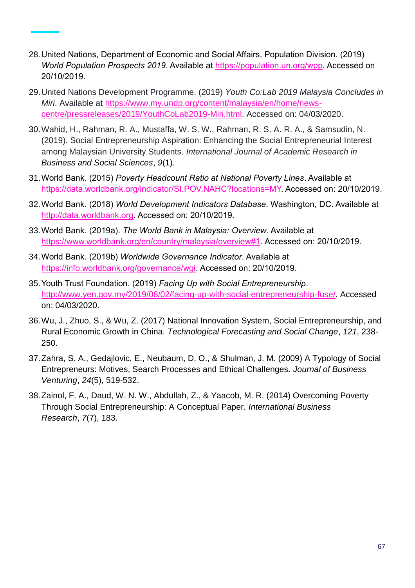- 28.United Nations, Department of Economic and Social Affairs, Population Division. (2019) *World Population Prospects 2019*. Available at [https://population.un.org/wpp.](https://population.un.org/wpp) Accessed on 20/10/2019.
- 29.United Nations Development Programme. (2019) *Youth Co:Lab 2019 Malaysia Concludes in Miri*. Available at [https://www.my.undp.org/content/malaysia/en/home/news](https://www.my.undp.org/content/malaysia/en/home/news-centre/pressreleases/2019/YouthCoLab2019-Miri.html)[centre/pressreleases/2019/YouthCoLab2019-Miri.html.](https://www.my.undp.org/content/malaysia/en/home/news-centre/pressreleases/2019/YouthCoLab2019-Miri.html) Accessed on: 04/03/2020.
- 30.Wahid, H., Rahman, R. A., Mustaffa, W. S. W., Rahman, R. S. A. R. A., & Samsudin, N. (2019). Social Entrepreneurship Aspiration: Enhancing the Social Entrepreneurial Interest among Malaysian University Students. *International Journal of Academic Research in Business and Social Sciences*, *9*(1).
- 31.World Bank. (2015) *Poverty Headcount Ratio at National Poverty Lines*. Available at [https://data.worldbank.org/indicator/SI.POV.NAHC?locations=MY.](https://data.worldbank.org/indicator/SI.POV.NAHC?locations=MY) Accessed on: 20/10/2019.
- 32.World Bank. (2018) *World Development Indicators Database*. Washington, DC. Available at [http://data.worldbank.org.](http://data.worldbank.org/) Accessed on: 20/10/2019.
- 33.World Bank. (2019a). *The World Bank in Malaysia: Overview*. Available at [https://www.worldbank.org/en/country/malaysia/overview#1.](https://www.worldbank.org/en/country/malaysia/overview#1) Accessed on: 20/10/2019.
- 34.World Bank. (2019b) *Worldwide Governance Indicator*. Available at [https://info.worldbank.org/governance/wgi.](https://info.worldbank.org/governance/wgi) Accessed on: 20/10/2019.
- 35.Youth Trust Foundation. (2019) *Facing Up with Social Entrepreneurship*. [http://www.yen.gov.my/2019/08/02/facing-up-with-social-entrepreneurship-fuse/.](http://www.yen.gov.my/2019/08/02/facing-up-with-social-entrepreneurship-fuse/) Accessed on: 04/03/2020.
- 36.Wu, J., Zhuo, S., & Wu, Z. (2017) National Innovation System, Social Entrepreneurship, and Rural Economic Growth in China. *Technological Forecasting and Social Change*, *121*, 238- 250.
- 37.Zahra, S. A., Gedajlovic, E., Neubaum, D. O., & Shulman, J. M. (2009) A Typology of Social Entrepreneurs: Motives, Search Processes and Ethical Challenges. *Journal of Business Venturing*, *24*(5), 519-532.
- 38.Zainol, F. A., Daud, W. N. W., Abdullah, Z., & Yaacob, M. R. (2014) Overcoming Poverty Through Social Entrepreneurship: A Conceptual Paper. *International Business Research*, *7*(7), 183.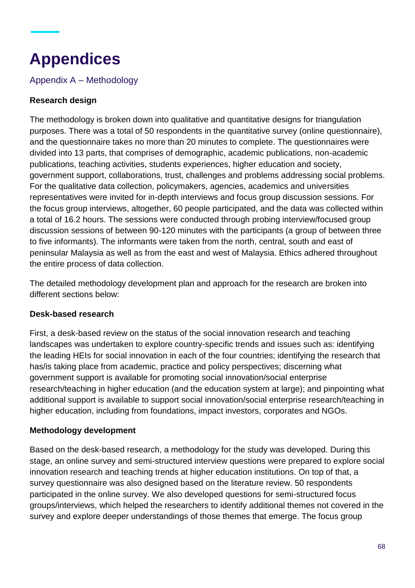# **Appendices**

Appendix A – Methodology

#### **Research design**

The methodology is broken down into qualitative and quantitative designs for triangulation purposes. There was a total of 50 respondents in the quantitative survey (online questionnaire), and the questionnaire takes no more than 20 minutes to complete. The questionnaires were divided into 13 parts, that comprises of demographic, academic publications, non-academic publications, teaching activities, students experiences, higher education and society, government support, collaborations, trust, challenges and problems addressing social problems. For the qualitative data collection, policymakers, agencies, academics and universities representatives were invited for in-depth interviews and focus group discussion sessions. For the focus group interviews, altogether, 60 people participated, and the data was collected within a total of 16.2 hours. The sessions were conducted through probing interview/focused group discussion sessions of between 90-120 minutes with the participants (a group of between three to five informants). The informants were taken from the north, central, south and east of peninsular Malaysia as well as from the east and west of Malaysia. Ethics adhered throughout the entire process of data collection.

The detailed methodology development plan and approach for the research are broken into different sections below:

#### **Desk-based research**

First, a desk-based review on the status of the social innovation research and teaching landscapes was undertaken to explore country-specific trends and issues such as: identifying the leading HEIs for social innovation in each of the four countries; identifying the research that has/is taking place from academic, practice and policy perspectives; discerning what government support is available for promoting social innovation/social enterprise research/teaching in higher education (and the education system at large); and pinpointing what additional support is available to support social innovation/social enterprise research/teaching in higher education, including from foundations, impact investors, corporates and NGOs.

#### **Methodology development**

Based on the desk-based research, a methodology for the study was developed. During this stage, an online survey and semi-structured interview questions were prepared to explore social innovation research and teaching trends at higher education institutions. On top of that, a survey questionnaire was also designed based on the literature review. 50 respondents participated in the online survey. We also developed questions for semi-structured focus groups/interviews, which helped the researchers to identify additional themes not covered in the survey and explore deeper understandings of those themes that emerge. The focus group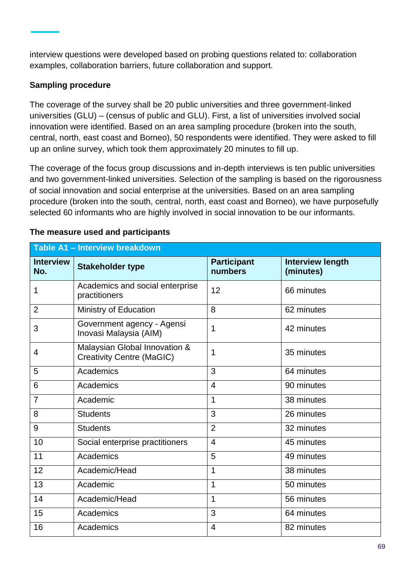interview questions were developed based on probing questions related to: collaboration examples, collaboration barriers, future collaboration and support.

#### **Sampling procedure**

The coverage of the survey shall be 20 public universities and three government-linked universities (GLU) – (census of public and GLU). First, a list of universities involved social innovation were identified. Based on an area sampling procedure (broken into the south, central, north, east coast and Borneo), 50 respondents were identified. They were asked to fill up an online survey, which took them approximately 20 minutes to fill up.

The coverage of the focus group discussions and in-depth interviews is ten public universities and two government-linked universities. Selection of the sampling is based on the rigorousness of social innovation and social enterprise at the universities. Based on an area sampling procedure (broken into the south, central, north, east coast and Borneo), we have purposefully selected 60 informants who are highly involved in social innovation to be our informants.

| Table A1 - Interview breakdown |                                                                   |                               |                                      |  |  |  |
|--------------------------------|-------------------------------------------------------------------|-------------------------------|--------------------------------------|--|--|--|
| <b>Interview</b><br>No.        | <b>Stakeholder type</b>                                           | <b>Participant</b><br>numbers | <b>Interview length</b><br>(minutes) |  |  |  |
| 1                              | Academics and social enterprise<br>practitioners                  | 12                            | 66 minutes                           |  |  |  |
| $\overline{2}$                 | Ministry of Education                                             | 8                             | 62 minutes                           |  |  |  |
| 3                              | Government agency - Agensi<br>Inovasi Malaysia (AIM)              | 1                             | 42 minutes                           |  |  |  |
| 4                              | Malaysian Global Innovation &<br><b>Creativity Centre (MaGIC)</b> | 1                             | 35 minutes                           |  |  |  |
| 5                              | Academics                                                         | 3                             | 64 minutes                           |  |  |  |
| 6                              | Academics                                                         | $\overline{4}$                | 90 minutes                           |  |  |  |
| $\overline{7}$                 | Academic                                                          | 1                             | 38 minutes                           |  |  |  |
| 8                              | <b>Students</b>                                                   | 3                             | 26 minutes                           |  |  |  |
| 9                              | <b>Students</b>                                                   | $\overline{2}$                | 32 minutes                           |  |  |  |
| 10                             | Social enterprise practitioners                                   | $\overline{4}$                | 45 minutes                           |  |  |  |
| 11                             | Academics                                                         | 5                             | 49 minutes                           |  |  |  |
| 12                             | Academic/Head                                                     | 1                             | 38 minutes                           |  |  |  |
| 13                             | Academic                                                          | 1                             | 50 minutes                           |  |  |  |
| 14                             | Academic/Head                                                     | 1                             | 56 minutes                           |  |  |  |
| 15                             | Academics                                                         | 3                             | 64 minutes                           |  |  |  |
| 16                             | Academics                                                         | 4                             | 82 minutes                           |  |  |  |

#### **The measure used and participants**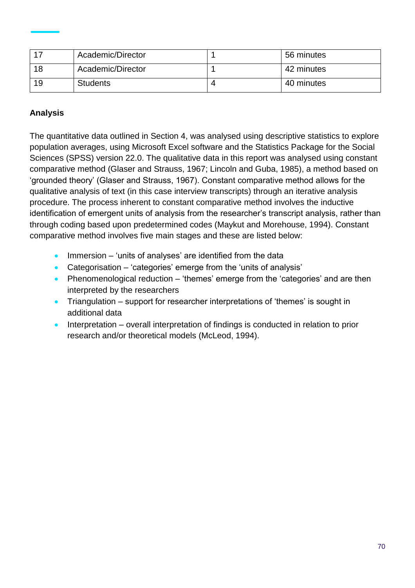|     | Academic/Director | 56 minutes |
|-----|-------------------|------------|
| 18  | Academic/Director | 42 minutes |
| -19 | <b>Students</b>   | 40 minutes |

#### **Analysis**

The quantitative data outlined in Section 4, was analysed using descriptive statistics to explore population averages, using Microsoft Excel software and the Statistics Package for the Social Sciences (SPSS) version 22.0. The qualitative data in this report was analysed using constant comparative method (Glaser and Strauss, 1967; Lincoln and Guba, 1985), a method based on 'grounded theory' (Glaser and Strauss, 1967). Constant comparative method allows for the qualitative analysis of text (in this case interview transcripts) through an iterative analysis procedure. The process inherent to constant comparative method involves the inductive identification of emergent units of analysis from the researcher's transcript analysis, rather than through coding based upon predetermined codes (Maykut and Morehouse, 1994). Constant comparative method involves five main stages and these are listed below:

- Immersion 'units of analyses' are identified from the data
- Categorisation 'categories' emerge from the 'units of analysis'
- Phenomenological reduction 'themes' emerge from the 'categories' and are then interpreted by the researchers
- Triangulation support for researcher interpretations of 'themes' is sought in additional data
- Interpretation overall interpretation of findings is conducted in relation to prior research and/or theoretical models (McLeod, 1994).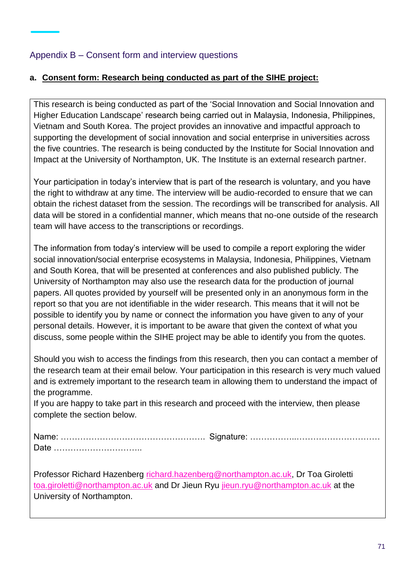#### Appendix B – Consent form and interview questions

#### **a. Consent form: Research being conducted as part of the SIHE project:**

This research is being conducted as part of the 'Social Innovation and Social Innovation and Higher Education Landscape' research being carried out in Malaysia, Indonesia, Philippines, Vietnam and South Korea. The project provides an innovative and impactful approach to supporting the development of social innovation and social enterprise in universities across the five countries. The research is being conducted by the Institute for Social Innovation and Impact at the University of Northampton, UK. The Institute is an external research partner.

Your participation in today's interview that is part of the research is voluntary, and you have the right to withdraw at any time. The interview will be audio-recorded to ensure that we can obtain the richest dataset from the session. The recordings will be transcribed for analysis. All data will be stored in a confidential manner, which means that no-one outside of the research team will have access to the transcriptions or recordings.

The information from today's interview will be used to compile a report exploring the wider social innovation/social enterprise ecosystems in Malaysia, Indonesia, Philippines, Vietnam and South Korea, that will be presented at conferences and also published publicly. The University of Northampton may also use the research data for the production of journal papers. All quotes provided by yourself will be presented only in an anonymous form in the report so that you are not identifiable in the wider research. This means that it will not be possible to identify you by name or connect the information you have given to any of your personal details. However, it is important to be aware that given the context of what you discuss, some people within the SIHE project may be able to identify you from the quotes.

Should you wish to access the findings from this research, then you can contact a member of the research team at their email below. Your participation in this research is very much valued and is extremely important to the research team in allowing them to understand the impact of the programme.

If you are happy to take part in this research and proceed with the interview, then please complete the section below.

Name: ……………………………………………. Signature: ……………..………………………… Date …………………………..

Professor Richard Hazenberg [richard.hazenberg@northampton.ac.uk,](mailto:richard.hazenberg@northampton.ac.uk) Dr Toa Giroletti [toa.giroletti@northampton.ac.uk](mailto:toa.giroletti@northampton.ac.uk) and Dr Jieun Ryu [jieun.ryu@northampton.ac.uk](mailto:jieun.ryu@northampton.ac.uk) at the University of Northampton.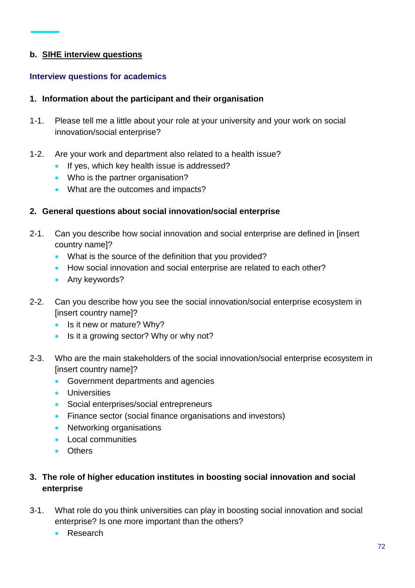#### **b. SIHE interview questions**

#### **Interview questions for academics**

#### **1. Information about the participant and their organisation**

- 1-1. Please tell me a little about your role at your university and your work on social innovation/social enterprise?
- 1-2. Are your work and department also related to a health issue?
	- If yes, which key health issue is addressed?
	- Who is the partner organisation?
	- What are the outcomes and impacts?

#### **2. General questions about social innovation/social enterprise**

- 2-1. Can you describe how social innovation and social enterprise are defined in [insert country name]?
	- What is the source of the definition that you provided?
	- How social innovation and social enterprise are related to each other?
	- Any keywords?
- 2-2. Can you describe how you see the social innovation/social enterprise ecosystem in [insert country name]?
	- Is it new or mature? Why?
	- Is it a growing sector? Why or why not?
- 2-3. Who are the main stakeholders of the social innovation/social enterprise ecosystem in [insert country name]?
	- Government departments and agencies
	- Universities
	- Social enterprises/social entrepreneurs
	- Finance sector (social finance organisations and investors)
	- Networking organisations
	- Local communities
	- Others

#### **3. The role of higher education institutes in boosting social innovation and social enterprise**

- 3-1. What role do you think universities can play in boosting social innovation and social enterprise? Is one more important than the others?
	- Research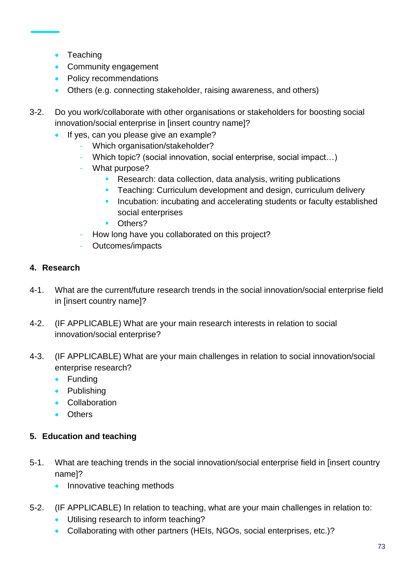- Teaching
- Community engagement
- Policy recommendations
- Others (e.g. connecting stakeholder, raising awareness, and others)
- 3-2. Do you work/collaborate with other organisations or stakeholders for boosting social innovation/social enterprise in [insert country name]?
	- If yes, can you please give an example?
		- Which organisation/stakeholder?
		- Which topic? (social innovation, social enterprise, social impact...)
		- What purpose?
			- Research: data collection, data analysis, writing publications
			- **EXECT** Teaching: Curriculum development and design, curriculum delivery
			- **EXP** Incubation: incubating and accelerating students or faculty established social enterprises
			- Others?
		- How long have you collaborated on this project?
		- Outcomes/impacts

# **4. Research**

- 4-1. What are the current/future research trends in the social innovation/social enterprise field in [insert country name]?
- 4-2. (IF APPLICABLE) What are your main research interests in relation to social innovation/social enterprise?
- 4-3. (IF APPLICABLE) What are your main challenges in relation to social innovation/social enterprise research?
	- Funding
	- Publishing
	- Collaboration
	- Others

# **5. Education and teaching**

- 5-1. What are teaching trends in the social innovation/social enterprise field in [insert country name]?
	- Innovative teaching methods
- 5-2. (IF APPLICABLE) In relation to teaching, what are your main challenges in relation to:
	- Utilising research to inform teaching?
	- Collaborating with other partners (HEIs, NGOs, social enterprises, etc.)?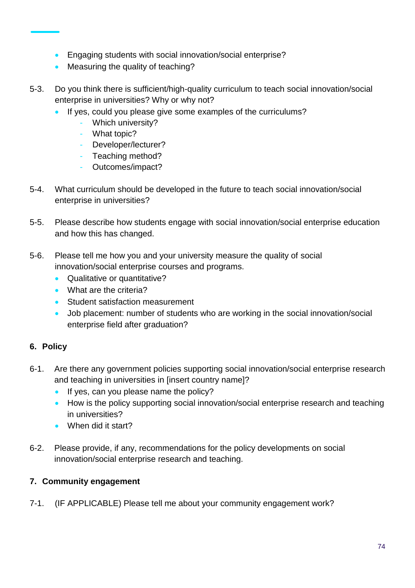- Engaging students with social innovation/social enterprise?
- Measuring the quality of teaching?
- 5-3. Do you think there is sufficient/high-quality curriculum to teach social innovation/social enterprise in universities? Why or why not?
	- If yes, could you please give some examples of the curriculums?
		- Which university?
		- What topic?
		- Developer/lecturer?
		- Teaching method?
		- Outcomes/impact?
- 5-4. What curriculum should be developed in the future to teach social innovation/social enterprise in universities?
- 5-5. Please describe how students engage with social innovation/social enterprise education and how this has changed.
- 5-6. Please tell me how you and your university measure the quality of social innovation/social enterprise courses and programs.
	- Qualitative or quantitative?
	- What are the criteria?
	- Student satisfaction measurement
	- Job placement: number of students who are working in the social innovation/social enterprise field after graduation?

# **6. Policy**

- 6-1. Are there any government policies supporting social innovation/social enterprise research and teaching in universities in [insert country name]?
	- If yes, can you please name the policy?
	- How is the policy supporting social innovation/social enterprise research and teaching in universities?
	- When did it start?
- 6-2. Please provide, if any, recommendations for the policy developments on social innovation/social enterprise research and teaching.

# **7. Community engagement**

7-1. (IF APPLICABLE) Please tell me about your community engagement work?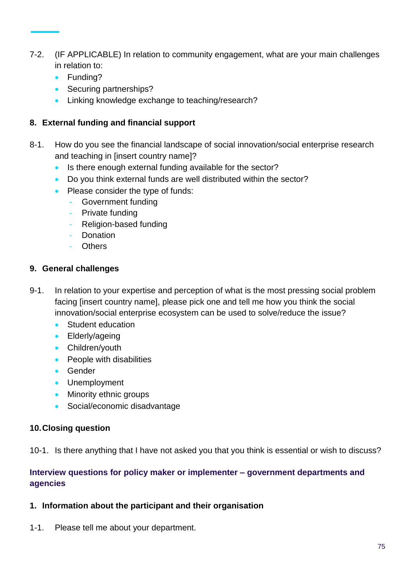- 7-2. (IF APPLICABLE) In relation to community engagement, what are your main challenges in relation to:
	- Funding?
	- Securing partnerships?
	- Linking knowledge exchange to teaching/research?

### **8. External funding and financial support**

- 8-1. How do you see the financial landscape of social innovation/social enterprise research and teaching in [insert country name]?
	- Is there enough external funding available for the sector?
	- Do you think external funds are well distributed within the sector?
	- Please consider the type of funds:
		- Government funding
		- Private funding
		- Religion-based funding
		- **Donation**
		- Others

#### **9. General challenges**

- 9-1. In relation to your expertise and perception of what is the most pressing social problem facing [insert country name], please pick one and tell me how you think the social innovation/social enterprise ecosystem can be used to solve/reduce the issue?
	- Student education
	- Elderly/ageing
	- Children/youth
	- People with disabilities
	- Gender
	- Unemployment
	- Minority ethnic groups
	- Social/economic disadvantage

#### **10.Closing question**

10-1. Is there anything that I have not asked you that you think is essential or wish to discuss?

### **Interview questions for policy maker or implementer – government departments and agencies**

#### **1. Information about the participant and their organisation**

1-1. Please tell me about your department.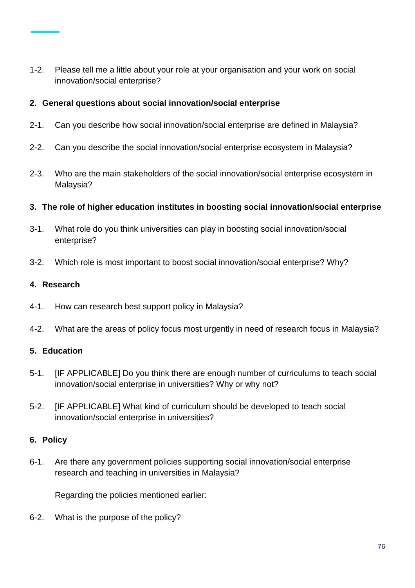1-2. Please tell me a little about your role at your organisation and your work on social innovation/social enterprise?

#### **2. General questions about social innovation/social enterprise**

- 2-1. Can you describe how social innovation/social enterprise are defined in Malaysia?
- 2-2. Can you describe the social innovation/social enterprise ecosystem in Malaysia?
- 2-3. Who are the main stakeholders of the social innovation/social enterprise ecosystem in Malaysia?
- **3. The role of higher education institutes in boosting social innovation/social enterprise**
- 3-1. What role do you think universities can play in boosting social innovation/social enterprise?
- 3-2. Which role is most important to boost social innovation/social enterprise? Why?

#### **4. Research**

- 4-1. How can research best support policy in Malaysia?
- 4-2. What are the areas of policy focus most urgently in need of research focus in Malaysia?

# **5. Education**

- 5-1. [IF APPLICABLE] Do you think there are enough number of curriculums to teach social innovation/social enterprise in universities? Why or why not?
- 5-2. [IF APPLICABLE] What kind of curriculum should be developed to teach social innovation/social enterprise in universities?

# **6. Policy**

6-1. Are there any government policies supporting social innovation/social enterprise research and teaching in universities in Malaysia?

Regarding the policies mentioned earlier:

6-2. What is the purpose of the policy?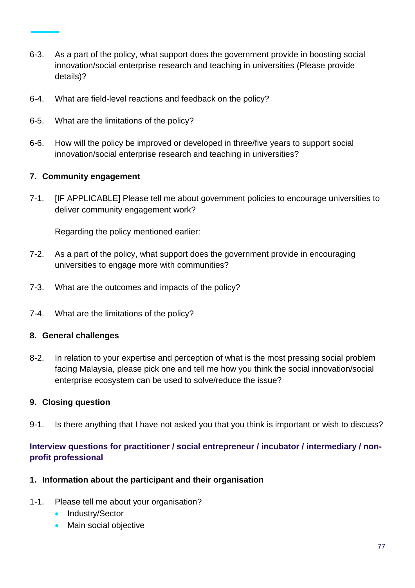- 6-3. As a part of the policy, what support does the government provide in boosting social innovation/social enterprise research and teaching in universities (Please provide details)?
- 6-4. What are field-level reactions and feedback on the policy?
- 6-5. What are the limitations of the policy?
- 6-6. How will the policy be improved or developed in three/five years to support social innovation/social enterprise research and teaching in universities?

#### **7. Community engagement**

7-1. [IF APPLICABLE] Please tell me about government policies to encourage universities to deliver community engagement work?

Regarding the policy mentioned earlier:

- 7-2. As a part of the policy, what support does the government provide in encouraging universities to engage more with communities?
- 7-3. What are the outcomes and impacts of the policy?
- 7-4. What are the limitations of the policy?

#### **8. General challenges**

8-2. In relation to your expertise and perception of what is the most pressing social problem facing Malaysia, please pick one and tell me how you think the social innovation/social enterprise ecosystem can be used to solve/reduce the issue?

#### **9. Closing question**

9-1. Is there anything that I have not asked you that you think is important or wish to discuss?

# **Interview questions for practitioner / social entrepreneur / incubator / intermediary / nonprofit professional**

#### **1. Information about the participant and their organisation**

- 1-1. Please tell me about your organisation?
	- Industry/Sector
	- Main social objective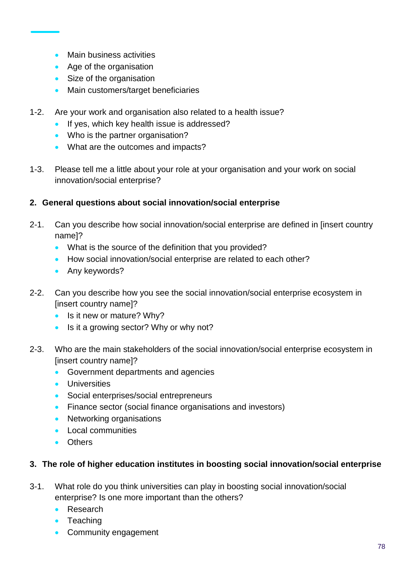- Main business activities
- Age of the organisation
- Size of the organisation
- Main customers/target beneficiaries
- 1-2. Are your work and organisation also related to a health issue?
	- If yes, which key health issue is addressed?
	- Who is the partner organisation?
	- What are the outcomes and impacts?
- 1-3. Please tell me a little about your role at your organisation and your work on social innovation/social enterprise?

# **2. General questions about social innovation/social enterprise**

- 2-1. Can you describe how social innovation/social enterprise are defined in [insert country name]?
	- What is the source of the definition that you provided?
	- How social innovation/social enterprise are related to each other?
	- Any keywords?
- 2-2. Can you describe how you see the social innovation/social enterprise ecosystem in [insert country name]?
	- Is it new or mature? Why?
	- Is it a growing sector? Why or why not?
- 2-3. Who are the main stakeholders of the social innovation/social enterprise ecosystem in [insert country name]?
	- Government departments and agencies
	- Universities
	- Social enterprises/social entrepreneurs
	- Finance sector (social finance organisations and investors)
	- Networking organisations
	- Local communities
	- Others

# **3. The role of higher education institutes in boosting social innovation/social enterprise**

- 3-1. What role do you think universities can play in boosting social innovation/social enterprise? Is one more important than the others?
	- Research
	- Teaching
	- Community engagement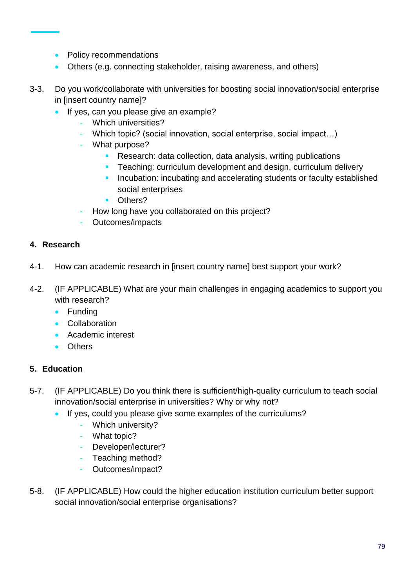- Policy recommendations
- Others (e.g. connecting stakeholder, raising awareness, and others)
- 3-3. Do you work/collaborate with universities for boosting social innovation/social enterprise in [insert country name]?
	- If yes, can you please give an example?
		- Which universities?
		- Which topic? (social innovation, social enterprise, social impact...)
		- What purpose?
			- Research: data collection, data analysis, writing publications
			- Teaching: curriculum development and design, curriculum delivery
			- **EXP** Incubation: incubating and accelerating students or faculty established social enterprises
			- Others?
		- How long have you collaborated on this project?
		- Outcomes/impacts

#### **4. Research**

- 4-1. How can academic research in [insert country name] best support your work?
- 4-2. (IF APPLICABLE) What are your main challenges in engaging academics to support you with research?
	- Funding
	- Collaboration
	- Academic interest
	- Others

# **5. Education**

- 5-7. (IF APPLICABLE) Do you think there is sufficient/high-quality curriculum to teach social innovation/social enterprise in universities? Why or why not?
	- If yes, could you please give some examples of the curriculums?
		- Which university?
		- What topic?
		- Developer/lecturer?
		- Teaching method?
		- Outcomes/impact?
- 5-8. (IF APPLICABLE) How could the higher education institution curriculum better support social innovation/social enterprise organisations?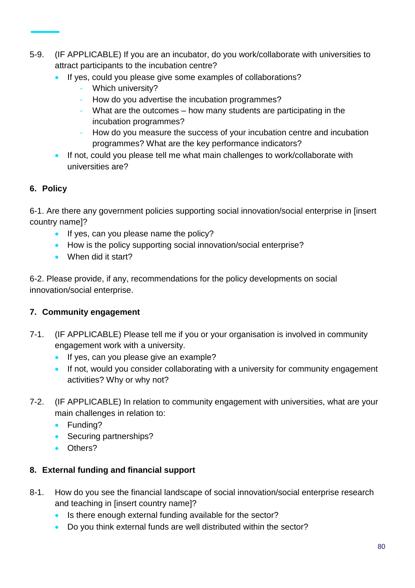- 5-9. (IF APPLICABLE) If you are an incubator, do you work/collaborate with universities to attract participants to the incubation centre?
	- If yes, could you please give some examples of collaborations?
		- Which university?
		- How do you advertise the incubation programmes?
		- What are the outcomes how many students are participating in the incubation programmes?
		- How do you measure the success of your incubation centre and incubation programmes? What are the key performance indicators?
	- If not, could you please tell me what main challenges to work/collaborate with universities are?

# **6. Policy**

6-1. Are there any government policies supporting social innovation/social enterprise in [insert country name]?

- If yes, can you please name the policy?
- How is the policy supporting social innovation/social enterprise?
- When did it start?

6-2. Please provide, if any, recommendations for the policy developments on social innovation/social enterprise.

# **7. Community engagement**

- 7-1. (IF APPLICABLE) Please tell me if you or your organisation is involved in community engagement work with a university.
	- If yes, can you please give an example?
	- If not, would you consider collaborating with a university for community engagement activities? Why or why not?
- 7-2. (IF APPLICABLE) In relation to community engagement with universities, what are your main challenges in relation to:
	- Funding?
	- Securing partnerships?
	- Others?

# **8. External funding and financial support**

- 8-1. How do you see the financial landscape of social innovation/social enterprise research and teaching in [insert country name]?
	- Is there enough external funding available for the sector?
	- Do you think external funds are well distributed within the sector?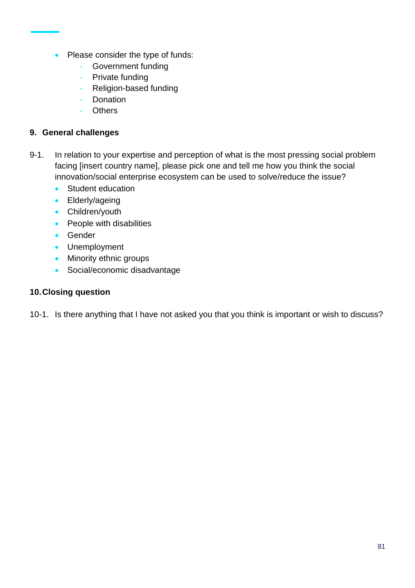- Please consider the type of funds:
	- Government funding
	- Private funding
	- Religion-based funding
	- Donation
	- **Others**

#### **9. General challenges**

- 9-1. In relation to your expertise and perception of what is the most pressing social problem facing [insert country name], please pick one and tell me how you think the social innovation/social enterprise ecosystem can be used to solve/reduce the issue?
	- Student education
	- Elderly/ageing
	- Children/youth
	- People with disabilities
	- Gender
	- Unemployment
	- Minority ethnic groups
	- Social/economic disadvantage

### **10.Closing question**

10-1. Is there anything that I have not asked you that you think is important or wish to discuss?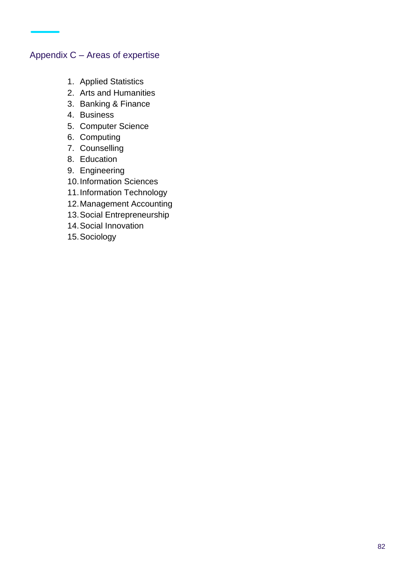# Appendix C – Areas of expertise

- 1. Applied Statistics
- 2. Arts and Humanities
- 3. Banking & Finance
- 4. Business
- 5. Computer Science
- 6. Computing
- 7. Counselling
- 8. Education
- 9. Engineering
- 10.Information Sciences
- 11.Information Technology
- 12.Management Accounting
- 13.Social Entrepreneurship
- 14.Social Innovation
- 15.Sociology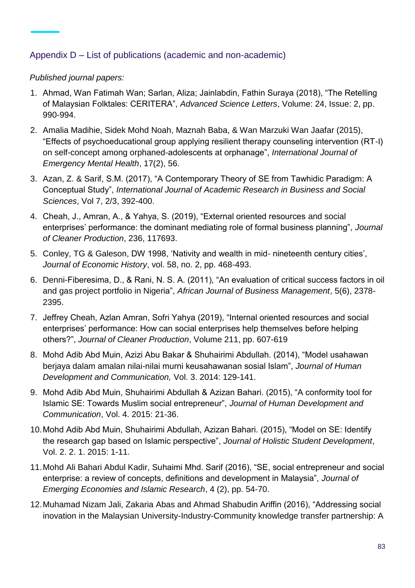# Appendix D – List of publications (academic and non-academic)

#### *Published journal papers:*

- 1. Ahmad, Wan Fatimah Wan; Sarlan, Aliza; Jainlabdin, Fathin Suraya (2018), "The Retelling of Malaysian Folktales: CERITERA", *Advanced Science Letters*, Volume: 24, Issue: 2, pp. 990-994.
- 2. Amalia Madihie, Sidek Mohd Noah, Maznah Baba, & Wan Marzuki Wan Jaafar (2015), "Effects of psychoeducational group applying resilient therapy counseling intervention (RT-I) on self-concept among orphaned-adolescents at orphanage", *International Journal of Emergency Mental Health*, 17(2), 56.
- 3. Azan, Z. & Sarif, S.M. (2017), "A Contemporary Theory of SE from Tawhidic Paradigm: A Conceptual Study", *International Journal of Academic Research in Business and Social Sciences*, Vol 7, 2/3, 392-400.
- 4. Cheah, J., Amran, A., & Yahya, S. (2019), "External oriented resources and social enterprises' performance: the dominant mediating role of formal business planning", *Journal of Cleaner Production*, 236, 117693.
- 5. Conley, TG & Galeson, DW 1998, 'Nativity and wealth in mid- nineteenth century cities', *Journal of Economic History*, vol. 58, no. 2, pp. 468-493.
- 6. Denni-Fiberesima, D., & Rani, N. S. A. (2011), "An evaluation of critical success factors in oil and gas project portfolio in Nigeria", *African Journal of Business Management*, 5(6), 2378- 2395.
- 7. Jeffrey Cheah, Azlan Amran, Sofri Yahya (2019), "Internal oriented resources and social enterprises' performance: How can social enterprises help themselves before helping others?", *Journal of Cleaner Production*, Volume 211, pp. 607-619
- 8. Mohd Adib Abd Muin, Azizi Abu Bakar & Shuhairimi Abdullah. (2014), "Model usahawan berjaya dalam amalan nilai-nilai murni keusahawanan sosial Islam", *Journal of Human Development and Communication,* Vol. 3. 2014: 129-141.
- 9. Mohd Adib Abd Muin, Shuhairimi Abdullah & Azizan Bahari. (2015), "A conformity tool for Islamic SE: Towards Muslim social entrepreneur", *Journal of Human Development and Communication*, Vol. 4. 2015: 21-36.
- 10.Mohd Adib Abd Muin, Shuhairimi Abdullah, Azizan Bahari. (2015), "Model on SE: Identify the research gap based on Islamic perspective", *Journal of Holistic Student Development*, Vol. 2. 2. 1. 2015: 1-11.
- 11.Mohd Ali Bahari Abdul Kadir, Suhaimi Mhd. Sarif (2016), "SE, social entrepreneur and social enterprise: a review of concepts, definitions and development in Malaysia", *Journal of Emerging Economies and Islamic Research*, 4 (2), pp. 54-70.
- 12.Muhamad Nizam Jali, Zakaria Abas and Ahmad Shabudin Ariffin (2016), "Addressing social inovation in the Malaysian University-Industry-Community knowledge transfer partnership: A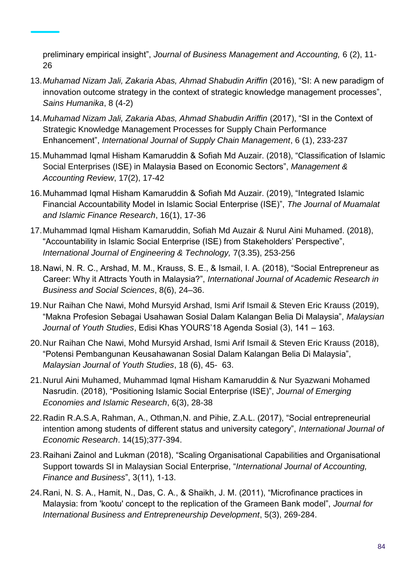preliminary empirical insight", *Journal of Business Management and Accounting,* 6 (2), 11- 26

- 13.*Muhamad Nizam Jali, Zakaria Abas, Ahmad Shabudin Ariffin* (2016), "SI: A new paradigm of innovation outcome strategy in the context of strategic knowledge management processes", *Sains Humanika*, 8 (4-2)
- 14.*Muhamad Nizam Jali, Zakaria Abas, Ahmad Shabudin Ariffin* (2017), "SI in the Context of Strategic Knowledge Management Processes for Supply Chain Performance Enhancement", *International Journal of Supply Chain Management*, 6 (1), 233-237
- 15.Muhammad Iqmal Hisham Kamaruddin & Sofiah Md Auzair. (2018), "Classification of Islamic Social Enterprises (ISE) in Malaysia Based on Economic Sectors", *Management & Accounting Review*, 17(2), 17-42
- 16.Muhammad Iqmal Hisham Kamaruddin & Sofiah Md Auzair. (2019), "Integrated Islamic Financial Accountability Model in Islamic Social Enterprise (ISE)", *The Journal of Muamalat and Islamic Finance Research*, 16(1), 17-36
- 17.Muhammad Iqmal Hisham Kamaruddin, Sofiah Md Auzair & Nurul Aini Muhamed. (2018), "Accountability in Islamic Social Enterprise (ISE) from Stakeholders' Perspective", *International Journal of Engineering & Technology,* 7(3.35), 253-256
- 18.Nawi, N. R. C., Arshad, M. M., Krauss, S. E., & Ismail, I. A. (2018), "Social Entrepreneur as Career: Why it Attracts Youth in Malaysia?", *International Journal of Academic Research in Business and Social Sciences*, 8(6), 24–36.
- 19.Nur Raihan Che Nawi, Mohd Mursyid Arshad, Ismi Arif Ismail & Steven Eric Krauss (2019), "Makna Profesion Sebagai Usahawan Sosial Dalam Kalangan Belia Di Malaysia", *Malaysian Journal of Youth Studies*, Edisi Khas YOURS'18 Agenda Sosial (3), 141 – 163.
- 20.Nur Raihan Che Nawi, Mohd Mursyid Arshad, Ismi Arif Ismail & Steven Eric Krauss (2018), "Potensi Pembangunan Keusahawanan Sosial Dalam Kalangan Belia Di Malaysia", *Malaysian Journal of Youth Studies*, 18 (6), 45- 63.
- 21.Nurul Aini Muhamed, Muhammad Iqmal Hisham Kamaruddin & Nur Syazwani Mohamed Nasrudin. (2018), "Positioning Islamic Social Enterprise (ISE)", *Journal of Emerging Economies and Islamic Research*, 6(3), 28-38
- 22.Radin R.A.S.A, Rahman, A., Othman,N. and Pihie, Z.A.L. (2017), "Social entrepreneurial intention among students of different status and university category", *International Journal of Economic Research*. 14(15);377-394.
- 23.Raihani Zainol and Lukman (2018), "Scaling Organisational Capabilities and Organisational Support towards SI in Malaysian Social Enterprise, "*International Journal of Accounting, Finance and Business*", 3(11), 1-13.
- 24.Rani, N. S. A., Hamit, N., Das, C. A., & Shaikh, J. M. (2011), "Microfinance practices in Malaysia: from 'kootu' concept to the replication of the Grameen Bank model", *Journal for International Business and Entrepreneurship Development*, 5(3), 269-284.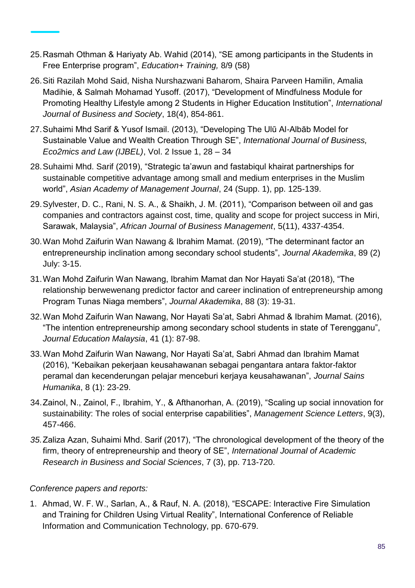- 25.Rasmah Othman & Hariyaty Ab. Wahid (2014), "SE among participants in the Students in Free Enterprise program", *Education+ Training,* 8/9 (58)
- 26.Siti Razilah Mohd Said, Nisha Nurshazwani Baharom, Shaira Parveen Hamilin, Amalia Madihie, & Salmah Mohamad Yusoff. (2017), "Development of Mindfulness Module for Promoting Healthy Lifestyle among 2 Students in Higher Education Institution", *International Journal of Business and Society*, 18(4), 854-861.
- 27.Suhaimi Mhd Sarif & Yusof Ismail. (2013), "Developing The Ulū Al-Albāb Model for Sustainable Value and Wealth Creation Through SE", *International Journal of Business, Eco2mics and Law (IJBEL)*, Vol. 2 Issue 1, 28 – 34
- 28.Suhaimi Mhd. Sarif (2019), "Strategic ta'awun and fastabiqul khairat partnerships for sustainable competitive advantage among small and medium enterprises in the Muslim world", *Asian Academy of Management Journal*, 24 (Supp. 1), pp. 125-139.
- 29.Sylvester, D. C., Rani, N. S. A., & Shaikh, J. M. (2011), "Comparison between oil and gas companies and contractors against cost, time, quality and scope for project success in Miri, Sarawak, Malaysia", *African Journal of Business Management*, 5(11), 4337-4354.
- 30.Wan Mohd Zaifurin Wan Nawang & Ibrahim Mamat. (2019), "The determinant factor an entrepreneurship inclination among secondary school students", *Journal Akademika*, 89 (2) July: 3-15.
- 31.Wan Mohd Zaifurin Wan Nawang, Ibrahim Mamat dan Nor Hayati Sa'at (2018), "The relationship berwewenang predictor factor and career inclination of entrepreneurship among Program Tunas Niaga members", *Journal Akademika*, 88 (3): 19-31.
- 32.Wan Mohd Zaifurin Wan Nawang, Nor Hayati Sa'at, Sabri Ahmad & Ibrahim Mamat. (2016), "The intention entrepreneurship among secondary school students in state of Terengganu", *Journal Education Malaysia*, 41 (1): 87-98.
- 33.Wan Mohd Zaifurin Wan Nawang, Nor Hayati Sa'at, Sabri Ahmad dan Ibrahim Mamat (2016), "Kebaikan pekerjaan keusahawanan sebagai pengantara antara faktor-faktor peramal dan kecenderungan pelajar menceburi kerjaya keusahawanan", *Journal Sains Humanika*, 8 (1): 23-29.
- 34.Zainol, N., Zainol, F., Ibrahim, Y., & Afthanorhan, A. (2019), "Scaling up social innovation for sustainability: The roles of social enterprise capabilities", *Management Science Letters*, 9(3), 457-466.
- *35.*Zaliza Azan, Suhaimi Mhd. Sarif (2017), "The chronological development of the theory of the firm, theory of entrepreneurship and theory of SE", *International Journal of Academic Research in Business and Social Sciences*, 7 (3), pp. 713-720.

#### *Conference papers and reports:*

1. Ahmad, W. F. W., Sarlan, A., & Rauf, N. A. (2018), "ESCAPE: Interactive Fire Simulation and Training for Children Using Virtual Reality", International Conference of Reliable Information and Communication Technology, pp. 670-679.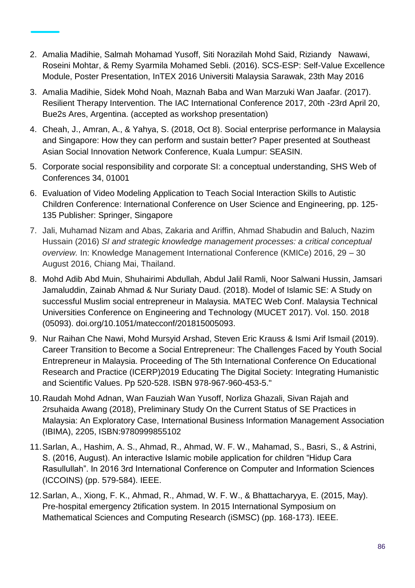- 2. Amalia Madihie, Salmah Mohamad Yusoff, Siti Norazilah Mohd Said, Riziandy Nawawi, Roseini Mohtar, & Remy Syarmila Mohamed Sebli. (2016). SCS-ESP: Self-Value Excellence Module, Poster Presentation, InTEX 2016 Universiti Malaysia Sarawak, 23th May 2016
- 3. Amalia Madihie, Sidek Mohd Noah, Maznah Baba and Wan Marzuki Wan Jaafar. (2017). Resilient Therapy Intervention. The IAC International Conference 2017, 20th -23rd April 20, Bue2s Ares, Argentina. (accepted as workshop presentation)
- 4. Cheah, J., Amran, A., & Yahya, S. (2018, Oct 8). Social enterprise performance in Malaysia and Singapore: How they can perform and sustain better? Paper presented at Southeast Asian Social Innovation Network Conference, Kuala Lumpur: SEASIN.
- 5. Corporate social responsibility and corporate SI: a conceptual understanding, SHS Web of Conferences 34, 01001
- 6. Evaluation of Video Modeling Application to Teach Social Interaction Skills to Autistic Children Conference: International Conference on User Science and Engineering, pp. 125- 135 Publisher: Springer, Singapore
- 7. Jali, Muhamad Nizam and Abas, Zakaria and Ariffin, Ahmad Shabudin and Baluch, Nazim Hussain (2016) *SI and strategic knowledge management processes: a critical conceptual overview.* In: Knowledge Management International Conference (KMICe) 2016, 29 – 30 August 2016, Chiang Mai, Thailand.
- 8. Mohd Adib Abd Muin, Shuhairimi Abdullah, Abdul Jalil Ramli, Noor Salwani Hussin, Jamsari Jamaluddin, Zainab Ahmad & Nur Suriaty Daud. (2018). Model of Islamic SE: A Study on successful Muslim social entrepreneur in Malaysia. MATEC Web Conf. Malaysia Technical Universities Conference on Engineering and Technology (MUCET 2017). Vol. 150. 2018 (05093). doi.org/10.1051/matecconf/201815005093.
- 9. Nur Raihan Che Nawi, Mohd Mursyid Arshad, Steven Eric Krauss & Ismi Arif Ismail (2019). Career Transition to Become a Social Entrepreneur: The Challenges Faced by Youth Social Entrepreneur in Malaysia. Proceeding of The 5th International Conference On Educational Research and Practice (ICERP)2019 Educating The Digital Society: Integrating Humanistic and Scientific Values. Pp 520-528. ISBN 978-967-960-453-5."
- 10.Raudah Mohd Adnan, Wan Fauziah Wan Yusoff, Norliza Ghazali, Sivan Rajah and 2rsuhaida Awang (2018), Preliminary Study On the Current Status of SE Practices in Malaysia: An Exploratory Case, International Business Information Management Association (IBIMA), 2205, ISBN:9780999855102
- 11.Sarlan, A., Hashim, A. S., Ahmad, R., Ahmad, W. F. W., Mahamad, S., Basri, S., & Astrini, S. (2016, August). An interactive Islamic mobile application for children "Hidup Cara Rasullullah". In 2016 3rd International Conference on Computer and Information Sciences (ICCOINS) (pp. 579-584). IEEE.
- 12.Sarlan, A., Xiong, F. K., Ahmad, R., Ahmad, W. F. W., & Bhattacharyya, E. (2015, May). Pre-hospital emergency 2tification system. In 2015 International Symposium on Mathematical Sciences and Computing Research (iSMSC) (pp. 168-173). IEEE.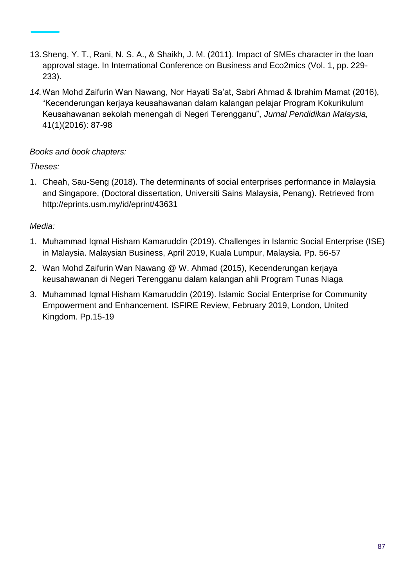- 13.Sheng, Y. T., Rani, N. S. A., & Shaikh, J. M. (2011). Impact of SMEs character in the loan approval stage. In International Conference on Business and Eco2mics (Vol. 1, pp. 229- 233).
- *14.*Wan Mohd Zaifurin Wan Nawang, Nor Hayati Sa'at, Sabri Ahmad & Ibrahim Mamat (2016), "Kecenderungan kerjaya keusahawanan dalam kalangan pelajar Program Kokurikulum Keusahawanan sekolah menengah di Negeri Terengganu", *Jurnal Pendidikan Malaysia,*  41(1)(2016): 87-98

# *Books and book chapters:*

# *Theses:*

1. Cheah, Sau-Seng (2018). The determinants of social enterprises performance in Malaysia and Singapore, (Doctoral dissertation, Universiti Sains Malaysia, Penang). Retrieved from http://eprints.usm.my/id/eprint/43631

# *Media:*

- 1. Muhammad Iqmal Hisham Kamaruddin (2019). Challenges in Islamic Social Enterprise (ISE) in Malaysia. Malaysian Business, April 2019, Kuala Lumpur, Malaysia. Pp. 56-57
- 2. Wan Mohd Zaifurin Wan Nawang @ W. Ahmad (2015), Kecenderungan kerjaya keusahawanan di Negeri Terengganu dalam kalangan ahli Program Tunas Niaga
- 3. Muhammad Iqmal Hisham Kamaruddin (2019). Islamic Social Enterprise for Community Empowerment and Enhancement. ISFIRE Review, February 2019, London, United Kingdom. Pp.15-19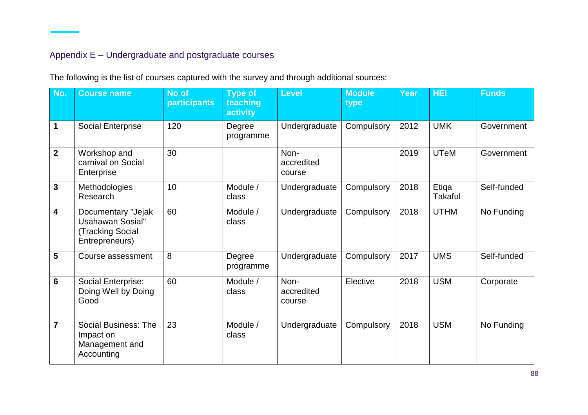# Appendix E – Undergraduate and postgraduate courses

| No.                     | <b>Course name</b>                                                                 | No of<br>participants | <b>Type of</b><br>teaching<br>activity | <b>Level</b>                 | <b>Module</b><br>type | <b>Year</b> | <b>HEI</b>              | <b>Funds</b> |
|-------------------------|------------------------------------------------------------------------------------|-----------------------|----------------------------------------|------------------------------|-----------------------|-------------|-------------------------|--------------|
| $\mathbf 1$             | Social Enterprise                                                                  | 120                   | Degree<br>programme                    | Undergraduate                | Compulsory            | 2012        | <b>UMK</b>              | Government   |
| $\overline{2}$          | Workshop and<br>carnival on Social<br>Enterprise                                   | 30                    |                                        | Non-<br>accredited<br>course |                       | 2019        | <b>UTeM</b>             | Government   |
| $\mathbf{3}$            | Methodologies<br>Research                                                          | 10                    | Module /<br>class                      | Undergraduate                | Compulsory            | 2018        | Etiqa<br><b>Takaful</b> | Self-funded  |
| $\overline{\mathbf{4}}$ | Documentary "Jejak<br><b>Usahawan Sosial"</b><br>Tracking Social<br>Entrepreneurs) | 60                    | Module /<br>class                      | Undergraduate                | Compulsory            | 2018        | <b>UTHM</b>             | No Funding   |
| $5\phantom{1}$          | Course assessment                                                                  | 8                     | Degree<br>programme                    | Undergraduate                | Compulsory            | 2017        | <b>UMS</b>              | Self-funded  |
| $6\phantom{1}6$         | Social Enterprise:<br>Doing Well by Doing<br>Good                                  | 60                    | Module /<br>class                      | Non-<br>accredited<br>course | Elective              | 2018        | <b>USM</b>              | Corporate    |
| $\overline{7}$          | <b>Social Business: The</b><br>Impact on<br>Management and<br>Accounting           | 23                    | Module /<br>class                      | Undergraduate                | Compulsory            | 2018        | <b>USM</b>              | No Funding   |

The following is the list of courses captured with the survey and through additional sources: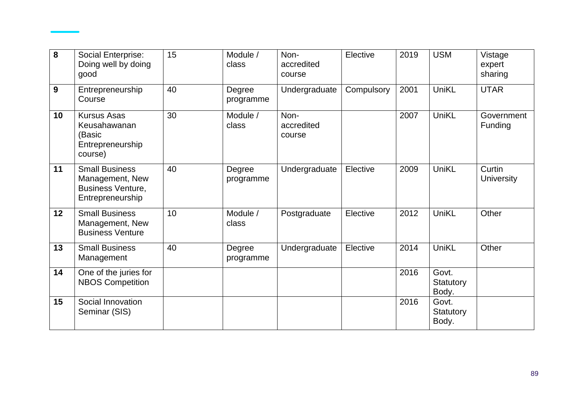| 8  | Social Enterprise:<br>Doing well by doing<br>good                                        | 15 | Module /<br>class   | Non-<br>accredited<br>course | Elective   | 2019 | <b>USM</b>                  | Vistage<br>expert<br>sharing |
|----|------------------------------------------------------------------------------------------|----|---------------------|------------------------------|------------|------|-----------------------------|------------------------------|
| 9  | Entrepreneurship<br>Course                                                               | 40 | Degree<br>programme | Undergraduate                | Compulsory | 2001 | UniKL                       | <b>UTAR</b>                  |
| 10 | <b>Kursus Asas</b><br>Keusahawanan<br>(Basic<br>Entrepreneurship<br>course)              | 30 | Module /<br>class   | Non-<br>accredited<br>course |            | 2007 | <b>UniKL</b>                | Government<br>Funding        |
| 11 | <b>Small Business</b><br>Management, New<br><b>Business Venture,</b><br>Entrepreneurship | 40 | Degree<br>programme | Undergraduate                | Elective   | 2009 | UniKL                       | Curtin<br><b>University</b>  |
| 12 | <b>Small Business</b><br>Management, New<br><b>Business Venture</b>                      | 10 | Module /<br>class   | Postgraduate                 | Elective   | 2012 | UniKL                       | Other                        |
| 13 | <b>Small Business</b><br>Management                                                      | 40 | Degree<br>programme | Undergraduate                | Elective   | 2014 | UniKL                       | Other                        |
| 14 | One of the juries for<br><b>NBOS Competition</b>                                         |    |                     |                              |            | 2016 | Govt.<br>Statutory<br>Body. |                              |
| 15 | Social Innovation<br>Seminar (SIS)                                                       |    |                     |                              |            | 2016 | Govt.<br>Statutory<br>Body. |                              |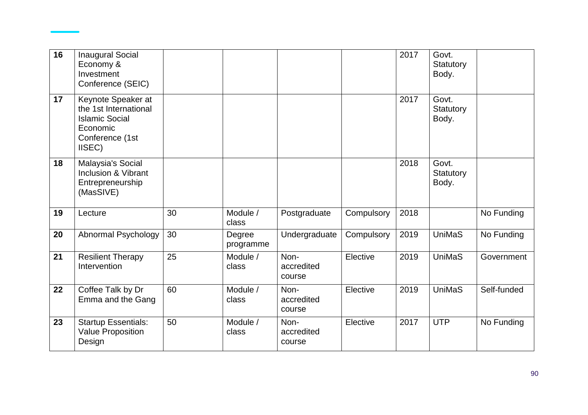| 16 | <b>Inaugural Social</b><br>Economy &<br>Investment<br>Conference (SEIC)                                       |    |                     |                              |            | 2017 | Govt.<br>Statutory<br>Body. |             |
|----|---------------------------------------------------------------------------------------------------------------|----|---------------------|------------------------------|------------|------|-----------------------------|-------------|
| 17 | Keynote Speaker at<br>the 1st International<br><b>Islamic Social</b><br>Economic<br>Conference (1st<br>IISEC) |    |                     |                              |            | 2017 | Govt.<br>Statutory<br>Body. |             |
| 18 | Malaysia's Social<br>Inclusion & Vibrant<br>Entrepreneurship<br>(MasSIVE)                                     |    |                     |                              |            | 2018 | Govt.<br>Statutory<br>Body. |             |
| 19 | Lecture                                                                                                       | 30 | Module /<br>class   | Postgraduate                 | Compulsory | 2018 |                             | No Funding  |
| 20 | Abnormal Psychology                                                                                           | 30 | Degree<br>programme | Undergraduate                | Compulsory | 2019 | <b>UniMaS</b>               | No Funding  |
| 21 | Resilient Therapy<br>Intervention                                                                             | 25 | Module /<br>class   | Non-<br>accredited<br>course | Elective   | 2019 | <b>UniMaS</b>               | Government  |
| 22 | Coffee Talk by Dr<br>Emma and the Gang                                                                        | 60 | Module /<br>class   | Non-<br>accredited<br>course | Elective   | 2019 | <b>UniMaS</b>               | Self-funded |
| 23 | <b>Startup Essentials:</b><br><b>Value Proposition</b><br>Design                                              | 50 | Module /<br>class   | Non-<br>accredited<br>course | Elective   | 2017 | <b>UTP</b>                  | No Funding  |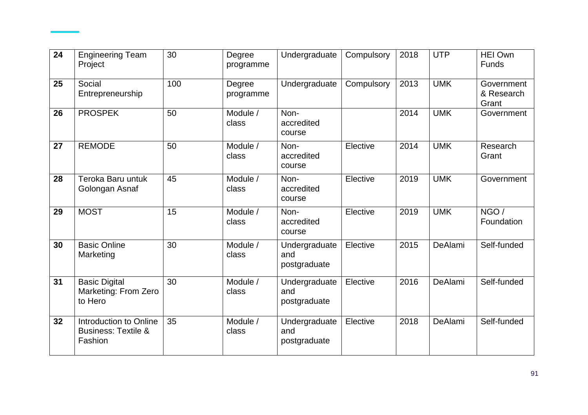| 24 | <b>Engineering Team</b><br>Project                                  | 30  | Degree<br>programme | Undergraduate                        | Compulsory | 2018 | <b>UTP</b> | <b>HEI Own</b><br>Funds           |
|----|---------------------------------------------------------------------|-----|---------------------|--------------------------------------|------------|------|------------|-----------------------------------|
| 25 | Social<br>Entrepreneurship                                          | 100 | Degree<br>programme | Undergraduate                        | Compulsory | 2013 | <b>UMK</b> | Government<br>& Research<br>Grant |
| 26 | <b>PROSPEK</b>                                                      | 50  | Module /<br>class   | Non-<br>accredited<br>course         |            | 2014 | <b>UMK</b> | Government                        |
| 27 | <b>REMODE</b>                                                       | 50  | Module /<br>class   | Non-<br>accredited<br>course         | Elective   | 2014 | <b>UMK</b> | Research<br>Grant                 |
| 28 | Teroka Baru untuk<br>Golongan Asnaf                                 | 45  | Module /<br>class   | Non-<br>accredited<br>course         | Elective   | 2019 | <b>UMK</b> | Government                        |
| 29 | <b>MOST</b>                                                         | 15  | Module /<br>class   | Non-<br>accredited<br>course         | Elective   | 2019 | <b>UMK</b> | NGO /<br>Foundation               |
| 30 | <b>Basic Online</b><br>Marketing                                    | 30  | Module /<br>class   | Undergraduate<br>and<br>postgraduate | Elective   | 2015 | DeAlami    | Self-funded                       |
| 31 | <b>Basic Digital</b><br>Marketing: From Zero<br>to Hero             | 30  | Module /<br>class   | Undergraduate<br>and<br>postgraduate | Elective   | 2016 | DeAlami    | Self-funded                       |
| 32 | Introduction to Online<br><b>Business: Textile &amp;</b><br>Fashion | 35  | Module /<br>class   | Undergraduate<br>and<br>postgraduate | Elective   | 2018 | DeAlami    | Self-funded                       |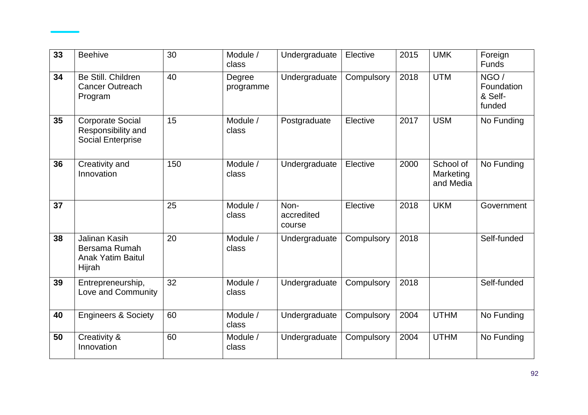| 33 | <b>Beehive</b>                                                              | 30  | Module /<br>class   | Undergraduate                | Elective   | 2015 | <b>UMK</b>                          | Foreign<br><b>Funds</b>                 |
|----|-----------------------------------------------------------------------------|-----|---------------------|------------------------------|------------|------|-------------------------------------|-----------------------------------------|
| 34 | Be Still, Children<br><b>Cancer Outreach</b><br>Program                     | 40  | Degree<br>programme | Undergraduate                | Compulsory | 2018 | <b>UTM</b>                          | NGO/<br>Foundation<br>& Self-<br>funded |
| 35 | <b>Corporate Social</b><br>Responsibility and<br><b>Social Enterprise</b>   | 15  | Module /<br>class   | Postgraduate                 | Elective   | 2017 | <b>USM</b>                          | No Funding                              |
| 36 | Creativity and<br>Innovation                                                | 150 | Module /<br>class   | Undergraduate                | Elective   | 2000 | School of<br>Marketing<br>and Media | No Funding                              |
| 37 |                                                                             | 25  | Module /<br>class   | Non-<br>accredited<br>course | Elective   | 2018 | <b>UKM</b>                          | Government                              |
| 38 | <b>Jalinan Kasih</b><br>Bersama Rumah<br><b>Anak Yatim Baitul</b><br>Hijrah | 20  | Module /<br>class   | Undergraduate                | Compulsory | 2018 |                                     | Self-funded                             |
| 39 | Entrepreneurship,<br>Love and Community                                     | 32  | Module /<br>class   | Undergraduate                | Compulsory | 2018 |                                     | Self-funded                             |
| 40 | <b>Engineers &amp; Society</b>                                              | 60  | Module /<br>class   | Undergraduate                | Compulsory | 2004 | <b>UTHM</b>                         | No Funding                              |
| 50 | Creativity &<br>Innovation                                                  | 60  | Module /<br>class   | Undergraduate                | Compulsory | 2004 | <b>UTHM</b>                         | No Funding                              |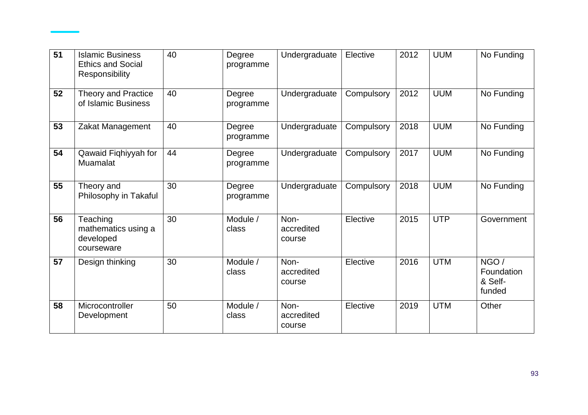| 51 | <b>Islamic Business</b><br><b>Ethics and Social</b><br>Responsibility | 40 | Degree<br>programme | Undergraduate                | Elective   | 2012 | <b>UUM</b> | No Funding                              |
|----|-----------------------------------------------------------------------|----|---------------------|------------------------------|------------|------|------------|-----------------------------------------|
| 52 | <b>Theory and Practice</b><br>of Islamic Business                     | 40 | Degree<br>programme | Undergraduate                | Compulsory | 2012 | <b>UUM</b> | No Funding                              |
| 53 | Zakat Management                                                      | 40 | Degree<br>programme | Undergraduate                | Compulsory | 2018 | <b>UUM</b> | No Funding                              |
| 54 | Qawaid Fiqhiyyah for<br>Muamalat                                      | 44 | Degree<br>programme | Undergraduate                | Compulsory | 2017 | <b>UUM</b> | No Funding                              |
| 55 | Theory and<br>Philosophy in Takaful                                   | 30 | Degree<br>programme | Undergraduate                | Compulsory | 2018 | <b>UUM</b> | No Funding                              |
| 56 | Teaching<br>mathematics using a<br>developed<br>courseware            | 30 | Module /<br>class   | Non-<br>accredited<br>course | Elective   | 2015 | <b>UTP</b> | Government                              |
| 57 | Design thinking                                                       | 30 | Module /<br>class   | Non-<br>accredited<br>course | Elective   | 2016 | <b>UTM</b> | NGO/<br>Foundation<br>& Self-<br>funded |
| 58 | Microcontroller<br>Development                                        | 50 | Module /<br>class   | Non-<br>accredited<br>course | Elective   | 2019 | <b>UTM</b> | Other                                   |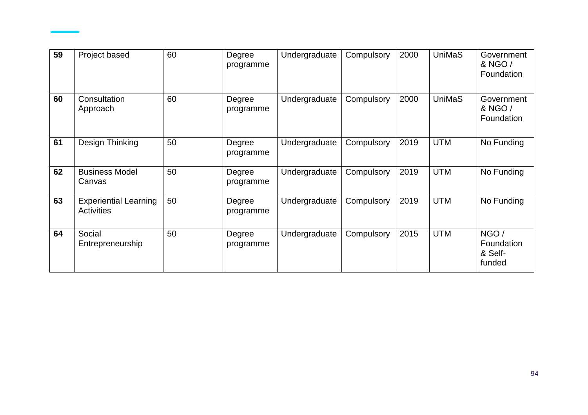| 59 | Project based                                     | 60 | Degree<br>programme | Undergraduate | Compulsory | 2000 | UniMaS        | Government<br>& NGO /<br>Foundation     |
|----|---------------------------------------------------|----|---------------------|---------------|------------|------|---------------|-----------------------------------------|
| 60 | Consultation<br>Approach                          | 60 | Degree<br>programme | Undergraduate | Compulsory | 2000 | <b>UniMaS</b> | Government<br>& NGO /<br>Foundation     |
| 61 | Design Thinking                                   | 50 | Degree<br>programme | Undergraduate | Compulsory | 2019 | <b>UTM</b>    | No Funding                              |
| 62 | <b>Business Model</b><br>Canvas                   | 50 | Degree<br>programme | Undergraduate | Compulsory | 2019 | <b>UTM</b>    | No Funding                              |
| 63 | <b>Experiential Learning</b><br><b>Activities</b> | 50 | Degree<br>programme | Undergraduate | Compulsory | 2019 | <b>UTM</b>    | No Funding                              |
| 64 | Social<br>Entrepreneurship                        | 50 | Degree<br>programme | Undergraduate | Compulsory | 2015 | <b>UTM</b>    | NGO/<br>Foundation<br>& Self-<br>funded |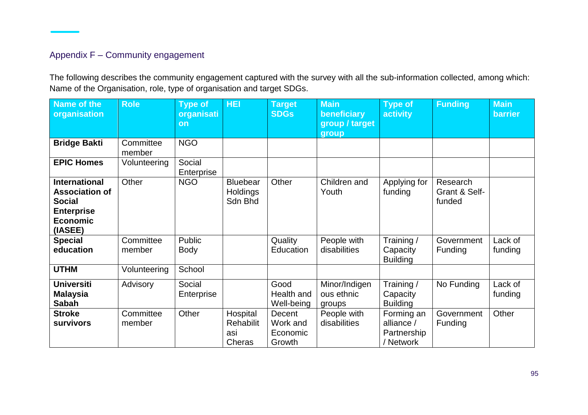# Appendix F – Community engagement

The following describes the community engagement captured with the survey with all the sub-information collected, among which: Name of the Organisation, role, type of organisation and target SDGs.

| Name of the<br>organisation                                                                                       | <b>Role</b>         | <b>Type of</b><br>organisati<br>on | <b>HEI</b>                                    | <b>Target</b><br><b>SDGs</b>             | <b>Main</b><br>beneficiary<br>group / target | <b>Type of</b><br>activity                           | <b>Funding</b>                      | <b>Main</b><br><b>barrier</b> |
|-------------------------------------------------------------------------------------------------------------------|---------------------|------------------------------------|-----------------------------------------------|------------------------------------------|----------------------------------------------|------------------------------------------------------|-------------------------------------|-------------------------------|
|                                                                                                                   |                     |                                    |                                               |                                          | group                                        |                                                      |                                     |                               |
| <b>Bridge Bakti</b>                                                                                               | Committee<br>member | <b>NGO</b>                         |                                               |                                          |                                              |                                                      |                                     |                               |
| <b>EPIC Homes</b>                                                                                                 | Volunteering        | Social<br>Enterprise               |                                               |                                          |                                              |                                                      |                                     |                               |
| <b>International</b><br><b>Association of</b><br><b>Social</b><br><b>Enterprise</b><br><b>Economic</b><br>(IASEE) | Other               | <b>NGO</b>                         | <b>Bluebear</b><br><b>Holdings</b><br>Sdn Bhd | Other                                    | Children and<br>Youth                        | Applying for<br>funding                              | Research<br>Grant & Self-<br>funded |                               |
| <b>Special</b>                                                                                                    | Committee           | Public                             |                                               | Quality                                  | People with                                  | Training/                                            | Government                          | Lack of                       |
| education                                                                                                         | member              | <b>Body</b>                        |                                               | Education                                | disabilities                                 | Capacity<br><b>Building</b>                          | Funding                             | funding                       |
| <b>UTHM</b>                                                                                                       | Volunteering        | School                             |                                               |                                          |                                              |                                                      |                                     |                               |
| <b>Universiti</b><br><b>Malaysia</b><br><b>Sabah</b>                                                              | Advisory            | Social<br>Enterprise               |                                               | Good<br>Health and<br>Well-being         | Minor/Indigen<br>ous ethnic<br>groups        | Training /<br>Capacity<br><b>Building</b>            | No Funding                          | Lack of<br>funding            |
| <b>Stroke</b><br><b>survivors</b>                                                                                 | Committee<br>member | Other                              | Hospital<br>Rehabilit<br>asi<br>Cheras        | Decent<br>Work and<br>Economic<br>Growth | People with<br>disabilities                  | Forming an<br>alliance /<br>Partnership<br>/ Network | Government<br>Funding               | Other                         |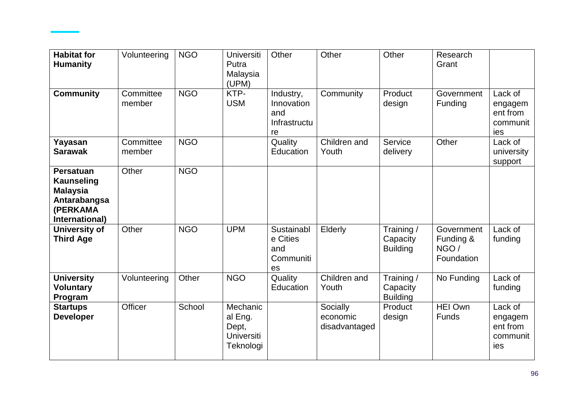| <b>Habitat for</b><br><b>Humanity</b>                                                                  | Volunteering        | <b>NGO</b> | <b>Universiti</b><br>Putra<br>Malaysia<br>(UPM)         | Other                                                | Other                                 | Other                                     | Research<br>Grant                              |                                                   |
|--------------------------------------------------------------------------------------------------------|---------------------|------------|---------------------------------------------------------|------------------------------------------------------|---------------------------------------|-------------------------------------------|------------------------------------------------|---------------------------------------------------|
| <b>Community</b>                                                                                       | Committee<br>member | <b>NGO</b> | KTP-<br><b>USM</b>                                      | Industry,<br>Innovation<br>and<br>Infrastructu<br>re | Community                             | Product<br>design                         | Government<br>Funding                          | Lack of<br>engagem<br>ent from<br>communit<br>ies |
| Yayasan<br><b>Sarawak</b>                                                                              | Committee<br>member | <b>NGO</b> |                                                         | Quality<br>Education                                 | Children and<br>Youth                 | Service<br>delivery                       | Other                                          | Lack of<br>university<br>support                  |
| <b>Persatuan</b><br><b>Kaunseling</b><br><b>Malaysia</b><br>Antarabangsa<br>(PERKAMA<br>International) | Other               | <b>NGO</b> |                                                         |                                                      |                                       |                                           |                                                |                                                   |
| <b>University of</b><br><b>Third Age</b>                                                               | Other               | <b>NGO</b> | <b>UPM</b>                                              | Sustainabl<br>e Cities<br>and<br>Communiti<br>es     | Elderly                               | Training/<br>Capacity<br><b>Building</b>  | Government<br>Funding &<br>NGO /<br>Foundation | Lack of<br>funding                                |
| <b>University</b><br><b>Voluntary</b><br>Program                                                       | Volunteering        | Other      | <b>NGO</b>                                              | Quality<br>Education                                 | Children and<br>Youth                 | Training /<br>Capacity<br><b>Building</b> | No Funding                                     | Lack of<br>funding                                |
| <b>Startups</b><br><b>Developer</b>                                                                    | Officer             | School     | Mechanic<br>al Eng.<br>Dept,<br>Universiti<br>Teknologi |                                                      | Socially<br>economic<br>disadvantaged | Product<br>design                         | <b>HEI Own</b><br>Funds                        | Lack of<br>engagem<br>ent from<br>communit<br>ies |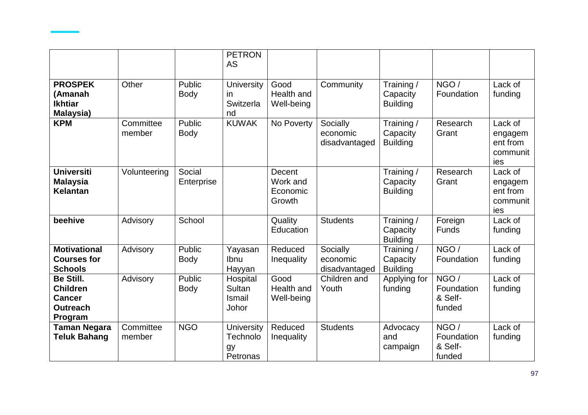|                                                                                    |                     |                       | <b>PETRON</b><br><b>AS</b>                      |                                          |                                       |                                           |                                         |                                                   |
|------------------------------------------------------------------------------------|---------------------|-----------------------|-------------------------------------------------|------------------------------------------|---------------------------------------|-------------------------------------------|-----------------------------------------|---------------------------------------------------|
| <b>PROSPEK</b><br>(Amanah<br><b>Ikhtiar</b><br>Malaysia)                           | Other               | Public<br><b>Body</b> | University<br>in<br>Switzerla<br>nd             | Good<br>Health and<br>Well-being         | Community                             | Training/<br>Capacity<br><b>Building</b>  | NGO/<br>Foundation                      | Lack of<br>funding                                |
| <b>KPM</b>                                                                         | Committee<br>member | Public<br><b>Body</b> | <b>KUWAK</b>                                    | No Poverty                               | Socially<br>economic<br>disadvantaged | Training /<br>Capacity<br><b>Building</b> | Research<br>Grant                       | Lack of<br>engagem<br>ent from<br>communit<br>ies |
| <b>Universiti</b><br><b>Malaysia</b><br><b>Kelantan</b>                            | Volunteering        | Social<br>Enterprise  |                                                 | Decent<br>Work and<br>Economic<br>Growth |                                       | Training /<br>Capacity<br><b>Building</b> | Research<br>Grant                       | Lack of<br>engagem<br>ent from<br>communit<br>ies |
| beehive                                                                            | Advisory            | School                |                                                 | Quality<br>Education                     | <b>Students</b>                       | Training /<br>Capacity<br><b>Building</b> | Foreign<br><b>Funds</b>                 | Lack of<br>funding                                |
| <b>Motivational</b><br><b>Courses for</b><br><b>Schools</b>                        | Advisory            | Public<br><b>Body</b> | Yayasan<br>Ibnu<br>Hayyan                       | Reduced<br>Inequality                    | Socially<br>economic<br>disadvantaged | Training /<br>Capacity<br><b>Building</b> | NGO/<br>Foundation                      | Lack of<br>funding                                |
| <b>Be Still.</b><br><b>Children</b><br><b>Cancer</b><br><b>Outreach</b><br>Program | Advisory            | Public<br><b>Body</b> | Hospital<br>Sultan<br><b>Ismail</b><br>Johor    | Good<br>Health and<br>Well-being         | Children and<br>Youth                 | Applying for<br>funding                   | NGO/<br>Foundation<br>& Self-<br>funded | Lack of<br>funding                                |
| <b>Taman Negara</b><br><b>Teluk Bahang</b>                                         | Committee<br>member | <b>NGO</b>            | <b>University</b><br>Technolo<br>gy<br>Petronas | Reduced<br>Inequality                    | <b>Students</b>                       | Advocacy<br>and<br>campaign               | NGO/<br>Foundation<br>& Self-<br>funded | Lack of<br>funding                                |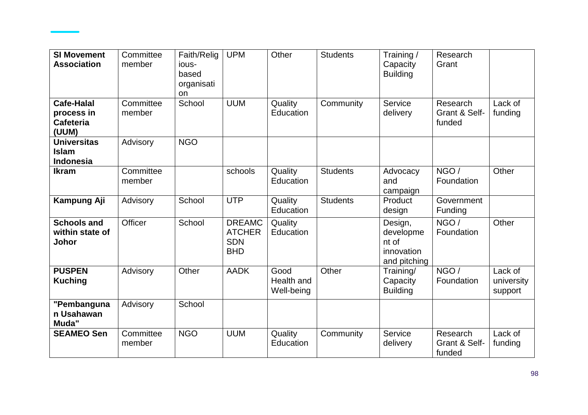| <b>SI Movement</b><br><b>Association</b>               | Committee<br>member | Faith/Relig<br>ious-<br>based<br>organisati<br>on | <b>UPM</b>                                                 | Other                            | <b>Students</b> | Training/<br>Capacity<br><b>Building</b>                    | Research<br>Grant                   |                                  |
|--------------------------------------------------------|---------------------|---------------------------------------------------|------------------------------------------------------------|----------------------------------|-----------------|-------------------------------------------------------------|-------------------------------------|----------------------------------|
| Cafe-Halal<br>process in<br><b>Cafeteria</b><br>(UUM)  | Committee<br>member | School                                            | <b>UUM</b>                                                 | Quality<br>Education             | Community       | Service<br>delivery                                         | Research<br>Grant & Self-<br>funded | Lack of<br>funding               |
| <b>Universitas</b><br><b>Islam</b><br><b>Indonesia</b> | Advisory            | <b>NGO</b>                                        |                                                            |                                  |                 |                                                             |                                     |                                  |
| <b>Ikram</b>                                           | Committee<br>member |                                                   | schools                                                    | Quality<br>Education             | <b>Students</b> | Advocacy<br>and<br>campaign                                 | NGO /<br>Foundation                 | Other                            |
| Kampung Aji                                            | Advisory            | School                                            | <b>UTP</b>                                                 | Quality<br>Education             | <b>Students</b> | Product<br>design                                           | Government<br>Funding               |                                  |
| <b>Schools and</b><br>within state of<br>Johor         | Officer             | School                                            | <b>DREAMC</b><br><b>ATCHER</b><br><b>SDN</b><br><b>BHD</b> | Quality<br>Education             |                 | Design,<br>developme<br>nt of<br>innovation<br>and pitching | NGO /<br>Foundation                 | Other                            |
| <b>PUSPEN</b><br><b>Kuching</b>                        | Advisory            | Other                                             | <b>AADK</b>                                                | Good<br>Health and<br>Well-being | Other           | Training/<br>Capacity<br><b>Building</b>                    | NGO/<br>Foundation                  | Lack of<br>university<br>support |
| "Pembanguna<br>n Usahawan<br>Muda"                     | Advisory            | School                                            |                                                            |                                  |                 |                                                             |                                     |                                  |
| <b>SEAMEO Sen</b>                                      | Committee<br>member | <b>NGO</b>                                        | <b>UUM</b>                                                 | Quality<br>Education             | Community       | Service<br>delivery                                         | Research<br>Grant & Self-<br>funded | Lack of<br>funding               |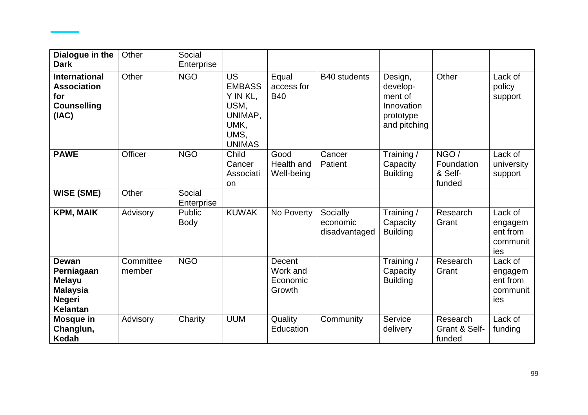| Dialogue in the<br><b>Dark</b>                                                                     | Other               | Social<br>Enterprise  |                                                                                            |                                          |                                       |                                                                           |                                         |                                                   |
|----------------------------------------------------------------------------------------------------|---------------------|-----------------------|--------------------------------------------------------------------------------------------|------------------------------------------|---------------------------------------|---------------------------------------------------------------------------|-----------------------------------------|---------------------------------------------------|
| <b>International</b><br><b>Association</b><br>for<br><b>Counselling</b><br>(IAC)                   | Other               | <b>NGO</b>            | <b>US</b><br><b>EMBASS</b><br>Y IN KL.<br>USM,<br>UNIMAP,<br>UMK,<br>UMS,<br><b>UNIMAS</b> | Equal<br>access for<br><b>B40</b>        | B40 students                          | Design,<br>develop-<br>ment of<br>Innovation<br>prototype<br>and pitching | Other                                   | Lack of<br>policy<br>support                      |
| <b>PAWE</b>                                                                                        | Officer             | <b>NGO</b>            | Child<br>Cancer<br>Associati<br>on                                                         | Good<br>Health and<br>Well-being         | Cancer<br>Patient                     | Training /<br>Capacity<br><b>Building</b>                                 | NGO/<br>Foundation<br>& Self-<br>funded | Lack of<br>university<br>support                  |
| <b>WISE (SME)</b>                                                                                  | Other               | Social<br>Enterprise  |                                                                                            |                                          |                                       |                                                                           |                                         |                                                   |
| <b>KPM, MAIK</b>                                                                                   | Advisory            | Public<br><b>Body</b> | <b>KUWAK</b>                                                                               | No Poverty                               | Socially<br>economic<br>disadvantaged | Training /<br>Capacity<br><b>Building</b>                                 | Research<br>Grant                       | Lack of<br>engagem<br>ent from<br>communit<br>ies |
| <b>Dewan</b><br>Perniagaan<br><b>Melayu</b><br><b>Malaysia</b><br><b>Negeri</b><br><b>Kelantan</b> | Committee<br>member | <b>NGO</b>            |                                                                                            | Decent<br>Work and<br>Economic<br>Growth |                                       | Training /<br>Capacity<br><b>Building</b>                                 | Research<br>Grant                       | Lack of<br>engagem<br>ent from<br>communit<br>ies |
| Mosque in<br>Changlun,<br>Kedah                                                                    | Advisory            | Charity               | <b>UUM</b>                                                                                 | Quality<br>Education                     | Community                             | Service<br>delivery                                                       | Research<br>Grant & Self-<br>funded     | Lack of<br>funding                                |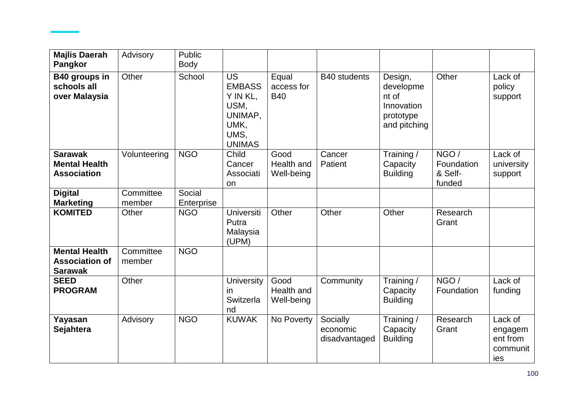| <b>Majlis Daerah</b><br><b>Pangkor</b>                          | Advisory            | Public<br>Body       |                                                                                            |                                   |                                       |                                                                          |                                          |                                                   |
|-----------------------------------------------------------------|---------------------|----------------------|--------------------------------------------------------------------------------------------|-----------------------------------|---------------------------------------|--------------------------------------------------------------------------|------------------------------------------|---------------------------------------------------|
| B40 groups in<br>schools all<br>over Malaysia                   | Other               | School               | <b>US</b><br><b>EMBASS</b><br>Y IN KL,<br>USM,<br>UNIMAP,<br>UMK,<br>UMS,<br><b>UNIMAS</b> | Equal<br>access for<br><b>B40</b> | <b>B40</b> students                   | Design,<br>developme<br>nt of<br>Innovation<br>prototype<br>and pitching | Other                                    | Lack of<br>policy<br>support                      |
| <b>Sarawak</b><br><b>Mental Health</b><br><b>Association</b>    | Volunteering        | <b>NGO</b>           | Child<br>Cancer<br>Associati<br>on                                                         | Good<br>Health and<br>Well-being  | Cancer<br>Patient                     | Training /<br>Capacity<br><b>Building</b>                                | NGO /<br>Foundation<br>& Self-<br>funded | Lack of<br>university<br>support                  |
| <b>Digital</b><br><b>Marketing</b>                              | Committee<br>member | Social<br>Enterprise |                                                                                            |                                   |                                       |                                                                          |                                          |                                                   |
| <b>KOMITED</b>                                                  | Other               | <b>NGO</b>           | Universiti<br>Putra<br>Malaysia<br>(UPM)                                                   | Other                             | Other                                 | Other                                                                    | Research<br>Grant                        |                                                   |
| <b>Mental Health</b><br><b>Association of</b><br><b>Sarawak</b> | Committee<br>member | <b>NGO</b>           |                                                                                            |                                   |                                       |                                                                          |                                          |                                                   |
| <b>SEED</b><br><b>PROGRAM</b>                                   | Other               |                      | <b>University</b><br>in<br>Switzerla<br>nd                                                 | Good<br>Health and<br>Well-being  | Community                             | Training /<br>Capacity<br><b>Building</b>                                | NGO /<br>Foundation                      | Lack of<br>funding                                |
| Yayasan<br>Sejahtera                                            | Advisory            | <b>NGO</b>           | <b>KUWAK</b>                                                                               | No Poverty                        | Socially<br>economic<br>disadvantaged | Training /<br>Capacity<br><b>Building</b>                                | Research<br>Grant                        | Lack of<br>engagem<br>ent from<br>communit<br>ies |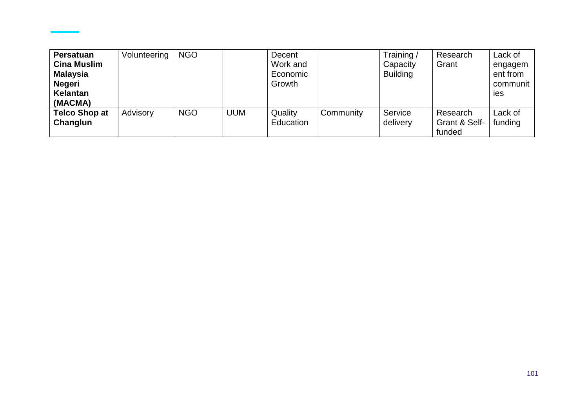| Persatuan<br><b>Cina Muslim</b><br>Malaysia<br><b>Negeri</b><br>Kelantan<br>(MACMA) | Volunteering | <b>NGO</b> |            | Decent<br>Work and<br>Economic<br>Growth |           | Training/<br>Capacity<br><b>Building</b> | Research<br>Grant                   | Lack of<br>engagem<br>ent from<br>communit<br><b>Ies</b> |
|-------------------------------------------------------------------------------------|--------------|------------|------------|------------------------------------------|-----------|------------------------------------------|-------------------------------------|----------------------------------------------------------|
| <b>Telco Shop at</b><br>Changlun                                                    | Advisory     | <b>NGO</b> | <b>UUM</b> | Quality<br>Education                     | Community | Service<br>delivery                      | Research<br>Grant & Self-<br>funded | Lack of<br>funding                                       |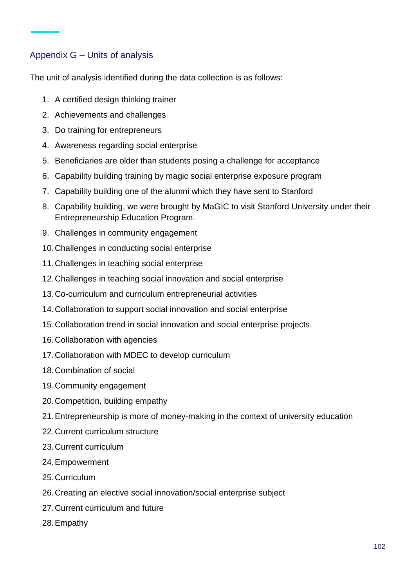# Appendix G – Units of analysis

The unit of analysis identified during the data collection is as follows:

- 1. A certified design thinking trainer
- 2. Achievements and challenges
- 3. Do training for entrepreneurs
- 4. Awareness regarding social enterprise
- 5. Beneficiaries are older than students posing a challenge for acceptance
- 6. Capability building training by magic social enterprise exposure program
- 7. Capability building one of the alumni which they have sent to Stanford
- 8. Capability building, we were brought by MaGIC to visit Stanford University under their Entrepreneurship Education Program.
- 9. Challenges in community engagement
- 10.Challenges in conducting social enterprise
- 11.Challenges in teaching social enterprise
- 12.Challenges in teaching social innovation and social enterprise
- 13.Co-curriculum and curriculum entrepreneurial activities
- 14.Collaboration to support social innovation and social enterprise
- 15.Collaboration trend in social innovation and social enterprise projects
- 16.Collaboration with agencies
- 17.Collaboration with MDEC to develop curriculum
- 18.Combination of social
- 19.Community engagement
- 20.Competition, building empathy
- 21.Entrepreneurship is more of money-making in the context of university education
- 22.Current curriculum structure
- 23.Current curriculum
- 24.Empowerment
- 25.Curriculum
- 26.Creating an elective social innovation/social enterprise subject
- 27.Current curriculum and future
- 28.Empathy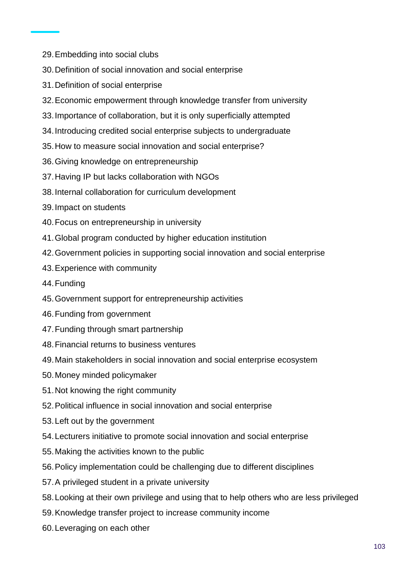- 29.Embedding into social clubs
- 30.Definition of social innovation and social enterprise
- 31.Definition of social enterprise
- 32.Economic empowerment through knowledge transfer from university
- 33.Importance of collaboration, but it is only superficially attempted
- 34.Introducing credited social enterprise subjects to undergraduate
- 35.How to measure social innovation and social enterprise?
- 36.Giving knowledge on entrepreneurship
- 37.Having IP but lacks collaboration with NGOs
- 38.Internal collaboration for curriculum development
- 39.Impact on students
- 40.Focus on entrepreneurship in university
- 41.Global program conducted by higher education institution
- 42.Government policies in supporting social innovation and social enterprise
- 43.Experience with community
- 44.Funding
- 45.Government support for entrepreneurship activities
- 46.Funding from government
- 47.Funding through smart partnership
- 48.Financial returns to business ventures
- 49.Main stakeholders in social innovation and social enterprise ecosystem
- 50.Money minded policymaker
- 51.Not knowing the right community
- 52.Political influence in social innovation and social enterprise
- 53.Left out by the government
- 54.Lecturers initiative to promote social innovation and social enterprise
- 55.Making the activities known to the public
- 56.Policy implementation could be challenging due to different disciplines
- 57.A privileged student in a private university
- 58.Looking at their own privilege and using that to help others who are less privileged
- 59.Knowledge transfer project to increase community income
- 60.Leveraging on each other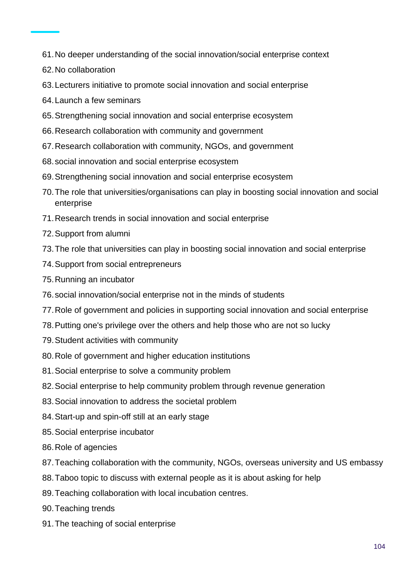- 61.No deeper understanding of the social innovation/social enterprise context
- 62.No collaboration
- 63.Lecturers initiative to promote social innovation and social enterprise
- 64.Launch a few seminars
- 65.Strengthening social innovation and social enterprise ecosystem
- 66.Research collaboration with community and government
- 67.Research collaboration with community, NGOs, and government
- 68.social innovation and social enterprise ecosystem
- 69.Strengthening social innovation and social enterprise ecosystem
- 70.The role that universities/organisations can play in boosting social innovation and social enterprise
- 71.Research trends in social innovation and social enterprise
- 72.Support from alumni
- 73.The role that universities can play in boosting social innovation and social enterprise
- 74.Support from social entrepreneurs
- 75.Running an incubator
- 76.social innovation/social enterprise not in the minds of students
- 77.Role of government and policies in supporting social innovation and social enterprise
- 78.Putting one's privilege over the others and help those who are not so lucky
- 79.Student activities with community
- 80.Role of government and higher education institutions
- 81.Social enterprise to solve a community problem
- 82.Social enterprise to help community problem through revenue generation
- 83.Social innovation to address the societal problem
- 84.Start-up and spin-off still at an early stage
- 85.Social enterprise incubator
- 86.Role of agencies
- 87.Teaching collaboration with the community, NGOs, overseas university and US embassy
- 88.Taboo topic to discuss with external people as it is about asking for help
- 89.Teaching collaboration with local incubation centres.
- 90.Teaching trends
- 91.The teaching of social enterprise